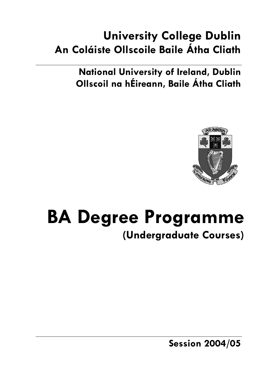# **University College Dublin An Coláiste Ollscoile Baile Átha Cliath**

**National University of Ireland, Dublin Ollscoil na hÉireann, Baile Átha Cliath** 



# **BA Degree Programme (Undergraduate Courses)**

**Session 2004/05**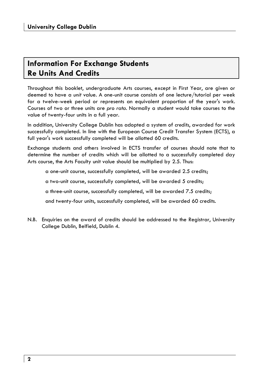### **Information For Exchange Students Re Units And Credits**

Throughout this booklet, undergraduate Arts courses, except in First Year, are given or deemed to have a *unit* value. A one-unit course consists of one lecture/tutorial per week for a twelve-week period or represents an equivalent proportion of the year's work. Courses of two or three units are *pro rata*. Normally a student would take courses to the value of twenty-four units in a full year.

In addition, University College Dublin has adopted a system of *credits*, awarded for work successfully completed. In line with the European Course Credit Transfer System (ECTS), a full year's work successfully completed will be allotted 60 credits.

Exchange students and others involved in ECTS transfer of courses should note that to determine the number of credits which will be allotted to a successfully completed day Arts course, the Arts Faculty unit value should be multiplied by 2.5. Thus:

a one-unit course, successfully completed, will be awarded 2.5 credits;

a two-unit course, successfully completed, will be awarded 5 credits;

a three-unit course, successfully completed, will be awarded 7.5 credits;

and twenty-four units, successfully completed, will be awarded 60 credits.

N.B. Enquiries on the award of credits should be addressed to the Registrar, University College Dublin, Belfield, Dublin 4.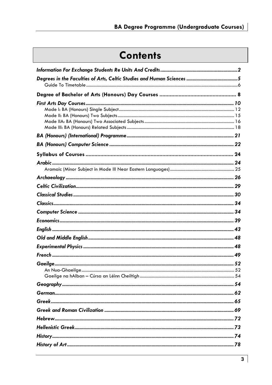# **Contents**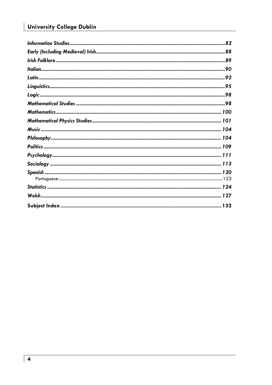### **University College Dublin**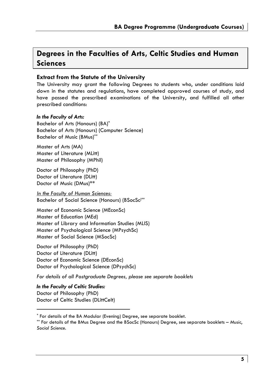### **Degrees in the Faculties of Arts, Celtic Studies and Human Sciences**

#### **Extract from the Statute of the University**

The University may grant the following Degrees to students who, under conditions laid down in the statutes and regulations, have completed approved courses of study, and have passed the prescribed examinations of the University, and fulfilled all other prescribed conditions:

#### *In the Faculty of Arts:*

Bachelor of Arts (Honours) (BA)\* Bachelor of Arts (Honours) (Computer Science) Bachelor of Music (BMus)\*\*

Master of Arts (MA) Master of Literature (MLitt) Master of Philosophy (MPhil)

Doctor of Philosophy (PhD) Doctor of Literature (DLitt) Doctor of Music (DMus)\*\*

*In the Faculty of Human Sciences:* Bachelor of Social Science (Honours) (BSocSc)\*\*

Master of Economic Science (MEconSc) Master of Education (MEd) Master of Library and Information Studies (MLIS) Master of Psychological Science (MPsychSc) Master of Social Science (MSocSc)

Doctor of Philosophy (PhD) Doctor of Literature (DLitt) Doctor of Economic Science (DEconSc) Doctor of Psychological Science (DPsychSc)

*For details of all Postgraduate Degrees, please see separate booklets* 

*In the Faculty of Celtic Studies:*  Doctor of Philosophy (PhD) Doctor of Celtic Studies (DLittCelt)

<sup>\*</sup> For details of the BA Modular (Evening) Degree, see separate booklet.

<sup>\*\*</sup> For details of the BMus Degree and the BSocSc (Honours) Degree, see separate booklets – *Music*, *Social Science*.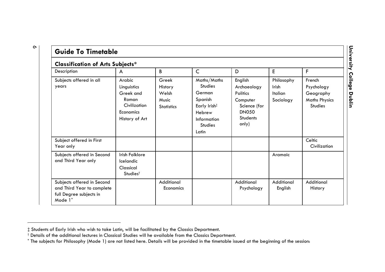| <b>Classification of Arts Subjects*</b>                                                                    |                                                                                            |                                                         |                                                                                                                        |                                                                                                     |                                                    |                                                                      |
|------------------------------------------------------------------------------------------------------------|--------------------------------------------------------------------------------------------|---------------------------------------------------------|------------------------------------------------------------------------------------------------------------------------|-----------------------------------------------------------------------------------------------------|----------------------------------------------------|----------------------------------------------------------------------|
| Description                                                                                                | A                                                                                          | B                                                       | $\mathsf{C}$                                                                                                           | D                                                                                                   | E                                                  | F                                                                    |
| Subjects offered in all<br>years                                                                           | Arabic<br>Linguistics<br>Greek and<br>Roman<br>Civilization<br>Economics<br>History of Art | Greek<br>History<br>Welsh<br>Music<br><b>Statistics</b> | Maths/Maths<br><b>Studies</b><br>German<br>Spanish<br>Early Irish#<br>Hebrew<br>Information<br><b>Studies</b><br>Latin | English<br>Archaeology<br>Politics<br>Computer<br>Science (for<br><b>DN050</b><br>Students<br>only) | Philosophy<br>Irish<br><b>Italian</b><br>Sociology | French<br>Psychology<br>Geography<br><b>Maths Physics</b><br>Studies |
| Subject offered in First<br>Year only                                                                      |                                                                                            |                                                         |                                                                                                                        |                                                                                                     |                                                    | Celtic<br>Civilization                                               |
| Subjects offered in Second<br>and Third Year only                                                          | Irish Folklore<br>Icelandic<br>Classical<br>Studies <sup>†</sup>                           |                                                         |                                                                                                                        |                                                                                                     | Aramaic                                            |                                                                      |
| Subjects offered in Second<br>and Third Year to complete<br>full Degree subjects in<br>Mode 1 <sup>*</sup> |                                                                                            | Additional<br>Economics                                 |                                                                                                                        | Additional<br>Psychology                                                                            | Additional<br>English                              | Additional<br>History                                                |

 $\circ$ 

# University College Dublin **University College Dublin**

<sup>‡</sup> Students of Early Irish who wish to take Latin, will be facilitated by the Classics Department.

 $^\dagger$  Details of the additional lectures in Classical Studies will he available from the Classics Department.

<sup>\*</sup> The subjects for Philosophy (Mode 1) are not listed here. Details will be provided in the timetable issued at the beginning of the session: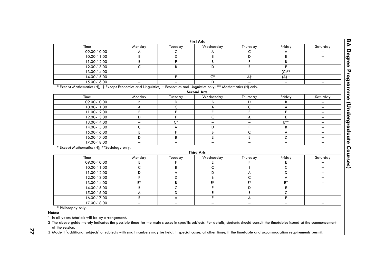| <b>First Arts</b>                                                                                                        |                          |         |                          |                          |                          |                          |
|--------------------------------------------------------------------------------------------------------------------------|--------------------------|---------|--------------------------|--------------------------|--------------------------|--------------------------|
| Time                                                                                                                     | Monday                   | Tuesday | Wednesday                | Thursday                 | Friday                   | Saturday                 |
| 09.00-10.00                                                                                                              | A                        | C       | A                        | C                        | A                        |                          |
| 10.00-11.00                                                                                                              | E                        | D       | E                        | D                        | E                        | -                        |
| 11.00-12.00                                                                                                              | В                        | F       | B                        | F                        | B                        | -                        |
| 12.00-13.00                                                                                                              | C                        | В       | D                        | E                        | F.                       | -                        |
| 13.00-14.00                                                                                                              | -                        |         | $\overline{\phantom{0}}$ | $\qquad \qquad -$        | $(C)$ **                 | -                        |
| 14.00-15.00                                                                                                              | $\overline{\phantom{0}}$ | F       | $C^*$                    | A <sup>+</sup>           | $(A)$ $\ddagger$         | ÷                        |
| 15.00-16.00                                                                                                              |                          |         | D                        |                          | -                        | -                        |
| * Except Mathematics (H); † Except Economics and Linguistics; ‡ Economics and Linguistics only; ** Mathematics (H) only. |                          |         | <b>Second Arts</b>       |                          |                          |                          |
| Time                                                                                                                     |                          |         |                          |                          |                          |                          |
|                                                                                                                          | Monday                   | Tuesday | Wednesday                | Thursday                 | Friday                   | Saturday                 |
| 09.00-10.00                                                                                                              | B                        | D       | B                        | D                        | В                        | -                        |
| 10.00-11.00                                                                                                              | А                        | C       | А                        | C                        | А                        | -                        |
| 11.00-12.00                                                                                                              | F                        | E<br>F  | F.                       | E                        | F.                       | -                        |
| 12.00-13.00                                                                                                              | D                        |         | Ċ                        | A                        | E                        | ÷                        |
| 13.00-14.00                                                                                                              | -                        | $C^*$   | $\overline{\phantom{0}}$ | $\overline{\phantom{0}}$ | $F**$                    | ÷                        |
| 14.00-15.00                                                                                                              | C                        | A       | D                        | F.                       | B                        | -                        |
| 15.00-16.00                                                                                                              | E                        | F       | B                        | C                        | А                        | -                        |
| 16.00-17.00                                                                                                              | D                        | B       | E                        | E                        | D                        | $\overline{\phantom{0}}$ |
| 17.00-18.00                                                                                                              | $\qquad \qquad -$        | -       | $\overline{\phantom{0}}$ | $\qquad \qquad -$        | $\overline{\phantom{m}}$ | -                        |
| * Except Mathematics (H); ** Sociology only.                                                                             |                          |         | <b>Third Arts</b>        |                          |                          |                          |
| Time                                                                                                                     | Monday                   | Tuesday | Wednesday                | Thursday                 | Friday                   | Saturday                 |
| 09.00-10.00                                                                                                              | Ε                        |         | Е                        | F                        | Ε                        | -                        |
| 10.00-11.00                                                                                                              | C                        | B       | C                        | B                        | C                        | $\qquad \qquad -$        |
| 11.00-12.00                                                                                                              | D                        | A       | D                        | A                        | D                        | -                        |
| 12.00-13.00                                                                                                              | F                        | D       | B                        | C                        | A                        | -                        |
| 13.00-14.00                                                                                                              | $E^*$                    | B       | $\mathsf{E}^*$           | $E^*$                    | E*                       | ÷                        |
| 14.00-15.00                                                                                                              | В                        | C       | F                        | D                        | E                        | -                        |
| 15.00-16.00                                                                                                              | А                        | D       | E                        | B                        | C                        | -                        |
| 16.00-17.00                                                                                                              | E                        | A       | F.                       | А                        | F.                       | $\overline{\phantom{0}}$ |
| 17.00-18.00                                                                                                              |                          |         |                          |                          |                          |                          |

\* Philosophy only.

**Notes:**

1 In all years tutorials will be by arrangement.

2 The above guide merely indicates the possible times for the main classes in specific subjects. For details, students should consult the timetables issued at the commencement of the session.

3 Mode <sup>1</sup> 'additional subjects' or subjects with small numbers may be held, in special cases, at other times, if the timetable and accommodation requirements permit.

**7 7**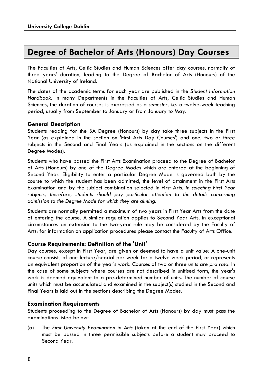### **Degree of Bachelor of Arts (Honours) Day Courses**

The Faculties of Arts, Celtic Studies and Human Sciences offer day courses, normally of three years' duration, leading to the Degree of Bachelor of Arts (Honours) of the National University of Ireland.

The dates of the academic terms for each year are published in the *Student Information Handbook*. In many Departments in the Faculties of Arts, Celtic Studies and Human Sciences, the duration of courses is expressed as a *semester*, i.e. a twelve-week teaching period, usually from September to January or from January to May.

#### **General Description**

Students reading for the BA Degree (Honours) by day take three subjects in the First Year (as explained in the section on 'First Arts Day Courses') and one, two or three subjects in the Second and Final Years (as explained in the sections on the different Degree Modes).

Students who have passed the First Arts Examination proceed to the Degree of Bachelor of Arts (Honours) by one of the Degree Modes which are entered at the beginning of Second Year. Eligibility to enter a particular Degree Mode is governed both by the course to which the student has been admitted, the level of attainment in the First Arts Examination and by the subject combination selected in First Arts. *In selecting First Year*  subjects, therefore, students should pay particular attention to the details concerning *admission to the Degree Mode for which they are aiming.* 

Students are normally permitted a maximum of two years in First Year Arts from the date of entering the course. A similar regulation applies to Second Year Arts. In exceptional circumstances an extension to the two-year rule may be considered by the Faculty of Arts: for information on application procedures please contact the Faculty of Arts Office.

#### **Course Requirements: Definition of the 'Unit'**

Day courses, except in First Year, are given or deemed to have a unit value: A one-unit course consists of one lecture/tutorial per week for a twelve week period, or represents an equivalent proportion of the year's work. Courses of two or three units are *pro rata*. In the case of some subjects where courses are not described in unitised form, the year's work is deemed equivalent to a pre-determined number of units. The number of course units which must be accumulated and examined in the subject(s) studied in the Second and Final Years is laid out in the sections describing the Degree Modes.

#### **Examination Requirements**

Students proceeding to the Degree of Bachelor of Arts (Honours) by day must pass the examinations listed below:

(a) The *First University Examination in Arts* (taken at the end of the First Year) which must be passed in three permissible subjects before a student may proceed to Second Year.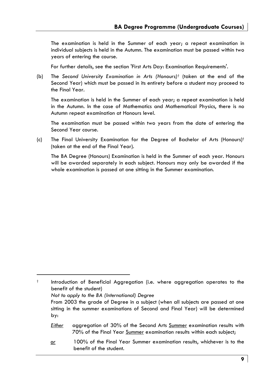The examination is held in the Summer of each year; a repeat examination in individual subjects is held in the Autumn. The examination must be passed within two years of entering the course.

For further details, see the section 'First Arts Day: Examination Requirements'.

(b) The *Second University Examination in Arts (Honours)*† (taken at the end of the Second Year) which must be passed in its entirety before a student may proceed to the Final Year.

 The examination is held in the Summer of each year; a repeat examination is held in the Autumn. In the case of Mathematics and Mathematical Physics, there is no Autumn repeat examination at Honours level.

 The examination must be passed within two years from the date of entering the Second Year course.

(c) The Final University Examination for the Degree of Bachelor of Arts (Honours)† (taken at the end of the Final Year).

 The BA Degree (Honours) Examination is held in the Summer of each year. Honours will be awarded separately in each subject. Honours may only be awarded if the whole examination is passed at one sitting in the Summer examination.

† Introduction of Beneficial Aggregation (i.e. where aggregation operates to the benefit of the student)  *Not to apply to the BA (International) Degree*  From 2003 the grade of Degree in a subject (when all subjects are passed at one sitting in the summer examinations of Second and Final Year) will be determined by: *Either* aggregation of 30% of the Second Arts Summer examination results with 70% of the Final Year Summer examination results within each subject; *or* 100% of the Final Year Summer examination results, whichever is to the benefit of the student.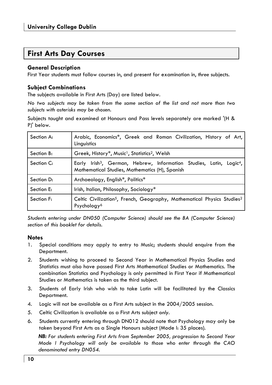### **First Arts Day Courses**

#### **General Description**

First Year students must follow courses in, and present for examination in, *three* subjects.

#### **Subject Combinations**

The subjects available in First Arts (Day) are listed below.

*No two subjects may be taken from the same section of the list and not more than two subjects with asterisks may be chosen.* 

Subjects taught and examined at Honours and Pass levels separately are marked '(H & P)' below.

| Section A: | Arabic, Economics*, Greek and Roman Civilization, History of Art,<br>Linguistics                                                              |
|------------|-----------------------------------------------------------------------------------------------------------------------------------------------|
| Section B: | Greek, History*, Music <sup>1</sup> , Statistics <sup>2</sup> , Welsh                                                                         |
| Section C: | Early Irish <sup>3</sup> , German, Hebrew, Information Studies, Latin, Logic <sup>4</sup> ,<br>Mathematical Studies, Mathematics (H), Spanish |
| Section D: | Archaeology, English*, Politics*                                                                                                              |
| Section E: | Irish, Italian, Philosophy, Sociology*                                                                                                        |
| Section F: | Celtic Civilization <sup>5</sup> , French, Geography, Mathematical Physics Studies <sup>2</sup><br>Psychology <sup>6</sup>                    |

*Students entering under DN050 (Computer Science) should see the BA (Computer Science) section of this booklet for details.* 

#### **Notes**

- 1. Special conditions may apply to entry to Music; students should enquire from the Department.
- 2. Students wishing to proceed to Second Year in Mathematical Physics Studies and Statistics must also have passed First Arts Mathematical Studies or Mathematics. The combination Statistics and Psychology is only permitted in First Year if Mathematical Studies or Mathematics is taken as the third subject.
- 3. Students of Early Irish who wish to take Latin will be facilitated by the Classics Department.
- 4. Logic will not be available as a First Arts subject in the 2004/2005 session.
- 5. Celtic Civilization is available as a First Arts subject *only*.
- 6. Students currently entering through DN012 should note that Psychology may only be taken beyond First Arts as a Single Honours subject (Mode I: 35 places).

*NB: For students entering First Arts from September 2005, progression to Second Year Mode I Psychology will only be available to those who enter through the CAO denominated entry DN054.*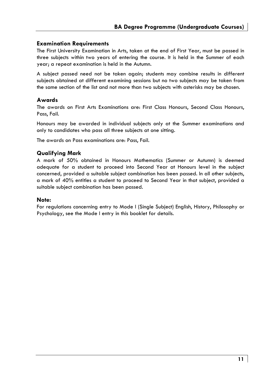#### **Examination Requirements**

The First University Examination in Arts, taken at the end of First Year, must be passed in three subjects within two years of entering the course. It is held in the Summer of each year; a repeat examination is held in the Autumn.

A subject passed need not be taken again; students may combine results in different subjects obtained at different examining sessions but no two subjects may be taken from the same section of the list and not more than two subjects with asterisks may be chosen.

#### **Awards**

The awards on First Arts Examinations are: First Class Honours, Second Class Honours, Pass, Fail.

Honours may be awarded in individual subjects only at the Summer examinations and only to candidates who pass all three subjects at one sitting.

The awards on Pass examinations are: Pass, Fail.

#### **Qualifying Mark**

A mark of 50% obtained in Honours Mathematics (Summer or Autumn) is deemed adequate for a student to proceed into Second Year at Honours level in the subject concerned, provided a suitable subject combination has been passed. In all other subjects, a mark of 40% entitles a student to proceed to Second Year in that subject, provided a suitable subject combination has been passed.

#### **Note:**

For regulations concerning entry to Mode I (Single Subject) English, History, Philosophy or Psychology, see the Mode I entry in this booklet for details.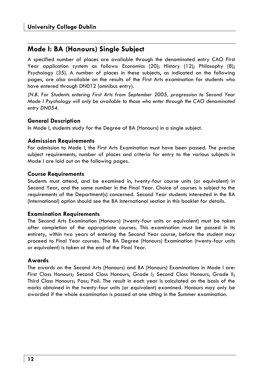### **Mode I: BA (Honours) Single Subject**

A specified number of places are available through the denominated entry CAO First Year application system as follows: Economics (20); History (12); Philosophy (8); Psychology (35). A number of places in these subjects, as indicated on the following pages, are also available on the results of the First Arts examination for students who have entered through DN012 (omnibus entry).

*(N.B. For Students entering First Arts from September 2005, progression to Second Year Mode I Psychology will only be available to those who enter through the CAO denominated entry DN054.* 

#### **General Description**

In Mode I, students study for the Degree of BA (Honours) in a single subject.

#### **Admission Requirements**

For admission to Mode I, the First Arts Examination must have been passed. The precise subject requirements, number of places and criteria for entry to the various subjects in Mode I are laid out on the following pages.

#### **Course Requirements**

Students must attend, and be examined in, twenty-four course units (or equivalent) in Second Year, and the same number in the Final Year. Choice of courses is subject to the requirements of the Department(s) concerned. Second Year students interested in the BA (International) option should see the BA International section in this booklet for details.

#### **Examination Requirements**

The Second Arts Examination (Honours) (twenty-four units or equivalent) must be taken after completion of the appropriate courses. This examination must be passed in its entirety, within two years of entering the Second Year course, before the student may proceed to Final Year courses. The BA Degree (Honours) Examination (twenty-four units or equivalent) is taken at the end of the Final Year.

#### **Awards**

The awards on the Second Arts (Honours) and BA (Honours) Examinations in Mode I are: First Class Honours; Second Class Honours, Grade I; Second Class Honours, Grade II; Third Class Honours; Pass; Fail. The result in each year is calculated on the basis of the marks obtained in the twenty-four units (or equivalent) examined. Honours may only be awarded if the whole examination is passed at one sitting in the Summer examination.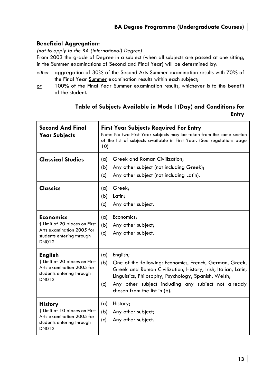#### **Beneficial Aggregation:**

*(not to apply to the BA (International) Degree)* 

From 2003 the grade of Degree in a subject (when all subjects are passed at one sitting, in the Summer examinations of Second and Final Year) will be determined by:

- *either* aggregation of 30% of the Second Arts Summer examination results with 70% of the Final Year Summer examination results within each subject;
- *or* 100% of the Final Year Summer examination results, whichever is to the benefit of the student.

#### **Table of Subjects Available in Mode I (Day) and Conditions for Entry**

| <b>Second And Final</b><br><b>Year Subjects</b>                                                                             | <b>First Year Subjects Required For Entry</b><br>Note: No two First Year subjects may be taken from the same section<br>of the list of subjects available in First Year. (See regulations page<br>10)                                                                                                    |  |  |  |
|-----------------------------------------------------------------------------------------------------------------------------|----------------------------------------------------------------------------------------------------------------------------------------------------------------------------------------------------------------------------------------------------------------------------------------------------------|--|--|--|
| <b>Classical Studies</b>                                                                                                    | Greek and Roman Civilization;<br>(a)<br>Any other subject (not including Greek);<br>(b)<br>Any other subject (not including Latin).<br>(c)                                                                                                                                                               |  |  |  |
| <b>Classics</b>                                                                                                             | Greek;<br>(a)<br>(b)<br>Latin;<br>Any other subject.<br>(c)                                                                                                                                                                                                                                              |  |  |  |
| <b>Economics</b><br>† Limit of 20 places on First<br>Arts examination 2005 for<br>students entering through<br><b>DN012</b> | Economics;<br>(a)<br>(b)<br>Any other subject;<br>(c)<br>Any other subject.                                                                                                                                                                                                                              |  |  |  |
| <b>English</b><br>† Limit of 20 places on First<br>Arts examination 2005 for<br>students entering through<br><b>DN012</b>   | English;<br>(a)<br>(b)<br>One of the following: Economics, French, German, Greek,<br>Greek and Roman Civilization, History, Irish, Italian, Latin,<br>Linguistics, Philosophy, Psychology, Spanish, Welsh;<br>Any other subject including any subject not already<br>(c)<br>chosen from the list in (b). |  |  |  |
| <b>History</b><br>† Limit of 10 places on First<br>Arts examination 2005 for<br>students entering through<br><b>DN012</b>   | (a)<br>History;<br>(b)<br>Any other subject;<br>Any other subject.<br>(c)                                                                                                                                                                                                                                |  |  |  |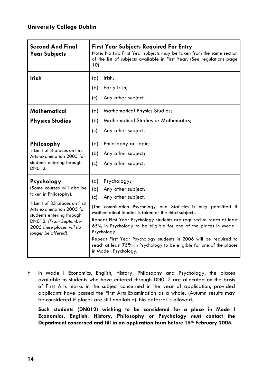| <b>Second And Final</b><br><b>Year Subjects</b>                                                                                                                                                                                            | <b>First Year Subjects Required For Entry</b><br>Note: No two First Year subjects may be taken from the same section<br>of the list of subjects available in First Year. (See regulations page<br>10)                                                                                                                                                                                                                                                                                                                                     |
|--------------------------------------------------------------------------------------------------------------------------------------------------------------------------------------------------------------------------------------------|-------------------------------------------------------------------------------------------------------------------------------------------------------------------------------------------------------------------------------------------------------------------------------------------------------------------------------------------------------------------------------------------------------------------------------------------------------------------------------------------------------------------------------------------|
| <b>Irish</b>                                                                                                                                                                                                                               | Irish;<br>(a)<br>Early Irish;<br>(b)<br>(c)<br>Any other subject.                                                                                                                                                                                                                                                                                                                                                                                                                                                                         |
| Mathematical<br><b>Physics Studies</b>                                                                                                                                                                                                     | <b>Mathematical Physics Studies;</b><br>(a)<br><b>Mathematical Studies or Mathematics;</b><br>(b)<br>(c)<br>Any other subject.                                                                                                                                                                                                                                                                                                                                                                                                            |
| Philosophy<br>† Limit of 8 places on First<br>Arts examination 2005 for<br>students entering through<br>DN012.                                                                                                                             | Philosophy or Logic;<br>(a)<br>(b)<br>Any other subject;<br>Any other subject.<br>(c)                                                                                                                                                                                                                                                                                                                                                                                                                                                     |
| Psychology<br>(Some courses will also be<br>taken in Philosophy).<br>† Limit of 35 places on First<br>Arts examination 2005 for<br>students entering through<br>DN012. (From September<br>2005 these places will no<br>longer be offered). | Psychology;<br>(a)<br>Any other subject;<br>(b)<br>(c)<br>Any other subject.<br>(The combination Psychology and Statistics is only permitted if<br>Mathematical Studies is taken as the third subject).<br>Repeat First Year Psychology students are required to reach at least<br>65% in Psychology to be eligible for one of the places in Mode I<br>Psychology.<br>Repeat First Year Psychology students in 2006 will be required to<br>reach at least 75% in Psychology to be eligible for one of the places<br>in Mode I Psychology. |

† In Mode I Economics, English, History, Philosophy and Psychology, the places available to students who have entered through DN012 are allocated on the basis of First Arts marks in the subject concerned in the year of application, provided applicants have passed the First Arts Examination as a whole. (Autumn results may be considered if places are still available). No deferral is allowed.

 **Such students (DN012) wishing to be considered for a place in Mode I Economics, English, History, Philosophy or Psychology** *must* **contact the Department concerned and fill in an application form before 15th February 2005.**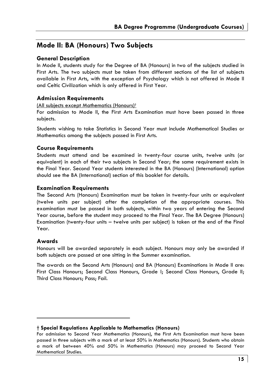### **Mode II: BA (Honours) Two Subjects**

#### **General Description**

In Mode II, students study for the Degree of BA (Honours) in two of the subjects studied in First Arts. The two subjects must be taken from different sections of the list of subjects available in First Arts, with the exception of Psychology which is not offered in Mode II and Celtic Civilization which is only offered in First Year.

#### **Admission Requirements**

(All subjects except Mathematics (Honours)†

For admission to Mode II, the First Arts Examination must have been passed in three subjects.

Students wishing to take Statistics in Second Year must include Mathematical Studies or Mathematics among the subjects passed in First Arts.

#### **Course Requirements**

Students must attend and be examined in twenty-four course units, twelve units (or equivalent) in each of their two subjects in Second Year; the same requirement exists in the Final Year. Second Year students interested in the BA (Honours) (International) option should see the BA (International) section of this booklet for details.

#### **Examination Requirements**

The Second Arts (Honours) Examination must be taken in twenty-four units or equivalent (twelve units per subject) after the completion of the appropriate courses. This examination must be passed in both subjects, within two years of entering the Second Year course, before the student may proceed to the Final Year. The BA Degree (Honours) Examination (twenty-four units – twelve units per subject) is taken at the end of the Final Year.

#### **Awards**

Honours will be awarded separately in each subject. Honours may only be awarded if both subjects are passed at one sitting in the Summer examination.

The awards on the Second Arts (Honours) and BA (Honours) Examinations in Mode II are: First Class Honours; Second Class Honours, Grade I; Second Class Honours, Grade II; Third Class Honours; Pass; Fail.

**<sup>†</sup> Special Regulations Applicable to Mathematics (Honours)** 

For admission to Second Year Mathematics (Honours), the First Arts Examination must have been passed in three subjects with a mark of at least 50% in Mathematics (Honours). Students who obtain a mark of between 40% and 50% in Mathematics (Honours) may proceed to Second Year Mathematical Studies.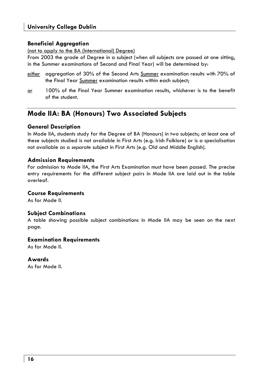#### **Beneficial Aggregation**

(not to apply to the BA (International) Degree)

From 2003 the grade of Degree in a subject (when all subjects are passed at one sitting, in the Summer examinations of Second and Final Year) will be determined by:

- *either* aggregation of 30% of the Second Arts Summer examination results with 70% of the Final Year Summer examination results within each subject;
- *or* 100% of the Final Year Summer examination results, whichever is to the benefit of the student.

### **Mode IIA: BA (Honours) Two Associated Subjects**

#### **General Description**

In Mode IIA, students study for the Degree of BA (Honours) in two subjects; at least one of these subjects studied is not available in First Arts (e.g. Irish Folklore) or is a specialisation not available as a *separate* subject in First Arts (e.g. Old and Middle English).

#### **Admission Requirements**

For admission to Mode IIA, the First Arts Examination must have been passed. The precise entry requirements for the different subject pairs in Mode IIA are laid out in the table overleaf.

#### **Course Requirements**

As for Mode II.

#### **Subject Combinations**

A table showing possible subject combinations in Mode IIA may be seen on the next page.

#### **Examination Requirements**

As for Mode II.

#### **Awards**

As for Mode II.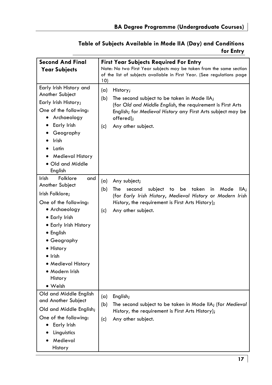#### **Table of Subjects Available in Mode IIA (Day) and Conditions for Entry**

| <b>Second And Final</b><br><b>Year Subjects</b>                                                                                                                                                                                                                                      | <b>First Year Subjects Required For Entry</b><br>Note: No two First Year subjects may be taken from the same section<br>of the list of subjects available in First Year. (See regulations page                                                      |
|--------------------------------------------------------------------------------------------------------------------------------------------------------------------------------------------------------------------------------------------------------------------------------------|-----------------------------------------------------------------------------------------------------------------------------------------------------------------------------------------------------------------------------------------------------|
| Early Irish History and<br>Another Subject<br>Early Irish History;<br>One of the following:<br>Archaeology<br>$\bullet$<br>Early Irish<br>Geography<br><b>Irish</b><br>Latin<br>Medieval History<br>• Old and Middle<br>English                                                      | 10)<br>(a)<br>History;<br>(b)<br>The second subject to be taken in Mode IIA;<br>(for Old and Middle English, the requirement is First Arts<br>English; for Medieval History any First Arts subject may be<br>offered);<br>Any other subject.<br>(c) |
| Irish<br>Folklore<br>and<br>Another Subject<br>Irish Folklore;<br>One of the following:<br>• Archaeology<br>• Early Irish<br>• Early Irish History<br>• English<br>• Geography<br>• History<br>$\bullet$ Irish<br>$\bullet$ Medieval History<br>• Modern Irish<br>History<br>• Welsh | (a)<br>Any subject;<br>(b)<br>The<br>subject<br>taken<br>second<br>to<br>be<br>in<br>Mode<br>IIA;<br>(for Early Irish History, Medieval History or Modern Irish<br>History, the requirement is First Arts History);<br>Any other subject.<br>(c)    |
| Old and Middle English<br>and Another Subject<br>Old and Middle English;<br>One of the following:<br>Early Irish<br>Linguistics<br>Medieval<br>History                                                                                                                               | (a)<br>English;<br>(b)<br>The second subject to be taken in Mode IIA; (for Medieval<br>History, the requirement is First Arts History);<br>Any other subject.<br>(c)                                                                                |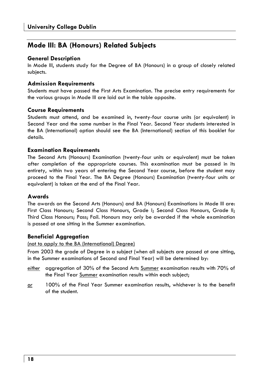### **Mode III: BA (Honours) Related Subjects**

#### **General Description**

In Mode III, students study for the Degree of BA (Honours) in a group of closely related subjects.

#### **Admission Requirements**

Students must have passed the First Arts Examination. The precise entry requirements for the various groups in Mode III are laid out in the table opposite.

#### **Course Requirements**

Students must attend, and be examined in, twenty-four course units (or equivalent) in Second Year and the same number in the Final Year. Second Year students interested in the BA (International) option should see the BA (International) section of this booklet for details.

#### **Examination Requirements**

The Second Arts (Honours) Examination (twenty-four units or equivalent) must be taken after completion of the appropriate courses. This examination must be passed in its entirety, within two years of entering the Second Year course, before the student may proceed to the Final Year. The BA Degree (Honours) Examination (twenty-four units or equivalent) is taken at the end of the Final Year.

#### **Awards**

The awards on the Second Arts (Honours) and BA (Honours) Examinations in Mode III are: First Class Honours; Second Class Honours, Grade I; Second Class Honours, Grade II; Third Class Honours; Pass; Fail. Honours may only be awarded if the whole examination is passed at one sitting in the Summer examination.

#### **Beneficial Aggregation**

#### (not to apply to the BA (International) Degree)

From 2003 the grade of Degree in a subject (when all subjects are passed at one sitting, in the Summer examinations of Second and Final Year) will be determined by:

- *either* aggregation of 30% of the Second Arts Summer examination results with 70% of the Final Year Summer examination results within each subject;
- *or* 100% of the Final Year Summer examination results, whichever is to the benefit of the student.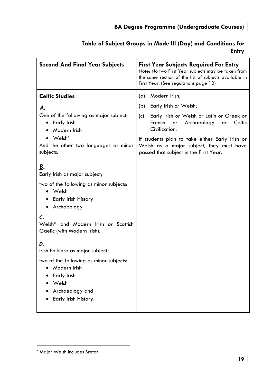### **Table of Subject Groups in Mode III (Day) and Conditions for**

**Entry** 

| <b>Second And Final Year Subjects</b>                                                                                                                                                                                                                                                                | <b>First Year Subjects Required For Entry</b><br>Note: No two First Year subjects may be taken from<br>the same section of the list of subjects available in<br>First Year. (See regulations page 10)                                                                                                            |
|------------------------------------------------------------------------------------------------------------------------------------------------------------------------------------------------------------------------------------------------------------------------------------------------------|------------------------------------------------------------------------------------------------------------------------------------------------------------------------------------------------------------------------------------------------------------------------------------------------------------------|
| <b>Celtic Studies</b><br>А.<br>One of the following as major subject:<br>• Early Irish<br>Modern Irish<br>$\bullet$ Welsh $^*$<br>And the other two languages as minor<br>subjects.<br>В.<br>Early Irish as major subject;<br>two of the following as minor subjects:<br>$\bullet$ Welsh             | Modern Irish;<br>(a)<br>Early Irish or Welsh;<br>(b)<br>Early Irish or Welsh or Latin or Greek or<br>(c)<br>French<br>Archaeology<br>Celtic<br>or<br>or<br>Civilization.<br>If students plan to take either Early Irish or<br>Welsh as a major subject, they must have<br>passed that subject in the First Year. |
| Early Irish History<br>• Archaeology<br>C.<br>Welsh* and Modern Irish or Scottish<br>Gaelic (with Modern Irish).<br>D.<br>Irish Folklore as major subject;<br>two of the following as minor subjects:<br>Modern Irish<br>• Early Irish<br>$\bullet$ Welsh<br>Archaeology and<br>Early Irish History. |                                                                                                                                                                                                                                                                                                                  |

<sup>\*</sup> Major Welsh includes Breton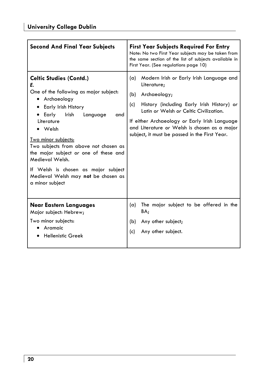| <b>Second And Final Year Subjects</b>                                                                                                                                                                                                                                                                                                                                                                                  | <b>First Year Subjects Required For Entry</b><br>Note: No two First Year subjects may be taken from<br>the same section of the list of subjects available in<br>First Year. (See regulations page 10)                                                                                                                                  |
|------------------------------------------------------------------------------------------------------------------------------------------------------------------------------------------------------------------------------------------------------------------------------------------------------------------------------------------------------------------------------------------------------------------------|----------------------------------------------------------------------------------------------------------------------------------------------------------------------------------------------------------------------------------------------------------------------------------------------------------------------------------------|
| <b>Celtic Studies (Contd.)</b><br>Е.<br>One of the following as major subject:<br>• Archaeology<br>Early Irish History<br>Early<br>Irish<br>Language<br>and<br>Literature<br>Welsh<br><u>Two minor subjects:</u><br>Two subjects from above not chosen as<br>the major subject or one of these and<br>Medieval Welsh.<br>If Welsh is chosen as major subject<br>Medieval Welsh may not be chosen as<br>a minor subject | Modern Irish or Early Irish Language and<br>(a)<br>Literature;<br>Archaeology;<br>(b)<br>History (including Early Irish History) or<br>(c)<br>Latin or Welsh or Celtic Civilization.<br>If either Archaeology or Early Irish Language<br>and Literature or Welsh is chosen as a major<br>subject, it must be passed in the First Year. |
| Near Eastern Languages<br>Major subject: Hebrew;<br>Two minor subjects:<br>Aramaic<br><b>Hellenistic Greek</b>                                                                                                                                                                                                                                                                                                         | The major subject to be offered in the<br>(a)<br>BA;<br>Any other subject;<br>(b)<br>Any other subject.<br>(c)                                                                                                                                                                                                                         |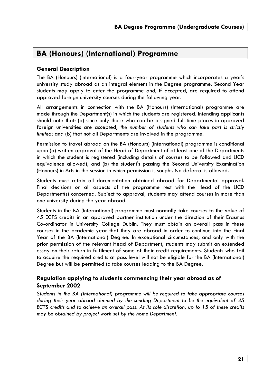### **BA (Honours) (International) Programme**

#### **General Description**

The BA (Honours) (International) is a four-year programme which incorporates a year's university study abroad as an integral element in the Degree programme. Second Year students may apply to enter the programme and, if accepted, are required to attend approved foreign university courses during the following year.

All arrangements in connection with the BA (Honours) (International) programme are made through the Department(s) in which the students are registered. Intending applicants should note that: (a) since only those who can be assigned full-time places in approved foreign universities are accepted, *the number of students who can take part is strictly limited*; and (b) that not all Departments are involved in the programme.

Permission to travel abroad on the BA (Honours) (International) programme is conditional upon (a) written approval of the Head of Department of at least one of the Departments in which the student is registered (including details of courses to be followed and UCD equivalence allowed); and (b) the student's passing the Second University Examination (Honours) in Arts in the session in which permission is sought. No deferral is allowed.

Students must retain all documentation obtained abroad for Departmental approval. Final decisions on all aspects of the programme rest with the Head of the UCD Department(s) concerned. Subject to approval, students may attend courses in more than one university during the year abroad.

Students in the BA (International) programme must normally take courses to the value of 45 ECTS credits in an approved partner institution under the direction of their Erasmus Co-ordinator in University College Dublin. They must obtain an overall pass in these courses in the academic year that they are abroad in order to continue into the Final Year of the BA (International) Degree. In exceptional circumstances, and only with the prior permission of the relevant Head of Department, students may submit an extended essay on their return in fulfilment of some of their credit requirements. Students who fail to acquire the required credits at pass level will not be eligible for the BA (International) Degree but will be permitted to take courses leading to the BA Degree.

#### **Regulation applying to students commencing their year abroad as of September 2002**

*Students in the BA (International) programme will be required to take appropriate courses during their year abroad deemed by the sending Department to be the equivalent of 45 ECTS credits and to achieve an overall pass. At its sole discretion, up to 15 of these credits may be obtained by project work set by the home Department.*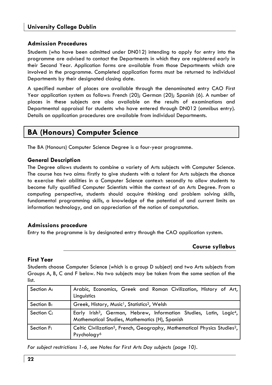#### **Admission Procedures**

Students (who have been admitted under DN012) intending to apply for entry into the programme are advised to contact the Departments in which they are registered early in their Second Year. Application forms are available from those Departments which are involved in the programme. Completed application forms must be returned to individual Departments by their designated closing date.

A specified number of places are available through the denominated entry CAO First Year application system as follows: French (20); German (20); Spanish (6). A number of places in these subjects are also available on the results of examinations and Departmental appraisal for students who have entered through DN012 (omnibus entry). Details on application procedures are available from individual Departments.

### **BA (Honours) Computer Science**

The BA (Honours) Computer Science Degree is a four-year programme.

#### **General Description**

The Degree allows students to combine a variety of Arts subjects with Computer Science. The course has two aims: firstly to give students with a talent for Arts subjects the chance to exercise their abilities in a Computer Science context: secondly to allow students to become fully qualified Computer Scientists within the context of an Arts Degree. From a computing perspective, students should acquire thinking and problem solving skills, fundamental programming skills, a knowledge of the potential of and current limits on information technology, and an appreciation of the notion of computation.

#### **Admissions procedure**

Entry to the programme is by designated entry through the CAO application system.

#### **Course syllabus**

#### **First Year**

Students choose Computer Science (which is a group D subject) and two Arts subjects from Groups A, B, C and F below. No two subjects may be taken from the same section of the list.

| Section A: | Arabic, Economics, Greek and Roman Civilization, History of Art,<br>Linguistics                                                               |
|------------|-----------------------------------------------------------------------------------------------------------------------------------------------|
| Section B: | Greek, History, Music <sup>1</sup> , Statistics <sup>2</sup> , Welsh                                                                          |
| Section C: | Early Irish <sup>3</sup> , German, Hebrew, Information Studies, Latin, Logic <sup>4</sup> ,<br>Mathematical Studies, Mathematics (H), Spanish |
| Section F: | Celtic Civilization <sup>5</sup> , French, Geography, Mathematical Physics Studies <sup>2</sup> ,<br>Psychology <sup>6</sup>                  |

*For subject restrictions 1-6, see Notes for First Arts Day subjects (page 10).*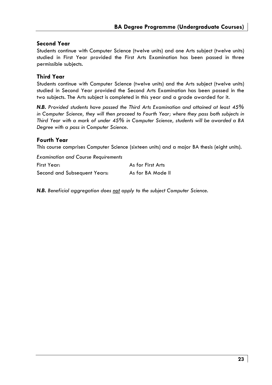#### **Second Year**

Students continue with Computer Science (twelve units) and one Arts subject (twelve units) studied in First Year provided the First Arts Examination has been passed in three permissible subjects.

#### **Third Year**

Students continue with Computer Science (twelve units) and the Arts subject (twelve units) studied in Second Year provided the Second Arts Examination has been passed in the two subjects. The Arts subject is completed in this year and a grade awarded for it.

*N.B. Provided students have passed the Third Arts Examination and attained at least 45%*  in Computer Science, they will then proceed to Fourth Year; where they pass both subjects in *Third Year with a mark of under 45% in Computer Science, students will be awarded a BA Degree with a pass in Computer Science.* 

#### **Fourth Year**

This course comprises Computer Science (sixteen units) and a major BA thesis (eight units).

| <b>Examination and Course Requirements</b> |                   |
|--------------------------------------------|-------------------|
| First Year:                                | As for First Arts |
| Second and Subsequent Years:               | As for BA Mode II |

*N.B. Beneficial aggregation does not apply to the subject Computer Science.*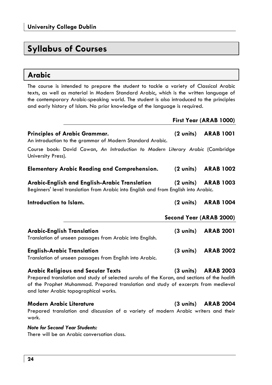## **Syllabus of Courses**

### **Arabic**

The course is intended to prepare the student to tackle a variety of Classical Arabic texts, as well as material in Modern Standard Arabic, which is the written language of the contemporary Arabic-speaking world. The student is also introduced to the principles and early history of Islam. No prior knowledge of the language is required.

|                                                                                                                                                                                                                                                                       |                     | First Year (ARAB 1000)        |
|-----------------------------------------------------------------------------------------------------------------------------------------------------------------------------------------------------------------------------------------------------------------------|---------------------|-------------------------------|
| <b>Principles of Arabic Grammar.</b><br>An introduction to the grammar of Modern Standard Arabic.                                                                                                                                                                     | $(2 \text{ units})$ | <b>ARAB 1001</b>              |
| Course book: David Cowan, An Introduction to Modern Literary Arabic (Cambridge<br>University Press).                                                                                                                                                                  |                     |                               |
| <b>Elementary Arabic Reading and Comprehension.</b>                                                                                                                                                                                                                   |                     | (2 units) ARAB 1002           |
| Arabic-English and English-Arabic Translation<br>Beginners' level translation from Arabic into English and from English into Arabic.                                                                                                                                  |                     | (2 units) ARAB 1003           |
| Introduction to Islam.                                                                                                                                                                                                                                                |                     | (2 units) ARAB 1004           |
|                                                                                                                                                                                                                                                                       |                     | Second Year (ARAB 2000)       |
| <b>Arabic-English Translation</b><br>Translation of unseen passages from Arabic into English.                                                                                                                                                                         |                     | (3 units) ARAB 2001           |
| <b>English-Arabic Translation</b><br>Translation of unseen passages from English into Arabic.                                                                                                                                                                         | $(3 \text{ units})$ | <b>ARAB 2002</b>              |
| <b>Arabic Religious and Secular Texts</b><br>Prepared translation and study of selected surahs of the Koran, and sections of the hadith<br>of the Prophet Muhammad. Prepared translation and study of excerpts from medieval<br>and later Arabic topographical works. |                     | (3 units) ARAB 2003           |
| <b>Modern Arabic Literature</b><br>Prepared translation and discussion of a variety of modern Arabic writers and their                                                                                                                                                |                     | $(3 \text{ units})$ ARAB 2004 |

anslation and discussion of a variety of modern Arabic writers and their work.

#### *Note for Second Year Students:*

There will be an Arabic conversation class.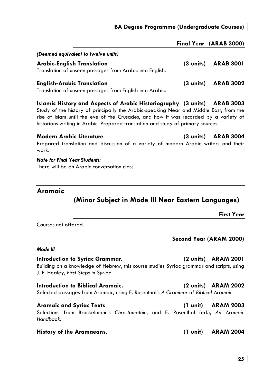|                                                                                               |                     | Final Year (ARAB 3000) |
|-----------------------------------------------------------------------------------------------|---------------------|------------------------|
| (Deemed equivalent to twelve units)                                                           |                     |                        |
| Arabic-English Translation<br>Translation of unseen passages from Arabic into English.        | $(3 \text{ units})$ | <b>ARAB 3001</b>       |
| <b>English-Arabic Translation</b><br>Translation of unseen passages from English into Arabic. | $(3 \text{ units})$ | <b>ARAB 3002</b>       |

**Islamic History and Aspects of Arabic Historiography (3 units) ARAB 3003**  Study of the history of principally the Arabic-speaking Near and Middle East, from the rise of Islam until the eve of the Crusades, and how it was recorded by a variety of historians writing in Arabic. Prepared translation and study of primary sources.

**Modern Arabic Literature (3 units) ARAB 3004**  Prepared translation and discussion of a variety of modern Arabic writers and their work.

*Note for Final Year Students:*  There will be an Arabic conversation class.

#### **Aramaic**

### **(Minor Subject in Mode III Near Eastern Languages)**

**First Year** 

Courses not offered.

**Second Year (ARAM 2000)** 

#### *Mode III*

**Introduction to Syriac Grammar. (2 units) ARAM 2001**  Building on a knowledge of Hebrew, this course studies Syriac grammar and scripts, using J. F. Healey, *First Steps in Syriac* 

#### **Introduction to Biblical Aramaic. (2 units) ARAM 2002**

Selected passages from Aramaic, using F. Rosenthal's *A Grammar of Biblical Aramaic.*

**Aramaic and Syriac Texts (1 unit) ARAM 2003** 

Selections from Brockelmann's *Chrestomathie*, and F. Rosenthal (ed.), *An Aramaic Handbook*.

#### **History of the Aramaeans. (1 unit) ARAM 2004**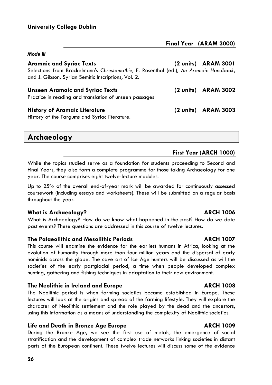*Mode III* 

| (2 units) ARAM 3001                                                                   |
|---------------------------------------------------------------------------------------|
| Selections from Brockelmann's Chrestomathie, F. Rosenthal (ed.), An Aramaic Handbook, |
| (2 units) ARAM 3002                                                                   |
|                                                                                       |
| (2 units) ARAM 3003                                                                   |
|                                                                                       |
|                                                                                       |

**Archaeology**

#### **First Year (ARCH 1000)**

While the topics studied serve as a foundation for students proceeding to Second and Final Years, they also form a complete programme for those taking Archaeology for one year. The course comprises eight twelve-lecture modules.

Up to 25% of the overall end-of-year mark will be awarded for continuously assessed coursework (including essays and worksheets). These will be submitted on a regular basis throughout the year.

#### **What is Archaeology? ARCH 1006**

What is Archaeology? How do we know what happened in the past? How do we date past events? These questions are addressed in this course of twelve lectures.

#### **The Palaeolithic and Mesolithic Periods ARCH 1007**

This course will examine the evidence for the earliest humans in Africa, looking at the evolution of humanity through more than four million years and the dispersal of early hominids across the globe. The cave art of Ice Age hunters will be discussed as will the societies of the early postglacial period, a time when people developed complex hunting, gathering and fishing techniques in adaptation to their new environment.

#### **The Neolithic in Ireland and Europe ARCH 1008**

The Neolithic period is when farming societies became established in Europe. These lectures will look at the origins and spread of the farming lifestyle. They will explore the character of Neolithic settlement and the role played by the dead and the ancestors, using this information as a means of understanding the complexity of Neolithic societies.

#### **Life and Death in Bronze Age Europe ARCH 1009**

During the Bronze Age, we see the first use of metals, the emergence of social stratification and the development of complex trade networks linking societies in distant parts of the European continent. These twelve lectures will discuss some of the evidence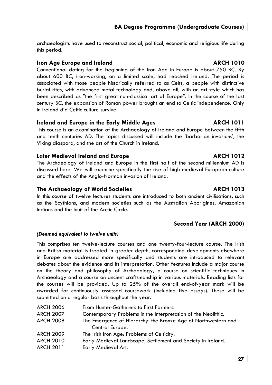archaeologists have used to reconstruct social, political, economic and religious life during this period.

#### **Iron Age Europe and Ireland ARCH 1010**

Conventional dating for the beginning of the Iron Age in Europe is about 750 BC. By about 600 BC, iron-working, on a limited scale, had reached Ireland. The period is associated with those people historically referred to as Celts, a people with distinctive burial rites, with advanced metal technology and, above all, with an art style which has been described as "the first great non-classical art of Europe". In the course of the last century BC, the expansion of Roman power brought an end to Celtic independence. Only in Ireland did Celtic culture survive.

#### **Ireland and Europe in the Early Middle Ages ARCH 1011**

This course is an examination of the Archaeology of Ireland and Europe between the fifth and tenth centuries AD. The topics discussed will include the 'barbarian invasions', the Viking diaspora, and the art of the Church in Ireland.

#### Later Medieval Ireland and Europe **ARCH 1012**

The Archaeology of Ireland and Europe in the first half of the second millennium AD is discussed here. We will examine specifically the rise of high medieval European culture and the effects of the Anglo-Norman invasion of Ireland.

#### **The Archaeology of World Societies ARCH 1013**

In this course of twelve lectures students are introduced to both ancient civilisations, such as the Scythians, and modern societies such as the Australian Aborigines, Amazonian Indians and the Inuit of the Arctic Circle.

#### **Second Year (ARCH 2000)**

#### *(Deemed equivalent to twelve units)*

This comprises ten twelve-lecture courses and one twenty-four-lecture course. The Irish and British material is treated in greater depth, corresponding developments elsewhere in Europe are addressed more specifically and students are introduced to relevant debates about the evidence and its interpretation. Other features include a major course on the theory and philosophy of Archaeology, a course on scientific techniques in Archaeology and a course on ancient craftsmanship in various materials. Reading lists for the courses will be provided. Up to 25% of the overall end-of-year mark will be awarded for continuously assessed coursework (including five essays). These will be submitted on a regular basis throughout the year.

| <b>ARCH 2006</b> | From Hunter-Gatherers to First Farmers.                        |
|------------------|----------------------------------------------------------------|
| <b>ARCH 2007</b> | Contemporary Problems in the Interpretation of the Neolithic.  |
| <b>ARCH 2008</b> | The Emergence of Hierarchy: the Bronze Age of Northwestern and |
|                  | Central Europe.                                                |
| <b>ARCH 2009</b> | The Irish Iron Age: Problems of Celticity.                     |
| <b>ARCH 2010</b> | Early Medieval Landscape, Settlement and Society in Ireland.   |
| <b>ARCH 2011</b> | Early Medieval Art.                                            |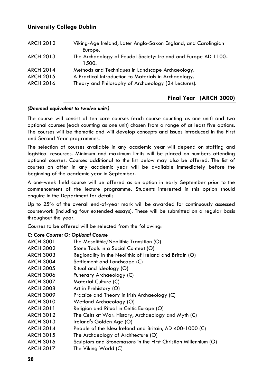#### **University College Dublin**

| <b>ARCH 2012</b> | Viking-Age Ireland, Later Anglo-Saxon England, and Carolingian |
|------------------|----------------------------------------------------------------|
|                  | Europe.                                                        |
| <b>ARCH 2013</b> | The Archaeology of Feudal Society: Ireland and Europe AD 1100- |
|                  | 1500.                                                          |
| <b>ARCH 2014</b> | Methods and Techniques in Landscape Archaeology.               |
| <b>ARCH 2015</b> | A Practical Introduction to Materials in Archaeology.          |
| <b>ARCH 2016</b> | Theory and Philosophy of Archaeology (24 Lectures).            |
|                  |                                                                |

#### **Final Year (ARCH 3000)**

#### *(Deemed equivalent to twelve units)*

The course will consist of ten core courses (each course counting as one unit) and two optional courses (each counting as one unit) chosen from a range of at least five options. The courses will be thematic and will develop concepts and issues introduced in the First and Second Year programmes.

The selection of courses available in any academic year will depend on staffing and logistical resources. Minimum and maximum limits will be placed on numbers attending optional courses. Courses additional to the list below may also be offered. The list of courses on offer in any academic year will be available immediately before the beginning of the academic year in September.

A one-week field course will be offered as an option in early September *prior* to the commencement of the lecture programme. Students interested in this option should enquire in the Department for details.

Up to 25% of the overall end-of-year mark will be awarded for continuously assessed coursework (including four extended essays). These will be submitted on a regular basis throughout the year.

Courses to be offered will be selected from the following:

#### *C: Core Course; O: Optional Course*

| <b>ARCH 3001</b> | The Mesolithic/Neolithic Transition (O)                         |
|------------------|-----------------------------------------------------------------|
| <b>ARCH 3002</b> | Stone Tools in a Social Context (O)                             |
| <b>ARCH 3003</b> | Regionality in the Neolithic of Ireland and Britain (O)         |
| <b>ARCH 3004</b> | Settlement and Landscape (C)                                    |
| <b>ARCH 3005</b> | Ritual and Ideology (O)                                         |
| <b>ARCH 3006</b> | Funerary Archaeology (C)                                        |
| <b>ARCH 3007</b> | Material Culture (C)                                            |
| <b>ARCH 3008</b> | Art in Prehistory (O)                                           |
| <b>ARCH 3009</b> | Practice and Theory in Irish Archaeology (C)                    |
| <b>ARCH 3010</b> | Wetland Archaeology (O)                                         |
| ARCH 3011        | Religion and Ritual in Celtic Europe (O)                        |
| <b>ARCH 3012</b> | The Celts at War: History, Archaeology and Myth (C)             |
| <b>ARCH 3013</b> | Ireland's Golden Age (O)                                        |
| <b>ARCH 3014</b> | People of the Isles: Ireland and Britain, AD 400-1000 (C)       |
| <b>ARCH 3015</b> | The Archaeology of Architecture (O)                             |
| <b>ARCH 3016</b> | Sculptors and Stonemasons in the First Christian Millennium (O) |
| <b>ARCH 3017</b> | The Viking World (C)                                            |
|                  |                                                                 |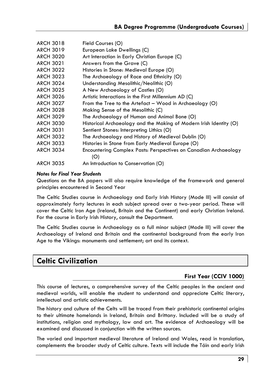| <b>ARCH 3018</b> | Field Courses (O)                                                  |
|------------------|--------------------------------------------------------------------|
| <b>ARCH 3019</b> | European Lake Dwellings (C)                                        |
| <b>ARCH 3020</b> | Art Interaction in Early Christian Europe (C)                      |
| <b>ARCH 3021</b> | Answers from the Grave (C)                                         |
| <b>ARCH 3022</b> | Histories in Stone: Medieval Europe (O)                            |
| <b>ARCH 3023</b> | The Archaeology of Race and Ethnicity (O)                          |
| <b>ARCH 3024</b> | Understanding Mesolithic/Neolithic (O)                             |
| <b>ARCH 3025</b> | A New Archaeology of Castles (O)                                   |
| <b>ARCH 3026</b> | Artistic Interactions in the First Millennium AD (C)               |
| <b>ARCH 3027</b> | From the Tree to the Artefact – Wood in Archaeology (O)            |
| <b>ARCH 3028</b> | Making Sense of the Mesolithic (C)                                 |
| <b>ARCH 3029</b> | The Archaeology of Human and Animal Bone (O)                       |
| <b>ARCH 3030</b> | Historical Archaeology and the Making of Modern Irish Identity (O) |
| <b>ARCH 3031</b> | Sentient Stones: Interpreting Lithics (O)                          |
| <b>ARCH 3032</b> | The Archaeology and History of Medieval Dublin (O)                 |
| <b>ARCH 3033</b> | Histories in Stone from Early Medieval Europe (O)                  |
| <b>ARCH 3034</b> | Encountering Complex Pasts: Perspectives on Canadian Archaeology   |
|                  | (O)                                                                |
| <b>ARCH 3035</b> | An Introduction to Conservation (O)                                |

#### *Notes for Final Year Students*

Questions on the BA papers will also require knowledge of the framework and general principles encountered in Second Year

The Celtic Studies course in Archaeology and Early Irish History (Mode III) will consist of approximately forty lectures in each subject spread over a two-year period. These will cover the Celtic Iron Age (Ireland, Britain and the Continent) and early Christian Ireland. For the course in Early Irish History, consult the Department.

The Celtic Studies course in Archaeology as a full minor subject (Mode III) will cover the Archaeology of Ireland and Britain and the continental background from the early Iron Age to the Vikings: monuments and settlement; art and its context.

### **Celtic Civilization**

#### **First Year (CCIV 1000)**

This course of lectures, a comprehensive survey of the Celtic peoples in the ancient and medieval worlds, will enable the student to understand and appreciate Celtic literary, intellectual and artistic achievements.

The history and culture of the Celts will be traced from their prehistoric continental origins to their ultimate homelands in Ireland, Britain and Brittany. Included will be a study of institutions, religion and mythology, law and art. The evidence of Archaeology will be examined and discussed in conjunction with the written sources.

The varied and important medieval literature of Ireland and Wales, read in translation, complements the broader study of Celtic culture. Texts will include the Táin and early Irish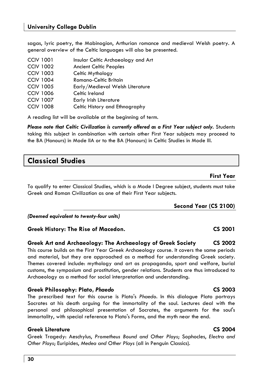**30** 

### **University College Dublin**

sagas, lyric poetry, the Mabinogion, Arthurian romance and medieval Welsh poetry. A general overview of the Celtic languages will also be presented.

| <b>CCIV 1001</b> | Insular Celtic Archaeology and Art |
|------------------|------------------------------------|
| <b>CCIV 1002</b> | <b>Ancient Celtic Peoples</b>      |
| <b>CCIV 1003</b> | Celtic Mythology                   |
| <b>CCIV 1004</b> | Romano-Celtic Britain              |
| <b>CCIV 1005</b> | Early/Medieval Welsh Literature    |
| <b>CCIV 1006</b> | Celtic Ireland                     |
| <b>CCIV 1007</b> | Early Irish Literature             |
| <b>CCIV 1008</b> | Celtic History and Ethnography     |

A reading list will be available at the beginning of term.

*Please note that Celtic Civilization is currently offered as a First Year subject only.* Students taking this subject in combination with certain other First Year subjects may proceed to the BA (Honours) in Mode IIA or to the BA (Honours) in Celtic Studies in Mode III.

### **Classical Studies**

#### **First Year**

To qualify to enter Classical Studies, which is a Mode I Degree subject, students must take Greek and Roman Civilization as one of their First Year subjects.

**Second Year (CS 2100)**

*(Deemed equivalent to twenty-four units)* 

#### **Greek History: The Rise of Macedon. CS 2001**

#### **Greek Art and Archaeology: The Archaeology of Greek Society CS 2002**  This course builds on the First Year Greek Archaeology course. It covers the same periods and material, but they are approached as a method for understanding Greek society. Themes covered include: mythology and art as propaganda, sport and welfare, burial customs, the symposium and prostitution, gender relations. Students are thus introduced to Archaeology as a method for social interpretation and understanding.

#### **Greek Philosophy: Plato,** *Phaedo* **CS 2003**

The prescribed text for this course is Plato's *Phaedo*. In this dialogue Plato portrays Socrates at his death arguing for the immortality of the soul. Lectures deal with the personal and philosophical presentation of Socrates, the arguments for the soul's immortality, with special reference to Plato's Forms, and the myth near the end.

#### **Greek Literature CS 2004**

Greek Tragedy: Aeschylus, *Prometheus Bound and Other Plays*; Sophocles, *Electra and Other Plays*; Euripides, *Medea and Other Plays* (all in Penguin Classics).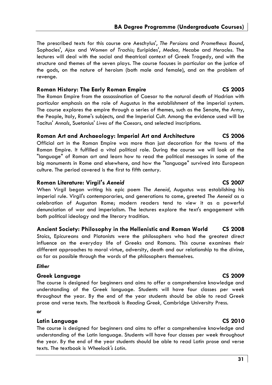The prescribed texts for this course are Aeschylus', *The Persians* and *Prometheus Bound*, Sophocles', *Ajax* and *Women of Trachis*; Euripides', *Medea, Hecabe* and *Heracles*. The lectures will deal with the social and theatrical context of Greek Tragedy, and with the structure and themes of the seven plays. The course focuses in particular on the justice of the gods, on the nature of heroism (both male and female), and on the problem of revenge.

#### **Roman History: The Early Roman Empire CS 2005**

The Roman Empire from the assassination of Caesar to the natural death of Hadrian with particular emphasis on the role of Augustus in the establishment of the imperial system. The course explores the empire through a series of themes, such as the Senate, the Army, the People, Italy, Rome's subjects, and the Imperial Cult. Among the evidence used will be Tacitus' *Annals*, Suetonius' *Lives of the Caesars*, and selected inscriptions.

#### **Roman Art and Archaeology: Imperial Art and Architecture CS 2006**

Official art in the Roman Empire was more than just decoration for the towns of the Roman Empire. It fulfilled a vital political role. During the course we will look at the "language" of Roman art and learn how to read the political messages in some of the big monuments in Rome and elsewhere, and how the "language" survived into European culture. The period covered is the first to fifth century.

#### **Roman Literature: Virgil's** *Aeneid* **CS 2007**

When Virgil began writing his epic poem *The Aeneid*, Augustus was establishing his imperial rule. Virgil's contemporaries, and generations to come, greeted *The Aeneid* as a celebration of Augustan Rome; modern readers tend to view it as a powerful denunciation of war and imperialism. The lectures explore the text's engagement with both political ideology and the literary tradition.

#### **Ancient Society: Philosophy in the Hellenistic and Roman World CS 2008**

Stoics, Epicureans and Platonists were the philosophers who had the greatest direct influence on the everyday life of Greeks and Romans. This course examines their different approaches to moral virtue, adversity, death and our relationship to the divine, as far as possible through the words of the philosophers themselves.

#### *Either*

#### **Greek Language CS 2009**

The course is designed for beginners and aims to offer a comprehensive knowledge and understanding of the Greek language. Students will have four classes per week throughout the year. By the end of the year students should be able to read Greek prose and verse texts. The textbook is *Reading Greek,* Cambridge University Press.

#### *or*

#### **Latin Language CS 2010**

The course is designed for beginners and aims to offer a comprehensive knowledge and understanding of the Latin language. Students will have four classes per week throughout the year. By the end of the year students should be able to read Latin prose and verse texts. The textbook is *Wheelock's Latin*.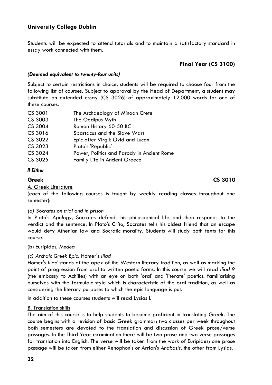Students will be expected to attend tutorials and to maintain a satisfactory standard in essay work connected with them.

#### *(Deemed equivalent to twenty-four units)*

Subject to certain restrictions in choice, students will be required to choose four from the following list of courses. Subject to approval by the Head of Department, a student may substitute an extended essay (CS 3026) of approximately 12,000 words for one of these courses.

| CS 3001 | The Archaeology of Minoan Crete            |
|---------|--------------------------------------------|
| CS 3003 | The Oedipus Myth                           |
| CS 3004 | Roman History 60-50 BC                     |
| CS 3016 | Spartacus and the Slave Wars               |
| CS 3022 | Epic after Virgil: Ovid and Lucan          |
| CS 3023 | Plato's 'Republic'                         |
| CS 3024 | Power, Politics and Parody in Ancient Rome |
| CS 3025 | <b>Family Life in Ancient Greece</b>       |

#### *II Either*

#### **Greek CS 3010**

A. Greek Literature

(each of the following courses is taught by weekly reading classes throughout one semester):

#### *(a) Socrates on trial and in prison*

In Plato's *Apology*, Socrates defends his philosophical life and then responds to the verdict and the sentence. In Plato's *Crito*, Socrates tells his oldest friend that an escape would defy Athenian law and Socratic morality. Students will study both texts for this course.

#### (b) Euripides, *Medea*

#### *(c) Archaic Greek Epic:* Homer's *Iliad*

Homer's *Iliad* stands at the apex of the Western literary tradition, as well as marking the point of progression from oral to written poetic forms. In this course we will read *Iliad 9* (the embassy to Achilles) with an eye on both 'oral' and 'literate' poetics: familiarising ourselves with the formulaic style which is characteristic of the oral tradition, as well as considering the literary purposes to which the epic language is put.

In addition to these courses students will read Lysias I.

#### B. Translation skills

The aim of this course is to help students to become proficient in translating Greek. The course begins with a revision of basic Greek grammar; two classes per week throughout both semesters are devoted to the translation and discussion of Greek prose/verse passages. In the Third Year examination there will be two prose and two verse passages for translation into English. The verse will be taken from the work of Euripides; one prose passage will be taken from either Xenophon's or Arrian's *Anabasis*, the other from Lysias.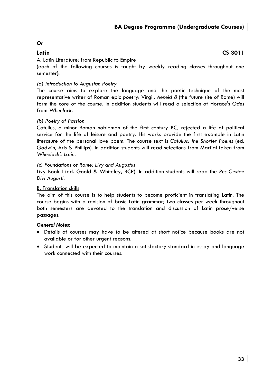#### *Or*

#### **Latin CS 3011**

#### A. Latin Literature: from Republic to Empire

(each of the following courses is taught by weekly reading classes throughout one semester):

#### *(a) Introduction to Augustan Poetry*

The course aims to explore the language and the poetic technique of the most representative writer of Roman epic poetry: Virgil, *Aeneid 8* (the future site of Rome) will form the core of the course. In addition students will read a selection of Horace's *Odes*  from *Wheelock*.

#### *(b) Poetry of Passion*

Catullus, a minor Roman nobleman of the first century BC, rejected a life of political service for the life of leisure and poetry. His works provide the first example in Latin literature of the personal love poem. The course text is *Catullus: the Shorter Poems* (ed. Godwin, Aris & Phillips). In addition students will read selections from Martial taken from *Wheelock's Latin*.

#### *(c) Foundations of Rome: Livy and Augustus*

Livy Book I (ed. Goold & Whiteley, BCP). In addition students will read the *Res Gestae Divi Augusti*.

#### B. Translation skills

The aim of this course is to help students to become proficient in translating Latin. The course begins with a revision of basic Latin grammar; two classes per week throughout both semesters are devoted to the translation and discussion of Latin prose/verse passages.

#### *General Notes:*

- Details of courses may have to be altered at short notice because books are not available or for other urgent reasons.
- Students will be expected to maintain a satisfactory standard in essay and language work connected with their courses.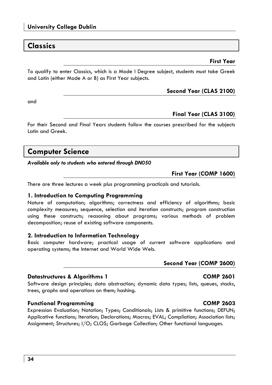### **Classics**

#### **First Year**

To qualify to enter Classics, which is a Mode I Degree subject, students must take Greek and Latin (either Mode A or B) as First Year subjects.

#### **Second Year (CLAS 2100)**

and

#### **Final Year (CLAS 3100)**

For their Second and Final Years students follow the courses prescribed for the subjects Latin and Greek.

### **Computer Science**

*Available only to students who entered through DN050* 

**First Year (COMP 1600)** 

There are three lectures a week plus programming practicals and tutorials.

#### **1. Introduction to Computing Programming**

Nature of computation; algorithms; correctness and efficiency of algorithms; basic complexity measures; sequence, selection and iteration constructs; program construction using these constructs; reasoning about programs; various methods of problem decomposition; reuse of existing software components.

#### **2. Introduction to Information Technology**

Basic computer hardware; practical usage of current software applications and operating systems; the Internet and World Wide Web.

#### **Second Year (COMP 2600)**

#### **Datastructures & Algorithms 1 COMP 2601**

Software design principles; data abstraction; dynamic data types; lists, queues, stacks, trees, graphs and operations on them; hashing.

#### **Functional Programming COMP 2603**

Expression Evaluation; Notation; Types; Conditionals; Lists & primitive functions; DEFUN; Applicative functions; Iteration; Declarations; Macros; EVAL; Compilation; Association lists; Assignment; Structures; I/O; CLOS; Garbage Collection; Other functional languages.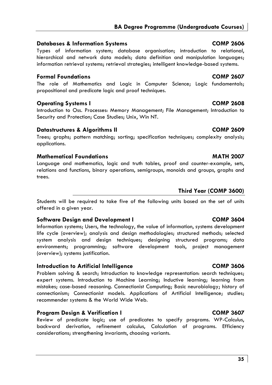#### **Databases & Information Systems COMP 2606**

Types of information system; database organisation; introduction to relational, hierarchical and network data models; data definition and manipulation languages; information retrieval systems; retrieval strategies; intelligent knowledge-based systems.

### **Formal Foundations COMP 2607**

The role of Mathematics and Logic in Computer Science; Logic fundamentals; propositional and predicate logic and proof techniques.

### **Operating Systems I COMP 2608**

Introduction to Oss. Processes: Memory Management; File Management; Introduction to Security and Protection; Case Studies; Unix, Win NT.

### **Datastructures & Algorithms II COMP 2609**

Trees; graphs; pattern matching; sorting; specification techniques; complexity analysis; applications.

### **Mathematical Foundations MATH 2007**

Language and mathematics, logic and truth tables, proof and counter-example, sets, relations and functions, binary operations, semigroups, monoids and groups, graphs and trees.

### **Third Year (COMP 3600)**

Students will be required to take five of the following units based on the set of units offered in a given year.

### **Software Design and Development I COMP 3604**

Information systems; Users, the technology, the value of information, systems development life cycle (overview); analysis and design methodologies; structured methods; selected system analysis and design techniques; designing structured programs; data environments; programming; software development tools, project management (overview); systems justification.

### **Introduction to Artificial Intelligence COMP 3606**

Problem solving & search; Introduction to knowledge representation: search techniques; expert systems. Introduction to Machine Learning; Inductive learning; learning from mistakes; case-based reasoning. Connectionist Computing; Basic neurobiology; history of connectionism; Connectionist models. Applications of Artificial Intelligence; studies; recommender systems & the World Wide Web.

### **Program Design & Verification I COMP 3607**

Review of predicate logic; use of predicates to specify programs. WP-Calculus, backward derivation, refinement calculus, Calculation of programs. Efficiency considerations; strengthening invariants, choosing variants.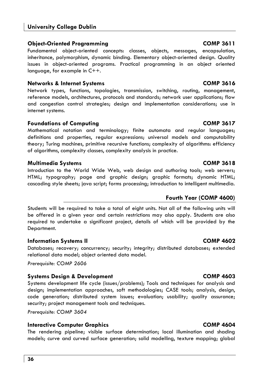#### **University College Dublin**

#### **Object-Oriented Programming COMP 3611**

Fundamental object-oriented concepts: classes, objects, messages, encapsulation, inheritance, polymorphism, dynamic binding. Elementary object-oriented design. Quality issues in object-oriented programs. Practical programming in an object oriented language, for example in C++.

#### **Networks & Internet Systems COMP 3616**

Network types, functions, topologies, transmission, switching, routing, management, reference models, architectures, protocols and standards; network user applications; flow and congestion control strategies; design and implementation considerations; use in internet systems.

#### **Foundations of Computing COMP 3617**

Mathematical notation and terminology; finite automata and regular languages; definitions and properties, regular expressions; universal models and computability theory; Turing machines, primitive recursive functions; complexity of algorithms: efficiency of algorithms, complexity classes, complexity analysis in practice.

#### **Multimedia Systems COMP 3618**

Introduction to the World Wide Web, web design and authoring tools; web servers; HTML; typography; page and graphic design; graphic formats; dynamic HTML; cascading style sheets; java script; forms processing; introduction to intelligent multimedia.

Students will be required to take a total of eight units. Not all of the following units will be offered in a given year and certain restrictions may also apply. Students are also required to undertake a significant project, details of which will be provided by the Department.

#### **Information Systems II COMP 4602**

Databases; recovery; concurrency; security; integrity; distributed databases; extended relational data model; object oriented data model.

*Prerequisite: COMP 2606* 

#### **Systems Design & Development COMP 4603**

Systems development life cycle (issues/problems); Tools and techniques for analysis and design; implementation approaches, soft methodologies; CASE tools; analysis, design, code generation; distributed system issues; evaluation; usability; quality assurance; security; project management tools and techniques.

*Prerequisite: COMP 3604* 

#### **Interactive Computer Graphics COMP 4604**

The rendering pipeline; visible surface determination; local illumination and shading models; curve and curved surface generation; solid modelling, texture mapping; global

#### **Fourth Year (COMP 4600)**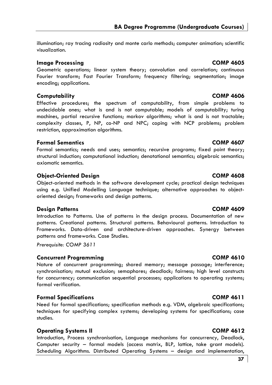**BA Degree Programme (Undergraduate Courses)** 

illumination; ray tracing radiosity and monte carlo methods; computer animation; scientific visualization.

### **Image Processing COMP 4605**

Geometric operations; linear system theory; convolution and correlation; continuous Fourier transform; Fast Fourier Transform; frequency filtering; segmentation; image encoding; applications.

### **Computability COMP 4606**

Effective procedures; the spectrum of computability, from simple problems to undecidable ones; what is and is not computable; models of computability; turing machines, partial recursive functions; markov algorithms; what is and is not tractable; complexity classes, P, NP, co-NP and NPC; coping with NCP problems; problem restriction, approximation algorithms.

### **Formal Semantics COMP 4607**

Formal semantics; needs and uses; semantics; recursive programs; fixed point theory; structural induction; computational induction; denotational semantics; algebraic semantics; axiomatic semantics.

### **Object-Oriented Design COMP 4608**

Object-oriented methods in the software development cycle; practical design techniques using e.g. Unified Modelling Language technique; alternative approaches to objectoriented design; frameworks and design patterns.

### **Design Patterns COMP 4609**

Introduction to Patterns. Use of patterns in the design process. Documentation of new patterns. Creational patterns. Structural patterns. Behavioural patterns. Introduction to Frameworks. Data-driven and architecture-driven approaches. Synergy between patterns and frameworks. Case Studies.

*Prerequisite: COMP 3611* 

# **Concurrent Programming COMP 4610**

Nature of concurrent programming; shared memory; message passage; interference; synchronisation; mutual exclusion; semaphores; deadlock; fairness; high level constructs for concurrency; communication sequential processes; applications to operating systems; formal verification.

# **Formal Specifications COMP 4611**

Need for formal specifications; specification methods e.g. VDM, algebraic specifications; techniques for specifying complex systems; developing systems for specifications; case studies.

# **Operating Systems II** COMP 4612

Introduction, Process synchronisation, Language mechanisms for concurrency, Deadlock, Computer security – formal models (access matrix, BLP, lattice, take grant models). Scheduling Algorithms. Distributed Operating Systems – design and implementation,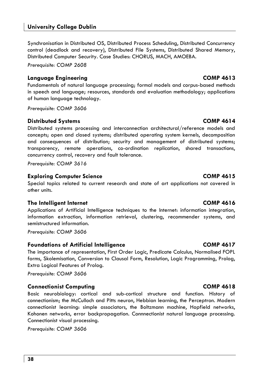Synchronisation in Distributed OS, Distributed Process Scheduling, Distributed Concurrency control (deadlock and recovery), Distributed File Systems, Distributed Shared Memory, Distributed Computer Security. Case Studies: CHORUS, MACH, AMOEBA.

*Prerequisite: COMP 2608* 

# **Language Engineering COMP 4613**

Fundamentals of natural language processing; formal models and corpus-based methods in speech and language; resources, standards and evaluation methodology; applications of human language technology.

*Prerequisite: COMP 3606* 

# **Distributed Systems COMP 4614**

Distributed systems processing and interconnection architectural/reference models and concepts; open and closed systems; distributed operating system kernels, decomposition and consequences of distribution; security and management of distributed systems; transparency, remote operations, co-ordination replication, shared transactions, concurrency control, recovery and fault tolerance.

*Prerequisite: COMP 3616*

# **Exploring Computer Science COMP 4615**

Special topics related to current research and state of art applications not covered in other units.

# **The Intelligent Internet COMP 4616**

Applications of Artificial Intelligence techniques to the Internet: information integration, information extraction, information retrieval, clustering, recommender systems, and semistructured information.

*Prerequisite: COMP 3606* 

# **Foundations of Artificial Intelligence COMP 4617**

The importance of representation, First Order Logic, Predicate Calculus, Normalised FOPL forms, Skolemisation, Conversion to Clausal Form, Resolution, Logic Programming, Prolog, Extra Logical Features of Prolog.

*Prerequisite: COMP 3606* 

# **Connectionist Computing COMP 4618**

Basic neurobiology: cortical and sub-cortical structure and function. History of connectionism; the McCulloch and Pitts neuron, Hebbian learning, the Perceptron. Modern connectionist learning: simple associators, the Boltzmann machine, Hopfield networks, Kohonen networks, error backpropagation. Connnectionist natural language processing. Connectionist visual processing.

*Prerequisite: COMP 3606*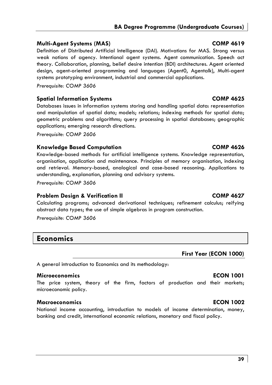# **Multi-Agent Systems (MAS) COMP 4619**

Definition of Distributed Artificial Intelligence (DAI). Motivations for MAS. Strong versus weak notions of agency. Intentional agent systems. Agent communication. Speech act theory. Collaboration, planning, belief desire intention (BDI) architectures. Agent oriented design, agent-oriented programming and languages (Agent0, Agentalk), Multi-agent systems prototyping environment, industrial and commercial applications.

*Prerequisite: COMP 3606* 

# **Spatial Information Systems COMP 4625**

Databases issues in information systems storing and handling spatial data: representation and manipulation of spatial data; models; relations; indexing methods for spatial data; geometric problems and algorithms; query processing in spatial databases; geographic applications; emerging research directions.

*Prerequisite: COMP 2606* 

# **Knowledge Based Computation COMP 4626**

Knowledge-based methods for artificial intelligence systems. Knowledge representation, organisation, application and maintenance. Principles of memory organisation, indexing and retrieval. Memory-based, analogical and case-based reasoning. Applications to understanding, explanation, planning and advisory systems.

*Prerequisite: COMP 3606* 

# **Problem Design & Verification II COMP 4627**

Calculating programs; advanced derivational techniques; refinement calculus; reifying abstract data types; the use of simple algebras in program construction.

*Prerequisite: COMP 3606* 

# **Economics**

# **First Year (ECON 1000)**

A general introduction to Economics and its methodology:

# **Microeconomics ECON 1001**

The price system, theory of the firm, factors of production and their markets; microeconomic policy.

# **Macroeconomics ECON 1002**

National income accounting, introduction to models of income determination, money, banking and credit, international economic relations, monetary and fiscal policy.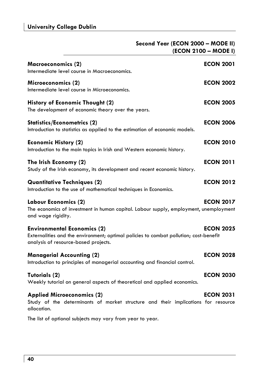|                                                                                                                                                                     | Second Year (ECON 2000 - MODE II)<br>(ECON 2100 - MODE I) |
|---------------------------------------------------------------------------------------------------------------------------------------------------------------------|-----------------------------------------------------------|
| Macroeconomics (2)<br>Intermediate level course in Macroeconomics.                                                                                                  | <b>ECON 2001</b>                                          |
| Microeconomics (2)<br>Intermediate level course in Microeconomics.                                                                                                  | <b>ECON 2002</b>                                          |
| History of Economic Thought (2)<br>The development of economic theory over the years.                                                                               | <b>ECON 2005</b>                                          |
| <b>Statistics/Econometrics (2)</b><br>Introduction to statistics as applied to the estimation of economic models.                                                   | <b>ECON 2006</b>                                          |
| <b>Economic History (2)</b><br>Introduction to the main topics in Irish and Western economic history.                                                               | <b>ECON 2010</b>                                          |
| The Irish Economy (2)<br>Study of the Irish economy, its development and recent economic history.                                                                   | <b>ECON 2011</b>                                          |
| Quantitative Techniques (2)<br>Introduction to the use of mathematical techniques in Economics.                                                                     | <b>ECON 2012</b>                                          |
| Labour Economics (2)<br>The economics of investment in human capital. Labour supply, employment, unemployment<br>and wage rigidity.                                 | <b>ECON 2017</b>                                          |
| <b>Environmental Economics (2)</b><br>Externalities and the environment; optimal policies to combat pollution; cost-benefit<br>analysis of resource-based projects. | <b>ECON 2025</b>                                          |
| <b>Managerial Accounting (2)</b><br>Introduction to principles of managerial accounting and financial control.                                                      | <b>ECON 2028</b>                                          |
| Tutorials (2)<br>Weekly tutorial on general aspects of theoretical and applied economics.                                                                           | <b>ECON 2030</b>                                          |
| <b>Applied Microeconomics (2)</b><br>Study of the determinants of market structure and their implications for resource<br>allocation.                               | <b>ECON 2031</b>                                          |
| The list of optional subjects may vary from year to year.                                                                                                           |                                                           |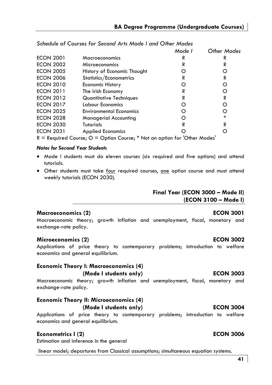|                                                                               |                                | Mode I | Other Modes |
|-------------------------------------------------------------------------------|--------------------------------|--------|-------------|
| <b>ECON 2001</b>                                                              | Macroeconomics                 | R      | R           |
| <b>ECON 2002</b>                                                              | Microeconomics                 | R      | R           |
| <b>ECON 2005</b>                                                              | History of Economic Thought    |        | O           |
| <b>ECON 2006</b>                                                              | Statistics/Econometrics        | R      | R           |
| <b>ECON 2010</b>                                                              | <b>Economic History</b>        |        | O           |
| <b>ECON 2011</b>                                                              | The Irish Economy              | R      | O           |
| <b>ECON 2012</b>                                                              | Quantitative Techniques        | R      | R           |
| <b>ECON 2017</b>                                                              | Labour Economics               | 0      | O           |
| <b>ECON 2025</b>                                                              | <b>Environmental Economics</b> |        | O           |
| <b>ECON 2028</b>                                                              | Managerial Accounting          |        | *           |
| <b>ECON 2030</b>                                                              | <b>Tutorials</b>               | R      | R           |
| <b>ECON 2031</b>                                                              | <b>Applied Economics</b>       |        | O           |
| $R =$ Required Course; $Q =$ Option Course; * Not an option for 'Other Modes' |                                |        |             |

# *Schedule of Courses for Second Arts Mode I and Other Modes*

### *Notes for Second Year Students*

- Mode I students must do eleven courses (six required and five options) and attend tutorials.
- Other students must take four required courses, one option course and must attend weekly tutorials (ECON 2030).

# **Final Year (ECON 3000 – Mode II)**

**(ECON 3100 – Mode I)** 

### **Macroeconomics (2) ECON 3001**

Macroeconomic theory; growth inflation and unemployment, fiscal, monetary and exchange-rate policy.

# **Microeconomics (2) ECON 3002**

Applications of price theory to contemporary problems; introduction to welfare economics and general equilibrium.

# **Economic Theory I: Macroeconomics (4) (Mode I students only) ECON 3003**

Macroeconomic theory; growth inflation and unemployment, fiscal, monetary and exchange-rate policy.

# **Economic Theory II: Microeconomics (4) (Mode I students only) ECON 3004**

Applications of price theory to contemporary problems; introduction to welfare economics and general equilibrium.

# **Econometrics I (2) ECON 3006**

Estimation and inference in the general

linear model; departures from Classical assumptions; simultaneous equation systems.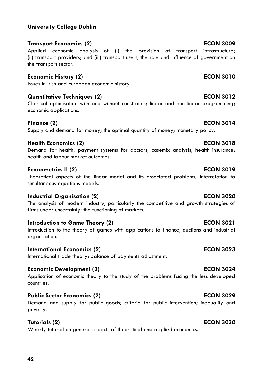# **Transport Economics (2) ECON 3009**

Applied economic analysis of (i) the provision of transport infrastructure; (ii) transport providers; and (iii) transport users, the role and influence of government on the transport sector.

# **Economic History (2) ECON 3010**

Issues in Irish and European economic history.

# **Quantitative Techniques (2)** and the set of the set of the ECON 3012

Classical optimisation with and without constraints; linear and non-linear programming; economic applications.

# **Finance (2)** ECON 3014

Supply and demand for money; the optimal quantity of money; monetary policy.

# **Health Economics (2) ECON 3018**

Demand for health; payment systems for doctors; casemix analysis; health insurance; health and labour market outcomes.

# **Econometrics II (2) ECON 3019**

Theoretical aspects of the linear model and its associated problems; interrelation to simultaneous equations models.

# **Industrial Organisation (2) ECON 3020**

The analysis of modern industry, particularly the competitive and growth strategies of firms under uncertainty; the functioning of markets.

# **Introduction to Game Theory (2) CON 3021 CON 3021**

Introduction to the theory of games with applications to finance, auctions and industrial organisation.

# **International Economics (2)** ECON 3023

International trade theory; balance of payments adjustment.

# **Economic Development (2)** ECON 3024

Application of economic theory to the study of the problems facing the less developed countries.

# **Public Sector Economics (2) ECON 3029**

Demand and supply for public goods; criteria for public intervention; inequality and poverty.

# **Tutorials (2) ECON 3030**

Weekly tutorial on general aspects of theoretical and applied economics.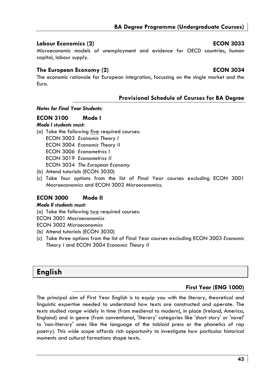# **BA Degree Programme (Undergraduate Courses)**

# **Labour Economics (2) ECON 3033**

# Microeconomic models of unemployment and evidence for OECD countries, human capital, labour supply.

# **The European Economy (2) ECON 3034**

The economic rationale for European integration, focussing on the single market and the Euro.

# **Provisional Schedule of Courses for BA Degree**

### *Notes for Final Year Students:*

# **ECON 3100 Mode I**

# *Mode I students must:*

- (a) Take the following five required courses: ECON 3003 *Economic Theory I* ECON 3004 *Economic Theory II*  ECON 3006 *Econometrics I*  ECON 3019 *Econometrics II* ECON 3034 *The European Economy*
- (b) Attend tutorials (ECON 3030)
- (c) Take four options from the list of Final Year courses excluding ECON 3001 *Macroeconomics* and ECON 3002 *Microeconomics*.

# **ECON 3000 Mode II**

# *Mode II students must:*

(a) Take the following two required courses:

ECON 3001 *Macroeconomics*

ECON 3002 *Microeconomics*

- (b) Attend tutorials (ECON 3030)
- (c) Take three options from the list of Final Year courses excluding ECON 3003 *Economic Theory I* and ECON 3004 *Economic Theory II*

# **English**

# **First Year (ENG 1000)**

The principal aim of First Year English is to equip you with the literary, theoretical and linguistic expertise needed to understand how texts are constructed and operate. The texts studied range widely in time (from medieval to modern), in place (Ireland, America, England) and in genre (from conventional, 'literary' categories like 'short story' or 'novel' to 'non-literary' ones like the language of the tabloid press or the phonetics of rap poetry). This wide scope affords rich opportunity to investigate how particular historical moments and cultural formations shape texts.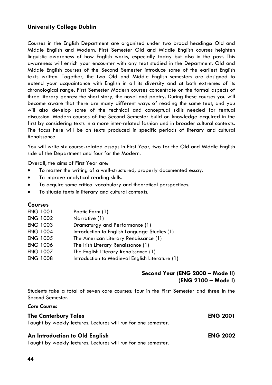Courses in the English Department are organised under two broad headings: Old and Middle English and Modern. First Semester Old and Middle English courses heighten linguistic awareness of how English works, especially today but also in the past. This awareness will enrich your encounter with any text studied in the Department. Old and Middle English courses of the Second Semester introduce some of the earliest English texts written. Together, the two Old and Middle English semesters are designed to extend your acquaintance with English in all its diversity and at both extremes of its chronological range. First Semester Modern courses concentrate on the formal aspects of three literary genres: the short story, the novel and poetry. During these courses you will become aware that there are many different ways of reading the same text, and you will also develop some of the technical and conceptual skills needed for textual discussion. Modern courses of the Second Semester build on knowledge acquired in the first by considering texts in a more inter-related fashion and in broader cultural contexts. The focus here will be on texts produced in specific periods of literary and cultural Renaissance.

You will write six course-related essays in First Year, two for the Old and Middle English side of the Department and four for the Modern.

Overall, the aims of First Year are:

- To master the writing of a well-structured, properly documented essay.
- To improve analytical reading skills.
- To acquire some critical vocabulary and theoretical perspectives.
- To situate texts in literary and cultural contexts.

# **Courses**

| <b>ENG 1001</b> | Poetic Form (1)                                 |
|-----------------|-------------------------------------------------|
| <b>ENG 1002</b> | Narrative (1)                                   |
| <b>ENG 1003</b> | Dramaturgy and Performance (1)                  |
| <b>ENG 1004</b> | Introduction to English Language Studies (1)    |
| <b>ENG 1005</b> | The American Literary Renaissance (1)           |
| <b>ENG 1006</b> | The Irish Literary Renaissance (1)              |
| <b>ENG 1007</b> | The English Literary Renaissance (1)            |
| <b>ENG 1008</b> | Introduction to Medieval English Literature (1) |
|                 |                                                 |

# **Second Year (ENG 2000 – Mode II) (ENG 2100 – Mode I)**

Students take a total of seven core courses: four in the First Semester and three in the Second Semester.

| <b>Core Courses</b>                                            |                 |
|----------------------------------------------------------------|-----------------|
| <b>The Canterbury Tales</b>                                    | <b>ENG 2001</b> |
| Taught by weekly lectures. Lectures will run for one semester. |                 |
| An Introduction to Old English                                 | <b>ENG 2002</b> |
| Taught by weekly lectures. Lectures will run for one semester. |                 |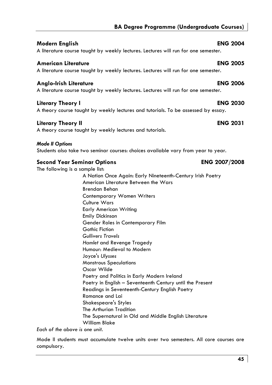# **Modern English ENG 2004**

A literature course taught by weekly lectures. Lectures will run for one semester.

# **American Literature ENG 2005**

A literature course taught by weekly lectures. Lectures will run for one semester.

# **Anglo-Irish Literature ENG 2006**

A literature course taught by weekly lectures. Lectures will run for one semester.

# **Literary Theory I ENG 2030**

A theory course taught by weekly lectures and tutorials. To be assessed by essay.

# **Literary Theory II ENG 2031**

A theory course taught by weekly lectures and tutorials.

# *Mode II Options*

Students also take two seminar courses: choices available vary from year to year.

# **Second Year Seminar Options ENG 2007/2008**

The following is a sample list:

 A Nation Once Again: Early Nineteenth-Century Irish Poetry American Literature Between the Wars Brendan Behan Contemporary Women Writers Culture Wars Early American Writing Emily Dickinson Gender Roles in Contemporary Film Gothic Fiction *Gullivers Travels Hamlet* and Revenge Tragedy Humour: Medieval to Modern Joyce's *Ulysses* Monstrous Speculations Oscar Wilde Poetry and Politics in Early Modern Ireland Poetry in English – Seventeenth Century until the Present Readings in Seventeenth-Century English Poetry Romance and Lai Shakespeare's Styles The Arthurian Tradition The Supernatural in Old and Middle English Literature William Blake

*Each of the above is one unit.* 

Mode II students must accumulate twelve units over two semesters. All core courses are compulsory.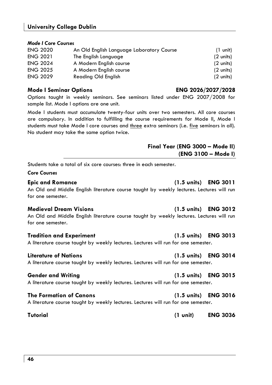| <b>ENG 2020</b> | An Old English Language Laboratory Course | $(1 \text{ unit})$  |
|-----------------|-------------------------------------------|---------------------|
| <b>ENG 2021</b> | The English Language                      | $(2 \text{ units})$ |
| <b>ENG 2024</b> | A Modern English course                   | $(2 \text{ units})$ |
| <b>ENG 2025</b> | A Modern English course                   | $(2 \text{ units})$ |
| <b>ENG 2029</b> | Reading Old English                       | (2 units)           |

### **Mode I Seminar Options ENG 2026/2027/2028**

**University College Dublin**

### Options taught in weekly seminars. See seminars listed under ENG 2007/2008 for sample list. Mode I options are one unit.

Mode I students must accumulate twenty-four units over two semesters. All core courses are compulsory. In addition to fulfilling the course requirements for Mode II, Mode I students must take Mode I core courses and three extra seminars (i.e. five seminars in all). No student may take the same option twice.

# **Final Year (ENG 3000 – Mode II) (ENG 3100 – Mode I)**

Students take a total of six core courses: three in each semester.

### *Core Courses*

An Old and Middle English literature course taught by weekly lectures. Lectures will run for one semester.

An Old and Middle English literature course taught by weekly lectures. Lectures will run for one semester.

### **Tradition and Experiment (1.5 units) ENG 3013**

A literature course taught by weekly lectures. Lectures will run for one semester.

### **Literature of Nations (1.5 units) ENG 3014**

A literature course taught by weekly lectures. Lectures will run for one semester.

### **Gender and Writing (1.5 units) ENG 3015**

A literature course taught by weekly lectures. Lectures will run for one semester.

# **The Formation of Canons (1.5 units) ENG 3016**

# A literature course taught by weekly lectures. Lectures will run for one semester.

# **46**

### **Medieval Dream Visions (1.5 units) ENG 3012**

**Tutorial (1 unit) ENG 3036** 

**Epic and Romance (1.5 units) ENG 3011**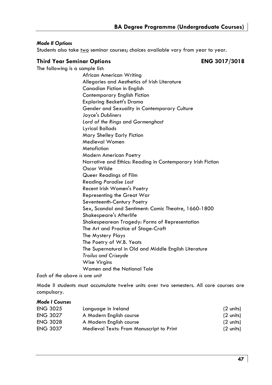# *Mode II Options*

Students also take two seminar courses; choices available vary from year to year.

## **Third Year Seminar Options ENG 3017/3018**

The following is a sample list:

African American Writing Allegories and Aesthetics of Irish Literature Canadian Fiction in English Contemporary English Fiction Exploring Beckett's Drama Gender and Sexuality in Contemporary Culture Joyce's *Dubliners Lord of the Rings* and *Gormenghast*  Lyrical Ballads Mary Shelley Early Fiction Medieval Women **Metafiction**  Modern American Poetry Narrative and Ethics: Reading in Contemporary Irish Fiction Oscar Wilde Queer Readings of Film Reading *Paradise Lost*  Recent Irish Women's Poetry Representing the Great War Seventeenth-Century Poetry Sex, Scandal and Sentiment: Comic Theatre, 1660-1800 Shakespeare's Afterlife Shakespearean Tragedy: Forms of Representation The Art and Practice of Stage-Craft The Mystery Plays The Poetry of W.B. Yeats The Supernatural in Old and Middle English Literature *Troilus and Criseyde*  Wise Virgins Women and the National Tale

*Each of the above is one unit* 

Mode II students must accumulate twelve units over two semesters. All core courses are compulsory.

# *Mode I Courses*

| <b>ENG 3025</b> | Language in Ireland                      | (2 units) |
|-----------------|------------------------------------------|-----------|
| <b>ENG 3027</b> | A Modern English course                  | (2 units) |
| <b>ENG 3028</b> | A Modern English course                  | (2 units) |
| <b>ENG 3037</b> | Medieval Texts: From Manuscript to Print | (2 units) |
|                 |                                          |           |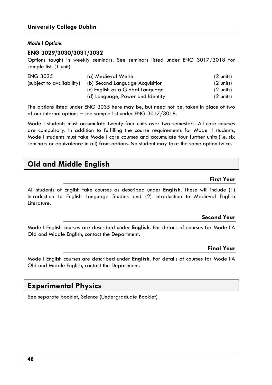# *Mode I Options*

# **ENG 3029/3030/3031/3032**

Options taught in weekly seminars. See seminars listed under ENG 3017/3018 for sample list. (1 unit)

| <b>ENG 3035</b>           | (a) Medieval Welsh               | (2 units) |
|---------------------------|----------------------------------|-----------|
| (subject to availability) | (b) Second Language Acquisition  | (2 units) |
|                           | (c) English as a Global Language | (2 units) |
|                           | (d) Language, Power and Identity | (2 units) |

The options listed under ENG 3035 here may be, but need not be, taken in place of two of our internal options – see sample list under ENG 3017/3018.

Mode I students must accumulate twenty-four units over two semesters. All core courses are compulsory. In addition to fulfilling the course requirements for Mode II students, Mode I students must take Mode I core courses and accumulate four further units (i.e. six seminars or equivalence in all) from options. No student may take the same option twice.

# **Old and Middle English**

# **First Year**

All students of English take courses as described under **English**. These will include (1) Introduction to English Language Studies and (2) Introduction to Medieval English Literature.

# **Second Year**

Mode I English courses are described under **English**. For details of courses for Mode IIA Old and Middle English, contact the Department.

# **Final Year**

Mode I English courses are described under **English**. For details of courses for Mode IIA Old and Middle English, contact the Department.

# **Experimental Physics**

See separate booklet, Science (Undergraduate Booklet).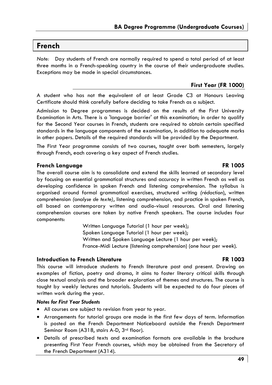# **French**

*Note:* Day students of French are normally required to spend a total period of at least three months in a French-speaking country in the course of their undergraduate studies. Exceptions may be made in special circumstances.

# **First Year (FR 1000)**

A student who has not the equivalent of at least Grade C3 at Honours Leaving Certificate should think carefully before deciding to take French as a subject.

Admission to Degree programmes is decided on the results of the First University Examination in Arts. There is a 'language barrier' at this examination; in order to qualify for the Second Year courses in French, students are required to obtain certain specified standards in the language components of the examination, in addition to adequate marks in other papers. Details of the required standards will be provided by the Department.

The First Year programme consists of two courses, taught over both semesters, largely through French, each covering a key aspect of French studies.

# **French Language FR 1005**

The overall course aim is to consolidate and extend the skills learned at secondary level by focusing on essential grammatical structures and accuracy in written French as well as developing confidence in spoken French and listening comprehension. The syllabus is organised around formal grammatical exercises, structured writing *(rédaction*), written comprehension *(analyse de texte)*, listening comprehension, and practice in spoken French, all based on contemporary written and audio-visual resources. Oral and listening comprehension courses are taken by native French speakers. The course includes four components:

> Written Language Tutorial (1 hour per week); Spoken Language Tutorial (1 hour per week); Written and Spoken Language Lecture (1 hour per week); France-Midi Lecture (listening comprehension) (one hour per week).

# **Introduction to French Literature FR 1003**

This course will introduce students to French literature past and present. Drawing on examples of fiction, poetry and drama, it aims to foster literary critical skills through close textual analysis and the broader exploration of themes and structures. The course is taught by weekly lectures and tutorials. Students will be expected to do four pieces of written work during the year.

### *Notes for First Year Students*

- All courses are subject to revision from year to year.
- Arrangements for tutorial groups are made in the first few days of term. Information is posted on the French Department Noticeboard outside the French Department Seminar Room (A318, stairs A-D, 3rd floor).
- Details of prescribed texts and examination formats are available in the brochure presenting First Year French courses, which may be obtained from the Secretary of the French Department (A314).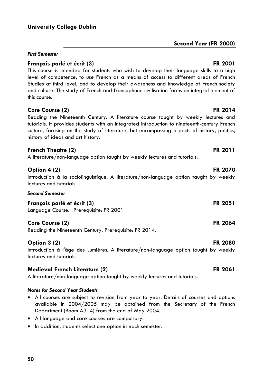# *First Semester*

# **Français parlé et écrit (3)** FR 2001

This course is intended for students who wish to develop their language skills to a high level of competence, to use French as a means of access to different areas of French Studies at third level, and to develop their awareness and knowledge of French society and culture. The study of French and francophone civilisation forms an integral element of this course.

# **Core Course (2)** FR 2014

Reading the Nineteenth Century. A literature course taught by weekly lectures and tutorials. It provides students with an integrated introduction to nineteenth-century French culture, focusing on the study of literature, but encompassing aspects of history, politics, history of ideas and art history.

# **French Theatre (2)** FR 2011

A literature/non-language option taught by weekly lectures and tutorials.

# **Option 4 (2)** FR 2070

Introduction à la sociolinguistique. A literature/non-language option taught by weekly lectures and tutorials.

## *Second Semester*

**Français parlé et écrit (3) FR 2051**  Language Course. Prerequisite: FR 2001

# **Core Course (2)** FR 2064

Reading the Nineteenth Century. Prerequisite: FR 2014.

# **Option 3 (2)** FR 2080

Introduction à l'âge des Lumières. A literature/non-language option taught by weekly lectures and tutorials.

# **Medieval French Literature (2)** FR 2061

A literature/non-language option taught by weekly lectures and tutorials.

# *Notes for Second Year Students*

- All courses are subject to revision from year to year. Details of courses and options available in 2004/2005 may be obtained from the Secretary of the French Department (Room A314) from the end of May 2004.
- All language and core courses are compulsory.
- In addition, students select one option in each semester.

# **Second Year (FR 2000)**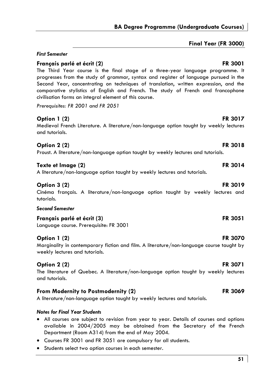# **Final Year (FR 3000)**

# **Option 1 (2)** FR 3017 Medieval French Literature. A literature/non-language option taught by weekly lectures **Option 2 (2)** FR 3018 **Texte et Image (2)** FR 3014 **Option 3 (2)** FR 3019

Language course. Prerequisite: FR 3001

# **Option 1 (2)** FR 3070

Marginality in contemporary fiction and film. A literature/non-language course taught by weekly lectures and tutorials.

# **Option 2 (2)** FR 3071

The literature of Quebec. A literature/non-language option taught by weekly lectures and tutorials.

# **From Modernity to Postmodernity (2)** FR 3069

A literature/non-language option taught by weekly lectures and tutorials.

# *Notes for Final Year Students*

- All courses are subject to revision from year to year. Details of courses and options available in 2004/2005 may be obtained from the Secretary of the French Department (Room A314) from the end of May 2004.
- Courses FR 3001 and FR 3051 are compulsory for all students.
- Students select two option courses in each semester.

# *First Semester*

# **Français parlé et écrit (2)** FR 3001

The Third Year course is the final stage of a three-year language programme. It progresses from the study of grammar, syntax and register of language pursued in the Second Year, concentrating on techniques of translation, written expression, and the comparative stylistics of English and French. The study of French and francophone civilisation forms an integral element of this course.

*Prerequisites: FR 2001 and FR 2051* 

# and tutorials.

Proust. A literature/non-language option taught by weekly lectures and tutorials.

A literature/non-language option taught by weekly lectures and tutorials.

Cinéma français. A literature/non-language option taught by weekly lectures and tutorials.

# *Second Semester*

**Français parlé et écrit (3)** FR 3051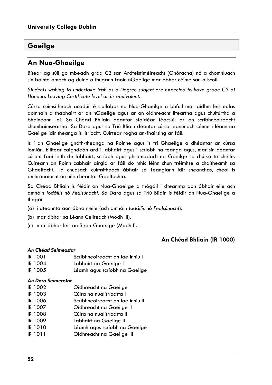# **Gaeilge**

# **An Nua-Ghaeilge**

Bítear ag súil go mbeadh grád C3 san Ardteistiméireacht (Onóracha) nó a chomhluach sin bainte amach ag duine a thugann faoin nGaeilge mar ábhar céime san ollscoil.

*Students wishing to undertake Irish as a Degree subject are expected to have grade C3 at Honours Leaving Certificate level or its equivalent.* 

Cúrsa cuimsitheach acadúil é siollabas na Nua-Ghaeilge a bhfuil mar aidhm leis eolas domhain a thabhairt ar an nGaeilge agus ar an oidhreacht liteartha agus chultúrtha a bhaineann léi. Sa Chéad Bhliain déantar staidéar téacsúil ar an scríbhneoireacht chomhaimseartha. Sa Dara agus sa Tríú Bliain déantar cúrsa leanúnach céime i léann na Gaeilge idir theanga is litríocht. Cuirtear rogha an-fhairsing ar fáil.

Is í an Ghaeilge gnáth-theanga na Roinne agus is trí Ghaeilge a dhéantar an cúrsa iomlán. Éilítear caighdeán ard i labhairt agus i scríobh na teanga agus, mar sin déantar cúram faoi leith de labhairt, scríobh agus ghramadach na Gaeilge sa chúrsa trí chéile. Cuireann an Roinn cabhair airgid ar fáil do mhic léinn chun tréimhse a chaitheamh sa Ghaeltacht. Tá cnuasach cuimsitheach ábhair sa Teanglann idir sheanchas, cheol is amhránaíocht ón uile cheantar Gaeltachta.

Sa Chéad Bhliain is féidir an Nua-Ghaeilge a thógáil i dteannta aon ábhair eile ach amháin *Iodáilis* nó *Fealsúnacht*. Sa Dara agus sa Tríú Bliain is féidir an Nua-Ghaeilge a thógáil

- (a) i dteannta aon ábhair eile (ach amháin *Iodáilis* nó *Fealsúnacht*).
- (b) mar ábhar sa Léann Ceilteach (Modh III).
- (c) mar ábhar leis an Sean-Ghaeilge (Modh I).

# **An Chéad Bhliain (IR 1000)**

### *An Chéad Seimeastar*

- IR 1001 Scríbhneoireacht an lae inniu I
- IR 1004 Labhairt na Gaeilge I
- IR 1005 Léamh agus scríobh na Gaeilge

# *An Dara Seimeastar*

- IR 1002 Oidhreacht na Gaeilge I
- IR 1003 Cúlra na nualitríochta I
- IR 1006 Scríbhneoireacht an lae inniu II
- IR 1007 Oidhreacht na Gaeilge II
- IR 1008 Cúlra na nualitríochta II
- IR 1009 Labhairt na Gaeilge II
- IR 1010 Léamh agus scríobh na Gaeilge
- IR 1011 Oidhreacht na Gaeilge III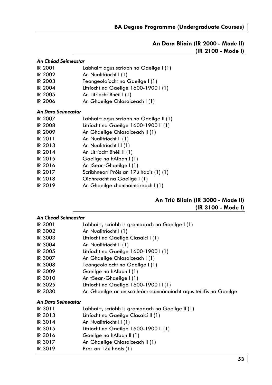# **An Dara Bliain (IR 2000 - Mode II) (IR 2100 - Mode I)**

| An Chéad Seimeastar                     |  |  |
|-----------------------------------------|--|--|
| Labhairt agus scríobh na Gaeilge I (1)  |  |  |
| An Nualitríocht I (1)                   |  |  |
| Teangeolaíocht na Gaeilge I (1)         |  |  |
| Litríocht na Gaeilge 1600-1900 I (1)    |  |  |
| An Litríocht Bhéil I (1)                |  |  |
| An Ghaeilge Chlasaiceach I (1)          |  |  |
| An Dara Seimeastar                      |  |  |
| Labhairt agus scríobh na Gaeilge II (1) |  |  |
| Litríocht na Gaeilge 1600-1900 II (1)   |  |  |
| An Ghaeilge Chlasaiceach II (1)         |  |  |
| An Nualitríocht II (1)                  |  |  |
| An Nualitríocht III (1)                 |  |  |
| An Litríocht Bhéil II (1)               |  |  |
| Gaeilge na hAlban I (1)                 |  |  |
| An tSean-Ghaeilge I (1)                 |  |  |
| Scríbhneorí Próis an 17ú haois (1) (1)  |  |  |
| Oidhreacht na Gaeilge I (1)             |  |  |
| An Ghaeilge chomhaimsireach I (1)       |  |  |
|                                         |  |  |

# **An Tríú Bliain (IR 3000 - Mode II) (IR 3100 - Mode I)**

| An Chéad Seimeastar |                                                                    |  |
|---------------------|--------------------------------------------------------------------|--|
| IR 3001             | Labhairt, scríobh is gramadach na Gaeilge I (1)                    |  |
| IR 3002             | An Nualitríocht I (1)                                              |  |
| <b>IR 3003</b>      | Litríocht na Gaeilge Clasaicí I (1)                                |  |
| IR 3004             | An Nualitríocht II (1)                                             |  |
| IR 3005             | Litríocht na Gaeilge 1600-1900 I (1)                               |  |
| IR 3007             | An Ghaeilge Chlasaiceach I (1)                                     |  |
| IR 3008             | Teangeolaíocht na Gaeilge I (1)                                    |  |
| <b>IR 3009</b>      | Gaeilge na hAlban I (1)                                            |  |
| IR 3010             | An tSean-Ghaeilge I (1)                                            |  |
| IR 3025             | Litríocht na Gaeilge 1600-1900 III (1)                             |  |
| <b>IR 3030</b>      | An Ghaeilge ar an scáileán: scannánaíocht agus teilifís na Gaeilge |  |
| An Dara Seimeastar  |                                                                    |  |
| IR 3011             | Labhairt, scríobh is gramadach na Gaeilge II (1)                   |  |
| IR 3013             | Litríocht na Gaeilge Clasaicí II (1)                               |  |
| IR 3014             | An Nualitríocht III (1)                                            |  |
| IR 3015             | Litríocht na Gaeilge 1600-1900 II (1)                              |  |
| IR 3016             | Gaeilge na hAlban II (1)                                           |  |
| IR 3017             | An Ghaeilge Chlasaiceach II (1)                                    |  |
| IR 3019             | Prós an 17ú haois (1)                                              |  |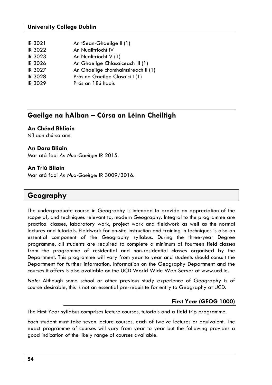| IR 3021     | An tSean-Ghaeilge II (1) |
|-------------|--------------------------|
| $\sim$ 0000 |                          |

| IR 3022 | An Nualitriocht IV                         |
|---------|--------------------------------------------|
| 10.222  | $\lambda$ . All the standard and $\lambda$ |

- IR 3023 An Nualitríocht V (1)
- IR 3026 An Ghaeilge Chlasaiceach III (1)
- IR 3027 An Ghaeilge chomhaimsireach II (1)
- IR 3028 Prós na Gaeilge Clasaicí I (1)
- IR 3029 Prós an 18ú haois

# **Gaeilge na hAlban – Cúrsa an Léinn Cheiltigh**

# **An Chéad Bhliain**

Níl aon chúrsa ann.

# **An Dara Bliain**

Mar atá faoi *An Nua-Gaeilge*: IR 2015.

# **An Triú Bliain**

Mar atá faoi *An Nua-Gaeilge*: IR 3009/3016.

# **Geography**

The undergraduate course in Geography is intended to provide an appreciation of the scope of, and techniques relevant to, modern Geography. Integral to the programme are practical classes, laboratory work, project work and fieldwork as well as the normal lectures and tutorials. Fieldwork for on-site instruction and training in techniques is also an essential component of the Geography syllabus. During the three-year Degree programme, all students are required to complete a minimum of fourteen field classes from the programme of residential and non-residential classes organised by the Department. This programme will vary from year to year and students should consult the Department for further information. Information on the Geography Department and the courses it offers is also available on the UCD World Wide Web Server at www.ucd.ie.

*Note*: Although some school or other previous study experience of Geography is of course desirable, this is not an essential pre-requisite for entry to Geography at UCD.

# **First Year (GEOG 1000)**

The First Year syllabus comprises lecture courses, tutorials and a field trip programme.

Each student must take seven lecture courses, each of twelve lectures or equivalent. The exact programme of courses will vary from year to year but the following provides a good indication of the likely range of courses available.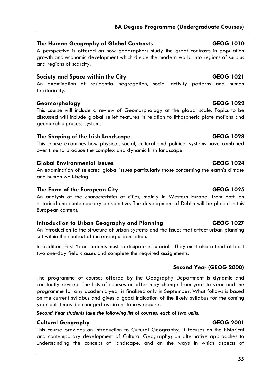# **BA Degree Programme (Undergraduate Courses)**

# **The Human Geography of Global Contrasts GEOG 1010**

A perspective is offered on how geographers study the great contrasts in population growth and economic development which divide the modern world into regions of surplus and regions of scarcity.

# **Society and Space within the City CEOG 1021**

An examination of residential segregation, social activity patterns and human territoriality.

# **Geomorphology GEOG 1022**

This course will include a review of Geomorphology at the global scale. Topics to be discussed will include global relief features in relation to lithospheric plate motions and geomorphic process systems.

# **The Shaping of the Irish Landscape GEOG 1023**

This course examines how physical, social, cultural and political systems have combined over time to produce the complex and dynamic Irish landscape.

# **Global Environmental Issues GEOG 1024**

An examination of selected global issues particularly those concerning the earth's climate and human well-being.

# The Form of the European City **GEOG 1025**

An analysis of the characteristics of cities, mainly in Western Europe, from both an historical and contemporary perspective. The development of Dublin will be placed in this European context.

# **Introduction to Urban Geography and Planning GEOG 1027**

An introduction to the structure of urban systems and the issues that affect urban planning set within the context of increasing urbanisation.

In addition, First Year students must participate in tutorials. They must also attend at least two one-day field classes and complete the required assignments.

# **Second Year (GEOG 2000)**

The programme of courses offered by the Geography Department is dynamic and constantly revised. The lists of courses on offer may change from year to year and the programme for any academic year is finalised only in September. What follows is based on the current syllabus and gives a good indication of the likely syllabus for the coming year but it may be changed as circumstances require.

*Second Year students take the following list of courses, each of two units.* 

# **Cultural Geography GEOG 2001**

This course provides an introduction to Cultural Geography. It focuses on the historical and contemporary development of Cultural Geography; on alternative approaches to understanding the concept of landscape, and on the ways in which aspects of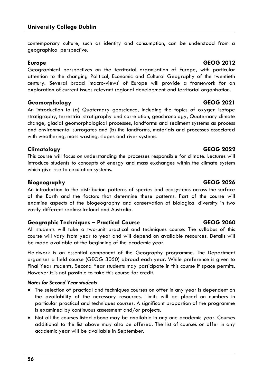contemporary culture, such as identity and consumption, can be understood from a geographical perspective.

# **Europe GEOG 2012**

Geographical perspectives on the territorial organisation of Europe, with particular attention to the changing Political, Economic and Cultural Geography of the twentieth century. Several broad 'macro-views' of Europe will provide a framework for an exploration of current issues relevant regional development and territorial organisation.

# **Geomorphology GEOG 2021**

An introduction to (a) Quaternary geoscience, including the topics of oxygen isotope stratigraphy, terrestrial stratigraphy and correlation, geochronology, Quaternary climate change, glacial geomorphological processes, landforms and sediment systems as process and environmental surrogates and (b) the landforms, materials and processes associated with weathering, mass wasting, slopes and river systems.

# **Climatology GEOG 2022**

This course will focus on understanding the processes responsible for climate. Lectures will introduce students to concepts of energy and mass exchanges within the climate system which give rise to circulation systems.

# **Biogeography GEOG 2026**

An introduction to the distribution patterns of species and ecosystems across the surface of the Earth and the factors that determine these patterns. Part of the course will examine aspects of the biogeography and conservation of biological diversity in two vastly different realms: Ireland and Australia.

# **Geographic Techniques – Practical Course GEOG 2060**

All students will take a two-unit practical and techniques course. The syllabus of this course will vary from year to year and will depend on available resources. Details will be made available at the beginning of the academic year.

Fieldwork is an essential component of the Geography programme. The Department organises a field course (GEOG 3050) abroad each year. While preference is given to Final Year students, Second Year students may participate in this course if space permits. However it is not possible to take this course for credit.

# *Notes for Second Year students*

- The selection of practical and techniques courses on offer in any year is dependent on the availability of the necessary resources. Limits will be placed on numbers in particular practical and techniques courses. A significant proportion of the programme is examined by continuous assessment and/or projects.
- Not all the courses listed above may be available in any one academic year. Courses additional to the list above may also be offered. The list of courses on offer in any academic year will be available in September.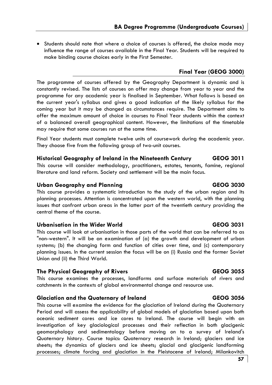• Students should note that where a choice of courses is offered, the choice made may influence the range of courses available in the Final Year. Students will be required to make binding course choices early in the First Semester.

# **Final Year (GEOG 3000)**

The programme of courses offered by the Geography Department is dynamic and is constantly revised. The lists of courses on offer may change from year to year and the programme for any academic year is finalised in September. What follows is based on the current year's syllabus and gives a good indication of the likely syllabus for the coming year but it may be changed as circumstances require. The Department aims to offer the maximum amount of choice in courses to Final Year students within the context of a balanced overall geographical content. However, the limitations of the timetable may require that some courses run at the same time.

Final Year students must complete twelve units of coursework during the academic year. They choose five from the following group of two-unit courses.

# **Historical Geography of Ireland in the Nineteenth Century GEOG 3011**

This course will consider methodology, practitioners, estates, tenants, famine, regional literature and land reform. Society and settlement will be the main focus.

# Urban Geography and Planning **GEOG 3030**

This course provides a systematic introduction to the study of the urban region and its planning processes. Attention is concentrated upon the western world, with the planning issues that confront urban areas in the latter part of the twentieth century providing the central theme of the course.

# **Urbanisation in the Wider World GEOG 3031**

This course will look at urbanisation in those parts of the world that can be referred to as "non-western". It will be an examination of (a) the growth and development of urban systems; (b) the changing form and function of cities over time, and (c) contemporary planning issues. In the current session the focus will be on (i) Russia and the former Soviet Union and (ii) the Third World.

# **The Physical Geography of Rivers GEOG 3055**

This course examines the processes, landforms and surface materials of rivers and catchments in the contexts of global environmental change and resource use.

# **Glaciation and the Quaternary of Ireland GEOG 3056**

This course will examine the evidence for the glaciation of Ireland during the Quaternary Period and will assess the applicability of global models of glaciation based upon both oceanic sediment cores and ice cores to Ireland. The course will begin with an investigation of key glaciological processes and their reflection in both glacigenic geomorphology and sedimentology before moving on to a survey of Ireland's Quaternary history. Course topics: Quaternary research in Ireland; glaciers and ice sheets; the dynamics of glaciers and ice sheets; glacial and glacigenic landforming processes; climate forcing and glaciation in the Pleistocene of Ireland; Milankovitch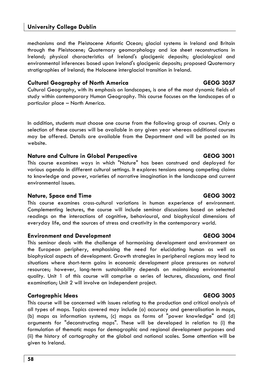mechanisms and the Pleistocene Atlantic Ocean; glacial systems in Ireland and Britain through the Pleistocene; Quaternary geomorphology and ice sheet reconstructions in Ireland; physical characteristics of Ireland's glacigenic deposits; glaciological and environmental inferences based upon Ireland's glacigenic deposits; proposed Quaternary stratigraphies of Ireland; the Holocene interglacial transition in Ireland.

# **Cultural Geography of North America GEOG 3057**

Cultural Geography, with its emphasis on landscapes, is one of the most dynamic fields of study within contemporary Human Geography. This course focuses on the landscapes of a particular place – North America.

In addition, students must choose one course from the following group of courses. Only a selection of these courses will be available in any given year whereas additional courses may be offered. Details are available from the Department and will be posted on its website.

# **Nature and Culture in Global Perspective CEOG 3001**

This course examines ways in which "Nature" has been construed and deployed for various agenda in different cultural settings. It explores tensions among competing claims to knowledge and power, varieties of narrative imagination in the landscape and current environmental issues.

# **Nature, Space and Time CEOG 3002**

This course examines cross-cultural variations in human experience of environment. Complementing lectures, the course will include seminar discussions based on selected readings on the interactions of cognitive, behavioural, and biophysical dimensions of everyday life, and the sources of stress and creativity in the contemporary world.

### **Environment and Development GEOG 3004**

This seminar deals with the challenge of harmonising development and environment on the European periphery, emphasising the need for elucidating human as well as biophysical aspects of development. Growth strategies in peripheral regions may lead to situations where short-term gains in economic development place pressures on natural resources; however, long-term sustainability depends on maintaining environmental quality. Unit 1 of this course will comprise a series of lectures, discussions, and final examination; Unit 2 will involve an independent project.

# **Cartographic Ideas GEOG 3005**

This course will be concerned with issues relating to the production and critical analysis of all types of maps. Topics covered may include (a) accuracy and generalisation in maps, (b) maps as information systems, (c) maps as forms of "power knowledge" and (d) arguments for "deconstructing maps". These will be developed in relation to (i) the formulation of thematic maps for demographic and regional development purposes and (ii) the history of cartography at the global and national scales. Some attention will be given to Ireland.

**58**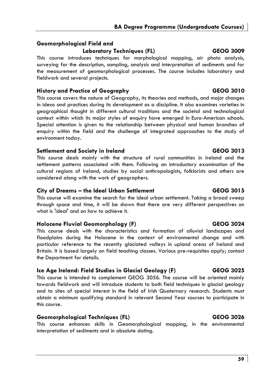# **Geomorphological Field and**

Laboratory Techniques (FL) **GEOG 3009** 

This course introduces techniques for morphological mapping, air photo analysis, surveying for the description, sampling, analysis and interpretation of sediments and for the measurement of geomorphological processes. The course includes laboratory and fieldwork and several projects.

# **History and Practice of Geography GEOG 3010**

This course covers the nature of Geography, its theories and methods, and major changes in ideas and practices during its development as a discipline. It also examines varieties in geographical thought in different cultural traditions and the societal and technological context within which its major styles of enquiry have emerged in Euro-American schools. Special attention is given to the relationship between physical and human branches of enquiry within the field and the challenge of integrated approaches to the study of environment today.

# **Settlement and Society in Ireland GEOG 3013**

This course deals mainly with the structure of rural communities in Ireland and the settlement patterns associated with them. Following an introductory examination of the cultural regions of Ireland, studies by social anthropologists, folklorists and others are considered along with the work of geographers.

# **City of Dreams – the Ideal Urban Settlement GEOG 3015**

This course will examine the search for the ideal urban settlement. Taking a broad sweep through space and time, it will be shown that there are very different perspectives on what is 'ideal' and on how to achieve it.

# **Holocene Fluvial Geomorphology (F) GEOG 3024**

This course deals with the characteristics and formation of alluvial landscapes and floodplains during the Holocene in the context of environmental change and with particular reference to the recently glaciated valleys in upland areas of Ireland and Britain. It is based largely on field teaching classes. Various pre-requisites apply; contact the Department for details.

# **Ice Age Ireland: Field Studies in Glacial Geology (F) GEOG 3025**

This course is intended to complement GEOG 3056. The course will be oriented mainly towards fieldwork and will introduce students to both field techniques in glacial geology and to sites of special interest in the field of Irish Quaternary research. Students must obtain a minimum qualifying standard in relevant Second Year courses to participate in this course.

# **Geomorphological Techniques (FL) GEOG 3026**

This course enhances skills in Geomorphological mapping, in the environmental interpretation of sediments and in absolute dating.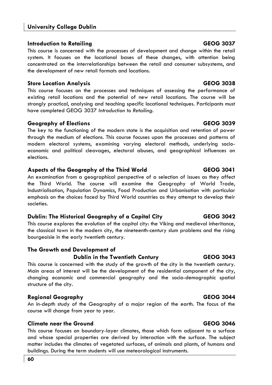# **Introduction to Retailing GEOG 3037**

This course is concerned with the processes of development and change within the retail system. It focuses on the locational bases of these changes, with attention being concentrated on the interrelationships between the retail and consumer subsystems, and the development of new retail formats and locations.

# **Store Location Analysis GEOG 3038**

This course focuses on the processes and techniques of assessing the performance of existing retail locations and the potential of new retail locations. The course will be strongly practical, analysing and teaching specific locational techniques. Participants must have completed GEOG 3037 *Introduction to Retailing*.

# **Geography of Elections GEOG 3039**

The key to the functioning of the modern state is the acquisition and retention of power through the medium of elections. This course focuses upon the processes and patterns of modern electoral systems, examining varying electoral methods, underlying socioeconomic and political cleavages, electoral abuses, and geographical influences on elections.

# **Aspects of the Geography of the Third World GEOG 3041**

An examination from a geographical perspective of a selection of issues as they affect the Third World. The course will examine the Geography of World Trade, Industrialisation, Population Dynamics, Food Production and Urbanisation with particular emphasis on the choices faced by Third World countries as they attempt to develop their societies.

# **Dublin: The Historical Geography of a Capital City GEOG 3042**

This course explores the evolution of the capital city: the Viking and medieval inheritance, the classical town in the modern city, the nineteenth-century slum problems and the rising bourgeoisie in the early twentieth century.

# **The Growth and Development of**

# **Dublin in the Twentieth Century GEOG 3043**

This course is concerned with the study of the growth of the city in the twentieth century. Main areas of interest will be the development of the residential component of the city, changing economic and commercial geography and the socio-demographic spatial structure of the city.

# **Regional Geography GEOG 3044**

An in-depth study of the Geography of a major region of the earth. The focus of the course will change from year to year.

# **Climate near the Ground GEOG 3046**

This course focuses on boundary-layer climates, those which form adjacent to a surface and whose special properties are derived by interaction with the surface. The subject matter includes the climates of vegetated surfaces, of animals and plants, of humans and buildings. During the term students will use meteorological instruments.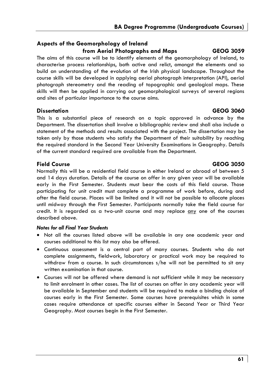# **Aspects of the Geomorphology of Ireland from Aerial Photographs and Maps GEOG 3059**

The aims of this course will be to identify elements of the geomorphology of Ireland, to characterise process relationships, both active and relict, amongst the elements and so build an understanding of the evolution of the Irish physical landscape. Throughout the course skills will be developed in applying aerial photograph interpretation (API), aerial photograph stereometry and the reading of topographic and geological maps. These skills will then be applied in carrying out geomorphological surveys of several regions and sites of particular importance to the course aims.

# **Dissertation GEOG 3060**

This is a substantial piece of research on a topic approved in advance by the Department. The dissertation shall involve a bibliographic review and shall also include a statement of the methods and results associated with the project. The dissertation may be taken only by those students who satisfy the Department of their suitability by reaching the required standard in the Second Year University Examinations in Geography. Details of the current standard required are available from the Department.

# **Field Course GEOG 3050**

Normally this will be a residential field course in either Ireland or abroad of between 5 and 14 days duration. Details of the course on offer in any given year will be available early in the First Semester. Students must bear the costs of this field course. Those participating for unit credit must complete a programme of work before, during and after the field course. Places will be limited and it will not be possible to allocate places until midway through the First Semester. Participants normally take the field course for credit. It is regarded as a two-unit course and may replace any one of the courses described above.

# *Notes for all Final Year Students*

- Not all the courses listed above will be available in any one academic year and courses additional to this list may also be offered.
- Continuous assessment is a central part of many courses. Students who do not complete assignments, fieldwork, laboratory or practical work may be required to withdraw from a course. In such circumstances s/he will not be permitted to sit any written examination in that course.
- Courses will not be offered where demand is not sufficient while it may be necessary to limit enrolment in other cases. The list of courses on offer in any academic year will be available in September and students will be required to make a binding choice of courses early in the First Semester. Some courses have prerequisites which in some cases require attendance at specific courses either in Second Year or Third Year Geography. Most courses begin in the First Semester.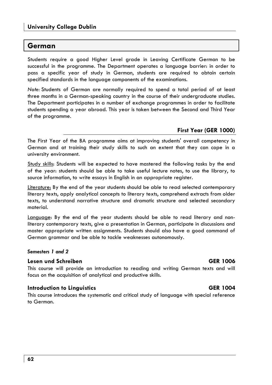# **German**

Students require a good Higher Level grade in Leaving Certificate German to be successful in the programme. The Department operates a language barrier: in order to pass a specific year of study in German, students are required to obtain certain specified standards in the language components of the examinations.

*Note:* Students of German are normally required to spend a total period of at least three months in a German-speaking country in the course of their undergraduate studies. The Department participates in a number of exchange programmes in order to facilitate students spending a year abroad. This year is taken between the Second and Third Year of the programme.

# **First Year (GER 1000)**

The First Year of the BA programme aims at improving students' overall competency in German and at training their study skills to such an extent that they can cope in a university environment.

Study skills: Students will be expected to have mastered the following tasks by the end of the year: students should be able to take useful lecture notes, to use the library, to source information, to write essays in English in an appropriate register.

Literature: By the end of the year students should be able to read selected contemporary literary texts, apply analytical concepts to literary texts, comprehend extracts from older texts, to understand narrative structure and dramatic structure and selected secondary material.

Language: By the end of the year students should be able to read literary and nonliterary contemporary texts, give a presentation in German, participate in discussions and master appropriate written assignments. Students should also have a good command of German grammar and be able to tackle weaknesses autonomously.

### *Semesters 1 and 2*

### **Lesen und Schreiben GER 1006**

This course will provide an introduction to reading and writing German texts and will focus on the acquisition of analytical and productive skills.

# **Introduction to Linguistics** GER 1004

This course introduces the systematic and critical study of language with special reference to German.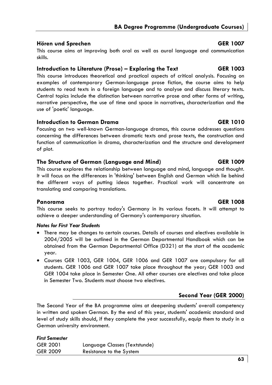# **Hören und Sprechen** GER 1007

This course aims at improving both oral as well as aural language and communication skills.

# **Introduction to Literature (Prose) – Exploring the Text GER 1003**

This course introduces theoretical and practical aspects of critical analysis. Focusing on examples of contemporary German-language prose fiction, the course aims to help students to read texts in a foreign language and to analyse and discuss literary texts. Central topics include the distinction between narrative prose and other forms of writing, narrative perspective, the use of time and space in narratives, characterization and the use of 'poetic' language.

# **Introduction to German Drama GER 1010**

Focusing on two well-known German-language dramas, this course addresses questions concerning the differences between dramatic texts and prose texts, the construction and function of communication in drama, characterization and the structure and development of plot.

# **The Structure of German (Language and Mind) GER 1009**

This course explores the relationship between language and mind, language and thought. It will focus on the differences in 'thinking' between English and German which lie behind the different ways of putting ideas together. Practical work will concentrate on translating and comparing translations.

# **Panorama GER 1008**

This course seeks to portray today's Germany in its various facets. It will attempt to achieve a deeper understanding of Germany's contemporary situation.

# *Notes for First Year Students*

- There may be changes to certain courses. Details of courses and electives available in 2004/2005 will be outlined in the German Departmental Handbook which can be obtained from the German Departmental Office (D321) at the start of the academic year.
- Courses GER 1003, GER 1004, GER 1006 and GER 1007 are compulsory for all students. GER 1006 and GER 1007 take place throughout the year; GER 1003 and GER 1004 take place in Semester One. All other courses are electives and take place in Semester Two. Students must choose two electives.

# **Second Year (GER 2000)**

The Second Year of the BA programme aims at deepening students' overall competency in written and spoken German. By the end of this year, students' academic standard and level of study skills should, if they complete the year successfully, equip them to study in a German university environment.

# *First Semester*  GER 2001 Language Classes (Textstunde) GER 2009 Resistance to the System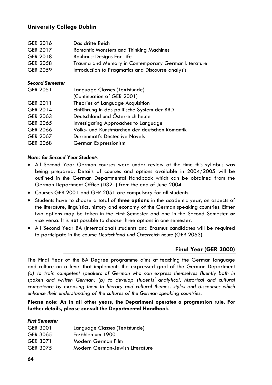| GER 2016        | Das dritte Reich                                    |
|-----------------|-----------------------------------------------------|
| GER 2017        | <b>Romantic Monsters and Thinking Machines</b>      |
| GER 2018        | <b>Bauhaus: Designs For Life</b>                    |
| <b>GER 2058</b> | Trauma and Memory in Contemporary German Literature |
| GER 2059        | Introduction to Pragmatics and Discourse analysis   |
|                 |                                                     |

# *Second Semester*

| GER 2051 | Language Classes (Textstunde)                  |
|----------|------------------------------------------------|
|          | (Continuation of GER 2001)                     |
| GER 2011 | Theories of Language Acquisition               |
| GER 2014 | Einführung in das politische System der BRD    |
| GER 2063 | Deutschland und Österreich heute               |
| GER 2065 | Investigating Approaches to Language           |
| GER 2066 | Volks- und Kunstmärchen der deutschen Romantik |
| GER 2067 | Dürrenmatt's Dectective Novels                 |
| GER 2068 | German Expressionism                           |
|          |                                                |

### *Notes for Second Year Students*

- All Second Year German courses were under review at the time this syllabus was being prepared. Details of courses and options available in 2004/2005 will be outlined in the German Departmental Handbook which can be obtained from the German Department Office (D321) from the end of June 2004.
- Courses GER 2001 and GER 2051 are compulsory for all students.
- Students have to choose a total of **three options** in the academic year, on aspects of the literature, linguistics, history and economy of the German speaking countries. Either two options may be taken in the First Semester and one in the Second Semester **or** vice versa. It is **not** possible to choose three options in one semester.
- All Second Year BA (International) students and Erasmus candidates will be required to participate in the course *Deutschland und Österreich heute* (GER 2063).

# **Final Year (GER 3000)**

The Final Year of the BA Degree programme aims at teaching the German language and culture on a level that implements the expressed goal of the German Department *(a) to train competent speakers of German who can express themselves fluently both in spoken and written German; (b) to develop students' analytical, historical and cultural competence by exposing them to literary and cultural themes, styles and discourses which enhance their understanding of the cultures of the German speaking countries.*

**Please note: As in all other years, the Department operates a progression rule. For further details, please consult the Departmental Handbook.** 

# *First Semester*

| Language Classes (Textstunde)   |
|---------------------------------|
| Erzählen um 1900                |
| Modern German Film              |
| Modern German-Jewish Literature |
|                                 |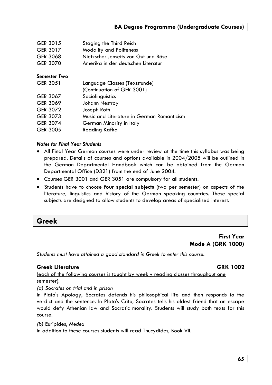| GER 3015            | Staging the Third Reich                    |
|---------------------|--------------------------------------------|
| GER 3017            | <b>Modality and Politeness</b>             |
| GER 3068            | Nietzsche: Jenseits von Gut und Böse       |
| GER 3070            | Amerika in der deutschen Literatur         |
| <b>Semester Two</b> |                                            |
| <b>GER 3051</b>     | Language Classes (Textstunde)              |
|                     | (Continuation of GER 3001)                 |
| GER 3067            | Sociolinguistics                           |
| GER 3069            | Johann Nestroy                             |
| GER 3072            | Joseph Roth                                |
| GER 3073            | Music and Literature in German Romanticism |
| <b>GER 3074</b>     | German Minority in Italy                   |
| <b>GER 3005</b>     | Reading Kafka                              |

### *Notes for Final Year Students*

- All Final Year German courses were under review at the time this syllabus was being prepared. Details of courses and options available in 2004/2005 will be outlined in the German Departmental Handbook which can be obtained from the German Departmental Office (D321) from the end of June 2004.
- Courses GER 3001 and GER 3051 are compulsory for all students.
- Students have to choose **four special subjects** (two per semester) on aspects of the literature, linguistics and history of the German speaking countries. These special subjects are designed to allow students to develop areas of specialised interest.

# **Greek**

# **First Year Mode A (GRK 1000)**

*Students must have attained a good standard in Greek to enter this course.* 

# **Greek Literature GRK 1002**

(each of the following courses is taught by weekly reading classes throughout one semester):

*(a) Socrates on trial and in prison* 

In Plato's Apology, Socrates defends his philosophical life and then responds to the verdict and the sentence. In Plato's Crito, Socrates tells his oldest friend that an escape would defy Athenian law and Socratic morality. Students will study both texts for this course.

*(b)* Euripides, *Medea* 

In addition to these courses students will read Thucydides, Book VII.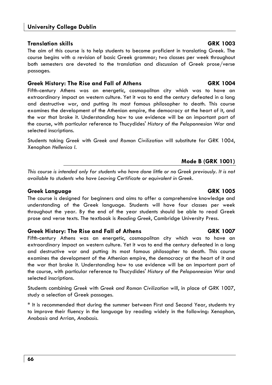# **Translation skills GRK 1003**

The aim of this course is to help students to become proficient in translating Greek. The course begins with a revision of basic Greek grammar; two classes per week throughout both semesters are devoted to the translation and discussion of Greek prose/verse passages.

# **Greek History: The Rise and Fall of Athens GRK 1004**

Fifth-century Athens was an energetic, cosmopolitan city which was to have an extraordinary impact on western culture. Yet it was to end the century defeated in a long and destructive war, and putting its most famous philosopher to death. This course examines the development of the Athenian empire, the democracy at the heart of it, and the war that broke it. Understanding how to use evidence will be an important part of the course, with particular reference to Thucydides' *History of the Peloponnesian War* and selected inscriptions.

Students taking *Greek* with *Greek and Roman Civilization* will substitute for GRK 1004, Xenophon *Hellenica I.* 

# **Mode B (GRK 1001)**

*This course is intended only for students who have done little or no Greek previously. It is not available to students who have Leaving Certificate or equivalent in Greek.* 

# **Greek Language GRK 1005**

The course is designed for beginners and aims to offer a comprehensive knowledge and understanding of the Greek language. Students will have four classes per week throughout the year. By the end of the year students should be able to read Greek prose and verse texts. The textbook is *Reading Greek*, Cambridge University Press.

# **Greek History: The Rise and Fall of Athens GRK 1007**

Fifth-century Athens was an energetic, cosmopolitan city which was to have an extraordinary impact on western culture. Yet it was to end the century defeated in a long and destructive war and putting its most famous philosopher to death. This course examines the development of the Athenian empire, the democracy at the heart of it and the war that broke it. Understanding how to use evidence will be an important part of the course, with particular reference to Thucydides' *History of the Peloponnesian War* and selected inscriptions.

Students combining *Greek* with *Greek and Roman Civilization* will, in place of GRK 1007, study a selection of Greek passages.

\* It is recommended that during the summer between First and Second Year, students try to improve their fluency in the language by reading widely in the following: Xenophon, *Anabasis* and Arrian, *Anabasis*.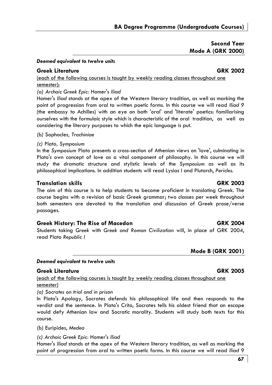# **Second Year Mode A (GRK 2000)**

### *Deemed equivalent to twelve units*

# **Greek Literature GRK 2002**

(each of the following courses is taught by weekly reading classes throughout one semester):

### *(a) Archaic Greek Epic:* Homer's *Iliad*

Homer's *Iliad* stands at the apex of the Western literary tradition, as well as marking the point of progression from oral to written poetic forms. In this course we will read *Iliad 9* (the embassy to Achilles) with an eye on both 'oral' and 'literate' poetics: familiarising ourselves with the formulaic style which is characteristic of the oral tradition, as well as considering the literary purposes to which the epic language is put.

*(b)* Sophocles*, Trachiniae* 

### *(c)* Plato*, Symposium*

In the *Symposium* Plato presents a cross-section of Athenian views on 'love', culminating in Plato's own concept of love as a vital component of philosophy. In this course we will study the dramatic structure and stylistic levels of the *Symposium* as well as its philosophical implications. In addition students will read Lysias I and Plutarch, *Pericles*.

### **Translation skills GRK 2003**

The aim of this course is to help students to become proficient in translating Greek. The course begins with a revision of basic Greek grammar; two classes per week throughout both semesters are devoted to the translation and discussion of Greek prose/verse passages.

## Greek History: The Rise of Macedon **GRK 2004**

Students taking *Greek* with *Greek and Roman Civilization* will, in place of GRK 2004, read Plato *Republic I*

# **Mode B (GRK 2001)**

### *Deemed equivalent to twelve units*

# **Greek Literature GRK 2005**

(each of the following courses is taught by weekly reading classes throughout one semester)

*(a) Socrates on trial and in prison* 

In Plato's Apology, Socrates defends his philosophical life and then responds to the verdict and the sentence. In Plato's Crito, Socrates tells his oldest friend that an escape would defy Athenian law and Socratic morality. Students will study both texts for this course.

*(b)* Euripides, *Medea* 

*(c) Archaic Greek Epic:* Homer's *Iliad* 

Homer's *Iliad* stands at the apex of the Western literary tradition, as well as marking the point of progression from oral to written poetic forms. In this course we will read *Iliad* 9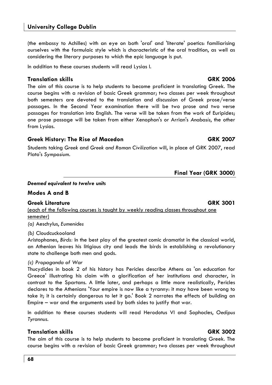(the embassy to Achilles) with an eye on both 'oral' and 'literate' poetics: familiarising ourselves with the formulaic style which is characteristic of the oral tradition, as well as considering the literary purposes to which the epic language is put.

In addition to these courses students will read Lysias I.

# **Translation skills GRK 2006**

The aim of this course is to help students to become proficient in translating Greek. The course begins with a revision of basic Greek grammar; two classes per week throughout both semesters are devoted to the translation and discussion of Greek prose/verse passages. In the Second Year examination there will be two prose and two verse passages for translation into English. The verse will be taken from the work of Euripides; one prose passage will be taken from either Xenophon's or Arrian's *Anabasis*, the other from Lysias.

# Greek History: The Rise of Macedon **GRK 2007**

Students taking *Greek* and *Greek and Roman Civilization* will, in place of GRK 2007, read Plato's *Symposium.* 

# **Final Year (GRK 3000)**

### *Deemed equivalent to twelve units*

# **Modes A and B**

# **Greek Literature GRK 3001**

(each of the following courses is taught by weekly reading classes throughout one semester)

*(a)* Aeschylus, *Eumenides* 

# *(b)* Cloudcuckooland

Aristophanes, *Birds:* In the best play of the greatest comic dramatist in the classical world, an Athenian leaves his litigious city and leads the birds in establishing a revolutionary state to challenge both men and gods.

# *(c) Propaganda of War*

Thucydides in book 2 of his history has Pericles describe Athens as 'an education for Greece' illustrating his claim with a glorification of her institutions and character, in contrast to the Spartans. A little later, and perhaps a little more realistically, Pericles declares to the Athenians 'Your empire is now like a tyranny: it may have been wrong to take it; it is certainly dangerous to let it go.' Book 2 narrates the effects of building an Empire – war and the arguments used by both sides to justify that war.

In addition to these courses students will read Herodotus VI and Sophocles, *Oedipus Tyrannus*.

# **Translation skills GRK 3002**

The aim of this course is to help students to become proficient in translating Greek. The course begins with a revision of basic Greek grammar; two classes per week throughout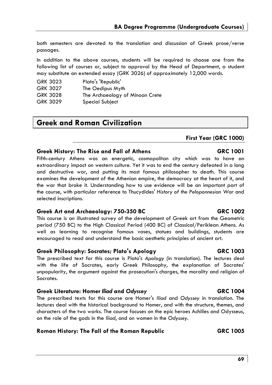both semesters are devoted to the translation and discussion of Greek prose/verse passages.

In addition to the above courses, students will be required to choose one from the following list of courses or, subject to approval by the Head of Department, a student may substitute an extended essay (GRK 3026) of approximately 12,000 words.

| GRK 3023        | Plato's 'Republic'              |
|-----------------|---------------------------------|
| <b>GRK 3027</b> | The Oedipus Myth                |
| GRK 3028        | The Archaeology of Minoan Crete |
| GRK 3029        | Special Subject                 |

# **Greek and Roman Civilization**

# **First Year (GRC 1000)**

### **Greek History: The Rise and Fall of Athens GRC 1001**

Fifth-century Athens was an energetic, cosmopolitan city which was to have an extraordinary impact on western culture. Yet it was to end the century defeated in a long and destructive war, and putting its most famous philosopher to death. This course examines the development of the Athenian empire, the democracy at the heart of it, and the war that broke it. Understanding how to use evidence will be an important part of the course, with particular reference to Thucydides' *History of the Peloponnesian War* and selected inscriptions.

# Greek Art and Archaeology: 750-350 BC **GRC 1002**

This course is an illustrated survey of the development of Greek art from the Geometric period (750 BC) to the High Classical Period (400 BC) of Classical/Periklean Athens. As well as learning to recognise famous vases, statues and buildings, students are encouraged to read and understand the basic aesthetic principles of ancient art.

# Greek Philosophy: Socrates; Plato's Apology **GRC 1003**

The prescribed text for this course is Plato's *Apology* (in translation). The lectures deal with the life of Socrates, early Greek Philosophy, the explanation of Socrates' unpopularity, the argument against the prosecution's charges, the morality and religion of Socrates.

# Greek Literature: Homer *Iliad* and Odyssey **GRC 1004**

The prescribed texts for this course are Homer's *Iliad* and *Odyssey* in translation. The lectures deal with the historical background to Homer, and with the structure, themes, and characters of the two works. The course focuses on the epic heroes Achilles and Odysseus, on the role of the gods in the *Iliad*, and on women in the *Odyssey*.

# **Roman History: The Fall of the Roman Republic GRC 1005**

### **69**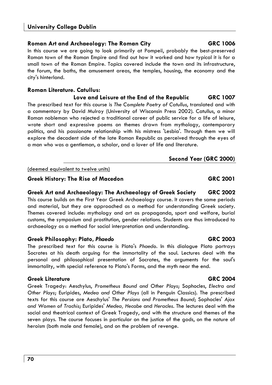# **Roman Art and Archaeology: The Roman City GRC 1006**

In this course we are going to look primarily at Pompeii, probably the best-preserved Roman town of the Roman Empire and find out how it worked and how typical it is for a small town of the Roman Empire. Topics covered include the town and its infrastructure, the forum, the baths, the amusement areas, the temples, housing, the economy and the city's hinterland.

# **Roman Literature. Catullus:**

**Love and Leisure at the End of the Republic GRC 1007**  The prescribed text for this course is *The Complete Poetry of Catullus*, translated and with a commentary by David Mulroy (University of Wisconsin Press 2002). Catullus, a minor Roman nobleman who rejected a traditional career of public service for a life of leisure, wrote short and expressive poems on themes drawn from mythology, contemporary politics, and his passionate relationship with his mistress 'Lesbia'. Through them we will explore the decadent side of the late Roman Republic as perceived through the eyes of a man who was a gentleman, a scholar, and a lover of life and literature.

### (deemed equivalent to twelve units)

# Greek History: The Rise of Macedon **GRC 2001**

# **Greek Art and Archaeology: The Archaeology of Greek Society GRC 2002**  This course builds on the First Year Greek Archaeology course. It covers the same periods and material, but they are approached as a method for understanding Greek society. Themes covered include: mythology and art as propaganda, sport and welfare, burial customs, the symposium and prostitution, gender relations. Students are thus introduced to archaeology as a method for social interpretation and understanding.

# **Greek Philosophy: Plato,** *Phaedo* **GRC 2003**

The prescribed text for this course is Plato's *Phaedo*. In this dialogue Plato portrays Socrates at his death arguing for the immortality of the soul. Lectures deal with the personal and philosophical presentation of Socrates, the arguments for the soul's immortality, with special reference to Plato's Forms, and the myth near the end.

# **Greek Literature GRC 2004**

Greek Tragedy: Aeschylus, *Prometheus Bound and Other Plays*; Sophocles, *Electra and Other Plays*; Euripides, *Medea and Other Plays* (all in Penguin Classics). The prescribed texts for this course are Aeschylus' *The Persians and Prometheus Bound*; Sophocles' *Ajax and Women of Trachis*; Euripides' *Medea, Hecabe* and *Heracles*. The lectures deal with the social and theatrical context of Greek Tragedy, and with the structure and themes of the seven plays. The course focuses in particular on the justice of the gods, on the nature of heroism (both male and female), and on the problem of revenge.

# **Second Year (GRC 2000)**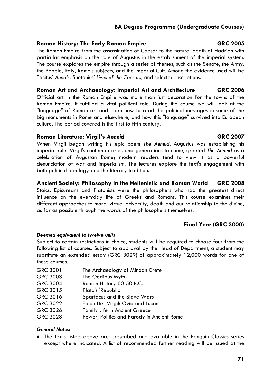### **Roman History: The Early Roman Empire GRC 2005**

The Roman Empire from the assassination of Caesar to the natural death of Hadrian with particular emphasis on the role of Augustus in the establishment of the imperial system. The course explores the empire through a series of themes, such as the Senate, the Army, the People, Italy, Rome's subjects, and the Imperial Cult. Among the evidence used will be Tacitus' *Annals*, Suetonius' *Lives of the Caesars*, and selected inscriptions.

### **Roman Art and Archaeology: Imperial Art and Architecture GRC 2006**

Official art in the Roman Empire was more than just decoration for the towns of the Roman Empire. It fulfilled a vital political role. During the course we will look at the "language" of Roman art and learn how to read the political messages in some of the big monuments in Rome and elsewhere, and how this "language" survived into European culture. The period covered is the first to fifth century.

### **Roman Literature: Virgil's** *Aeneid* **GRC 2007**

When Virgil began writing his epic poem *The Aeneid*, Augustus was establishing his imperial rule. Virgil's contemporaries and generations to come, greeted *The Aeneid* as a celebration of Augustan Rome; modern readers tend to view it as a powerful denunciation of war and imperialism. The lectures explore the text's engagement with both political ideology and the literary tradition.

### **Ancient Society: Philosophy in the Hellenistic and Roman World GRC 2008**

Stoics, Epicureans and Platonists were the philosophers who had the greatest direct influence on the everyday life of Greeks and Romans. This course examines their different approaches to moral virtue, adversity, death and our relationship to the divine, as far as possible through the words of the philosophers themselves.

# **Final Year (GRC 3000)**

### *Deemed equivalent to twelve units*

Subject to certain restrictions in choice, students will be required to choose four from the following list of courses. Subject to approval by the Head of Department, a student may substitute an extended essay (GRC 3029) of approximately 12,000 words for one of these courses.

| GRC 3001 | The Archaeology of Minoan Crete            |
|----------|--------------------------------------------|
| GRC 3003 | The Oedipus Myth                           |
| GRC 3004 | Roman History 60-50 B.C.                   |
| GRC 3015 | Plato's 'Republic                          |
| GRC 3016 | Spartacus and the Slave Wars               |
| GRC 3022 | Epic after Virgil: Ovid and Lucan          |
| GRC 3026 | <b>Family Life in Ancient Greece</b>       |
| GRC 3028 | Power, Politics and Parody in Ancient Rome |

### *General Notes:*

• The texts listed above are prescribed and available in the Penguin Classics series except where indicated. A list of recommended further reading will be issued at the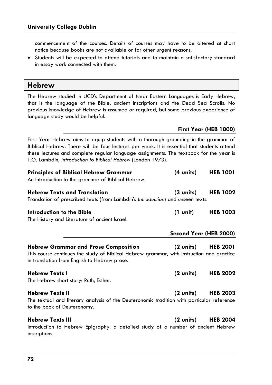**Hebrew** 

commencement of the courses. Details of courses may have to be altered at short notice because books are not available or for other urgent reasons.

• Students will be expected to attend tutorials and to maintain a satisfactory standard in essay work connected with them.

| The Hebrew studied in UCD's Department of Near Eastern Languages is Early Hebrew,<br>that is the language of the Bible, ancient inscriptions and the Dead Sea Scrolls. No<br>previous knowledge of Hebrew is assumed or required, but some previous experience of<br>language study would be helpful.                                         |                        |                       |  |  |
|-----------------------------------------------------------------------------------------------------------------------------------------------------------------------------------------------------------------------------------------------------------------------------------------------------------------------------------------------|------------------------|-----------------------|--|--|
|                                                                                                                                                                                                                                                                                                                                               |                        | First Year (HEB 1000) |  |  |
| First Year Hebrew aims to equip students with a thorough grounding in the grammar of<br>Biblical Hebrew. There will be four lectures per week. It is essential that students attend<br>these lectures and complete regular language assignments. The textbook for the year is<br>T.O. Lambdin, Introduction to Biblical Hebrew (London 1973). |                        |                       |  |  |
| <b>Principles of Biblical Hebrew Grammar</b><br>An Introduction to the grammar of Biblical Hebrew.                                                                                                                                                                                                                                            | $(4 \text{ units})$    | <b>HEB 1001</b>       |  |  |
| <b>Hebrew Texts and Translation</b><br>Translation of prescribed texts (from Lambdin's Introduction) and unseen texts.                                                                                                                                                                                                                        | $(3 \text{ units})$    | <b>HEB 1002</b>       |  |  |
| Introduction to the Bible<br>The History and Literature of ancient Israel.                                                                                                                                                                                                                                                                    | $(1 \text{ unit})$     | <b>HEB 1003</b>       |  |  |
|                                                                                                                                                                                                                                                                                                                                               | Second Year (HEB 2000) |                       |  |  |
| <b>Hebrew Grammar and Prose Composition</b><br>This course continues the study of Biblical Hebrew grammar, with instruction and practice<br>in translation from English to Hebrew prose.                                                                                                                                                      | $(2 \text{ units})$    | <b>HEB 2001</b>       |  |  |
| <b>Hebrew Texts I</b><br>The Hebrew short story: Ruth, Esther.                                                                                                                                                                                                                                                                                | $(2 \text{ units})$    | <b>HEB 2002</b>       |  |  |
| <b>Hebrew Texts II</b><br>The textual and literary analysis of the Deuteronomic tradition with particular reference<br>to the book of Deuteronomy.                                                                                                                                                                                            | $(2 \text{ units})$    | <b>HEB 2003</b>       |  |  |
| <b>Hebrew Texts III</b><br>Introduction to Hebrew Epigraphy: a detailed study of a number of ancient Hebrew<br>inscriptions                                                                                                                                                                                                                   | $(2 \text{ units})$    | <b>HEB 2004</b>       |  |  |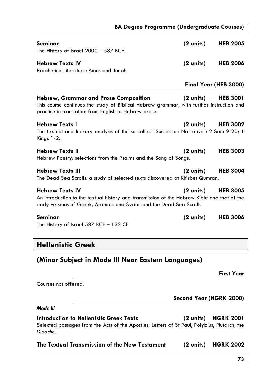| Seminar<br>The History of Israel 2000 - 587 BCE.                                                                                                                                               | $(2 \text{ units})$ | <b>HEB 2005</b>       |
|------------------------------------------------------------------------------------------------------------------------------------------------------------------------------------------------|---------------------|-----------------------|
| <b>Hebrew Texts IV</b><br>Prophetical literature: Amos and Jonah                                                                                                                               | $(2 \text{ units})$ | <b>HEB 2006</b>       |
|                                                                                                                                                                                                |                     | Final Year (HEB 3000) |
| Hebrew, Grammar and Prose Composition<br>This course continues the study of Biblical Hebrew grammar, with further instruction and<br>practice in translation from English to Hebrew prose.     | $(2 \text{ units})$ | <b>HEB 3001</b>       |
| <b>Hebrew Texts I</b><br>The textual and literary analysis of the so-called "Succession Narrative": 2 Sam 9-20; 1<br>Kings 1-2.                                                                | (2 units)           | <b>HEB 3002</b>       |
| <b>Hebrew Texts II</b><br>Hebrew Poetry: selections from the Psalms and the Song of Songs.                                                                                                     | $(2 \text{ units})$ | <b>HEB 3003</b>       |
| <b>Hebrew Texts III</b><br>The Dead Sea Scrolls: a study of selected texts discovered at Khirbet Qumran.                                                                                       | (2 units)           | <b>HEB 3004</b>       |
| <b>Hebrew Texts IV</b><br>An introduction to the textual history and transmission of the Hebrew Bible and that of the<br>early versions of Greek, Aramaic and Syriac and the Dead Sea Scrolls. | $(2 \text{ units})$ | <b>HEB 3005</b>       |
| Seminar<br>The History of Israel 587 BCE - 132 CE                                                                                                                                              | $(2 \text{ units})$ | <b>HEB 3006</b>       |

# **Hellenistic Greek**

# **(Minor Subject in Mode III Near Eastern Languages)**

**First Year** 

Courses not offered.

**Second Year (HGRK 2000)** 

# *Mode III*

**Introduction to Hellenistic Greek Texts (2 units) HGRK 2001**  Selected passages from the Acts of the Apostles, Letters of St Paul, Polybius, Plutarch, the *Didache.* 

| The Textual Transmission of the New Testament |  | (2 units) HGRK 2002 |
|-----------------------------------------------|--|---------------------|
|-----------------------------------------------|--|---------------------|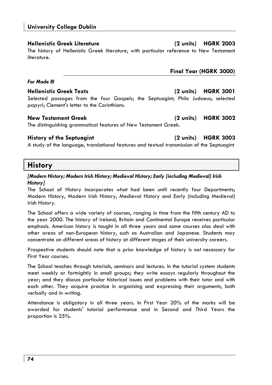# **Hellenistic Greek Literature (2 units) HGRK 2003**

The history of Hellenistic Greek literature, with particular reference to New Testament literature.

# *For Mode III*

# **Hellenistic Greek Texts (2 units) HGRK 3001**

Selected passages from the four Gospels; the Septuagint; Philo Judaeus; selected papyri; Clement's letter to the Corinthians.

# **New Testament Greek (2 units) HGRK 3002**

The distinguishing grammatical features of New Testament Greek.

# **History of the Septuagint (2 units) HGRK 3003**

A study of the language, translational features and textual transmission of the Septuagint

# **History**

## *[Modern History; Modern Irish History; Medieval History; Early (including Medieval) Irish History]*

The School of History incorporates what had been until recently four Departments; Modern History, Modern Irish History, Medieval History and Early (including Medieval) Irish History.

The School offers a wide variety of courses, ranging in time from the fifth century AD to the year 2000. The history of Ireland, Britain and Continental Europe receives particular emphasis. American history is taught in all three years and some courses also deal with other areas of non-European history, such as Australian and Japanese. Students may concentrate on different areas of history at different stages of their university careers.

Prospective students should note that a prior knowledge of history is *not* necessary for First Year courses.

The School teaches through tutorials, seminars and lectures. In the tutorial system students meet weekly or fortnightly in small groups; they write essays regularly throughout the year; and they discuss particular historical issues and problems with their tutor and with each other. They acquire practice in organising and expressing their arguments, both verbally and in writing.

Attendance is obligatory in all three years. In First Year 20% of the marks will be awarded for students' tutorial performance and in Second and Third Years the proportion is 25%.

**Final Year (HGRK 3000)**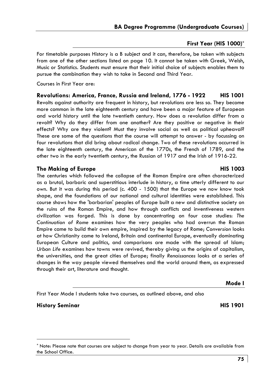## **First Year (HIS 1000)\***

For timetable purposes History is a B subject and it can, therefore, be taken with subjects from one of the other sections listed on page 10. It cannot be taken with Greek, Welsh, Music or Statistics. Students must ensure that their initial choice of subjects enables them to pursue the combination they wish to take in Second and Third Year.

Courses in First Year are:

**Revolutions: America, France, Russia and Ireland, 1776 - 1922 HIS 1001**  Revolts against authority are frequent in history, but revolutions are less so. They become more common in the late eighteenth century and have been a major feature of European and world history until the late twentieth century. How does a revolution differ from a revolt? Why do they differ from one another? Are they positive or negative in their effects? Why are they violent? Must they involve social as well as political upheaval? These are some of the questions that the course will attempt to answer - by focussing on four revolutions that did bring about radical change. Two of these revolutions occurred in the late eighteenth century, the American of the 1770s, the French of 1789, and the other two in the early twentieth century, the Russian of 1917 and the Irish of 1916-22.

## **The Making of Europe HIS 1003**

The centuries which followed the collapse of the Roman Empire are often characterized as a brutal, barbaric and superstitious interlude in history, a time utterly different to our own. But it was during this period (c. 400 - 1500) that the Europe we now know took shape, and the foundations of our national and cultural identities were established. This course shows how the 'barbarian' peoples of Europe built a new and distinctive society on the ruins of the Roman Empire, and how through conflicts and inventiveness western civilization was forged. This is done by concentrating on four case studies: *The Continuation of Rome* examines how the very peoples who had overrun the Roman Empire came to build their own empire, inspired by the legacy of Rome; *Conversion* looks at how Christianity came to Ireland, Britain and continental Europe, eventually dominating European Culture and politics, and comparisons are made with the spread of Islam; *Urban Life* examines how towns were revived, thereby giving us the origins of capitalism, the universities, and the great cities of Europe; finally *Renaissances* looks at a series of changes in the way people viewed themselves and the world around them, as expressed through their art, literature and thought.

# **Mode I**

### First Year Mode I students take two courses, as outlined above, and also

## **History Seminar HIS 1901**

<sup>\*</sup> Note: Please note that courses are subject to change from year to year. Details are available from the School Office.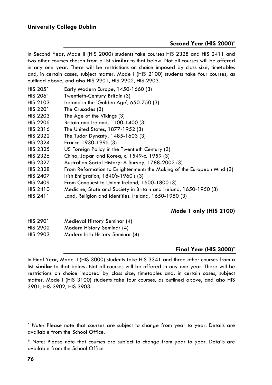## **Second Year (HIS 2000)\***

In Second Year, Mode II (HIS 2000) students take courses HIS 2328 and HIS 2411 and two other courses chosen from a list **similar** to that below. Not all courses will be offered in any one year. There will be restrictions on choice imposed by class size, timetables and, in certain cases, subject matter. Mode I (HIS 2100) students take four courses, as outlined above, and also HIS 2901, HIS 2902, HIS 2903.

- HIS 2051 Early Modern Europe, 1450-1660 (3)
- HIS 2061 Twentieth-Century Britain (3)
- HIS 2103 Ireland in the 'Golden Age', 650-750 (3)
- HIS 2201 The Crusades (3)
- HIS 2203 The Age of the Vikings (3)
- HIS 2206 Britain and Ireland, 1100-1400 (3)
- HIS 2316 The United States, 1877-1952 (3)
- HIS 2322 The Tudor Dynasty, 1485-1603 (3)
- HIS 2324 France 1930-1995 (3)
- HIS 2325 US Foreign Policy in the Twentieth Century (3)
- HIS 2326 China, Japan and Korea, c. 1549-c. 1959 (3)
- HIS 2327 Australian Social History: A Survey, 1788-2002 (3)
- HIS 2328 From Reformation to Enlightenment: the Making of the European Mind (3)
- HIS 2407 Irish Emigration, 1840's-1960's (3)
- HIS 2409 From Conquest to Union: Ireland, 1600-1800 (3)
- HIS 2410 Medicine, State and Society in Britain and Ireland, 1650-1950 (3)
- HIS 2411 Land, Religion and Identities: Ireland, 1650-1950 (3)

# **Mode 1 only (HIS 2100)**

- HIS 2901 Medieval History Seminar (4)
- HIS 2902 Modern History Seminar (4)
- HIS 2903 Modern Irish History Seminar (4)

## **Final Year (HIS 3000)\***

In Final Year, Mode II (HIS 3000) students take HIS 3341 and three other courses from a list **similar** to that below. Not all courses will be offered in any one year. There will be restrictions on choice imposed by class size, timetables and, in certain cases, subject matter. Mode I (HIS 3100) students take four courses, as outlined above, and also HIS 3901, HIS 3902, HIS 3903.

<sup>\*</sup> *Note:* Please note that courses are subject to change from year to year. Details are available from the School Office.

<sup>\*</sup> Note: Please note that courses are subject to change from year to year. Details are available from the School Office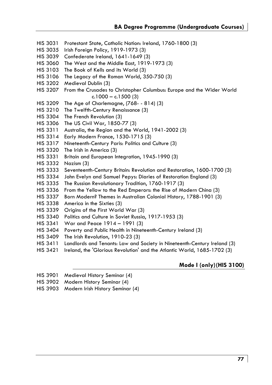- HIS 3031 Protestant State, Catholic Nation: Ireland, 1760-1800 (3)
- HIS 3035 Irish Foreign Policy, 1919-1973 (3)
- HIS 3039 Confederate Ireland, 1641-1649 (3)
- HIS 3060 The West and the Middle East, 1919-1973 (3)
- HIS 3103 The Book of Kells and its World (3)
- HIS 3106 The Legacy of the Roman World, 350-750 (3)
- HIS 3202 Medieval Dublin (3)
- HIS 3207 From the Crusades to Christopher Columbus: Europe and the Wider World  $c.1000 - c.1500(3)$
- HIS 3209 The Age of Charlemagne, (768- 814) (3)
- HIS 3210 The Twelfth-Century Renaissance (3)
- HIS 3304 The French Revolution (3)
- HIS 3306 The US Civil War, 1850-77 (3)
- HIS 3311 Australia, the Region and the World, 1941-2002 (3)
- HIS 3314 Early Modern France, 1530-1715 (3)
- HIS 3317 Nineteenth-Century Paris: Politics and Culture (3)
- HIS 3320 The Irish in America (3)
- HIS 3331 Britain and European Integration, 1945-1990 (3)
- HIS 3332 Nazism (3)
- HIS 3333 Seventeenth-Century Britain: Revolution and Restoration, 1600-1700 (3)
- HIS 3334 John Evelyn and Samuel Pepys: Diaries of Restoration England (3)
- HIS 3335 The Russian Revolutionary Tradition, 1760-1917 (3)
- HIS 3336 From the Yellow to the Red Emperors: the Rise of Modern China (3)
- HIS 3337 Born Modern? Themes in Australian Colonial History, 1788-1901 (3)
- HIS 3338 America in the Sixties (3)
- HIS 3339 Origins of the First World War (3)
- HIS 3340 Politics and Culture in Soviet Russia, 1917-1953 (3)
- HIS 3341 War and Peace 1914 1991 (3)
- HIS 3404 Poverty and Public Health in Nineteenth-Century Ireland (3)
- HIS 3409 The Irish Revolution, 1910-23 (3)
- HIS 3411 Landlords and Tenants: Law and Society in Nineteenth-Century Ireland (3)
- HIS 3421 Ireland, the 'Glorious Revolution' and the Atlantic World, 1685-1702 (3)

## **Mode I (only) (HIS 3100)**

- HIS 3901 Medieval History Seminar (4)
- HIS 3902 Modern History Seminar (4)
- HIS 3903 Modern Irish History Seminar (4)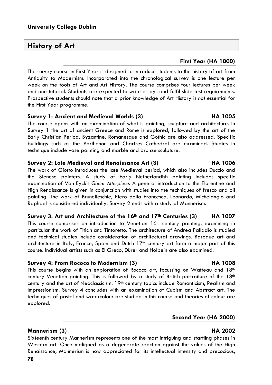# **History of Art**

# **First Year (HA 1000)**

The survey course in First Year is designed to introduce students to the history of art from Antiquity to Modernism. Incorporated into the chronological survey is one lecture per week on the tools of Art and Art History. The course comprises four lectures per week and one tutorial. Students are expected to write essays and fulfil slide test requirements. Prospective students should note that a prior knowledge of Art History is *not* essential for the First Year programme.

## **Survey 1: Ancient and Medieval Worlds (3) HA 1005**

The course opens with an examination of what is painting, sculpture and architecture. In Survey 1 the art of ancient Greece and Rome is explored, followed by the art of the Early Christian Period. Byzantine, Romanesque and Gothic are also addressed. Specific buildings such as the Parthenon and Chartres Cathedral are examined. Studies in technique include vase painting and marble and bronze sculpture.

# **Survey 2: Late Medieval and Renaissance Art (3) HA 1006**

The work of Giotto introduces the late Medieval period, which also includes Duccio and the Sienese painters. A study of Early Netherlandish painting includes specific examination of Van Eyck's *Ghent Alterpiece*. A general introduction to the Florentine and High Renaissance is given in conjunction with studies into the techniques of fresco and oil painting. The work of Brunelleschie, Piero della Francesca, Leonardo, Michelanglo and Raphael is considered individually. Survey 2 ends with a study of Mannerism.

# **Survey 3: Art and Architecture of the 16th and 17th Centuries (3) HA 1007**  This course comprises an introduction to Venetian 16<sup>th</sup> century painting, examining in particular the work of Titian and Tintoretto. The architecture of Andrea Palladio is studied

and technical studies include consideration of architectural drawings. Baroque art and architecture in Italy, France, Spain and Dutch 17<sup>th</sup> century art form a major part of this course. Individual artists such as El Greco, Dürer and Holbein are also examined.

# **Survey 4: From Rococo to Modernism (3) HA 1008**

This course begins with an exploration of Rococo art, focussing on Watteau and  $18<sup>th</sup>$ century Venetian painting. This is followed by a study of British portraiture of the  $18<sup>th</sup>$ century and the art of Neoclassicism. 19th century topics include Romanticism, Realism and Impressionism. Survey 4 concludes with an examination of Cubism and Abstract art. The techniques of pastel and watercolour are studied in this course and theories of colour are explored.

## **Second Year (HA 2000)**

# **Mannerism (3) HA 2002**

Sixteenth century Mannerism represents one of the most intriguing and startling phases in Western art. Once maligned as a degenerate reaction against the values of the High Renaissance, Mannerism is now appreciated for its intellectual intensity and precocious,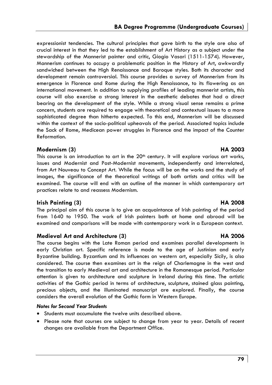expressionist tendencies. The cultural principles that gave birth to the style are also of crucial interest in that they led to the establishment of Art History as a subject under the stewardship of the Mannerist painter and critic, Giogio Vasari (1511-1574). However, Mannerism continues to occupy a problematic position in the History of Art, awkwardly sandwiched between the High Renaissance and Baroque styles. Both its character and development remain controversial. This course provides a survey of Mannerism from its emergence in Florence and Rome during the High Renaissance, to its flowering as an international movement. In addition to supplying profiles of leading mannerist artists, this course will also exercise a strong interest in the aesthetic debates that had a direct bearing on the development of the style. While a strong visual sense remains a prime concern, students are required to engage with theoretical and contextual issues to a more sophisticated degree than hitherto expected. To this end, Mannerism will be discussed within the context of the socio-political upheavals of the period. Associated topics include the Sack of Rome, Medicean power struggles in Florence and the impact of the Counter Reformation.

# **Modernism (3) HA 2003**

This course is an introduction to art in the 20<sup>th</sup> century. It will explore various art works, issues and Modernist and Post-Modernist movements, independently and interrelated, from Art Nouveau to Concept Art. While the focus will be on the works and the study of images, the significance of the theoretical writings of both artists and critics will be examined. The course will end with an outline of the manner in which contemporary art practices relate to and reassess Modernism.

# **Irish Painting (3) HA 2008 HA 2008**

The principal aim of this course is to give an acquaintance of Irish painting of the period from 1640 to 1950. The work of Irish painters both at home and abroad will be examined and comparisons will be made with contemporary work in a European context.

## **Medieval Art and Architecture (3) HA 2006**

The course begins with the Late Roman period and examines parallel developments in early Christian art. Specific reference is made to the age of Justinian and early Byzantine building. Byzantium and its influences on western art, especially Sicily, is also considered. The course then examines art in the reign of Charlemagne in the west and the transition to early Medieval art and architecture in the Romanesque period. Particular attention is given to architecture and sculpture in Ireland during this time. The artistic activities of the Gothic period in terms of architecture, sculpture, stained glass painting, precious objects, and the illuminated manuscript are explored. Finally, the course considers the overall evolution of the Gothic form in Western Europe.

## *Notes for Second Year Students*

- Students must accumulate the twelve units described above.
- Please note that courses are subject to change from year to year. Details of recent changes are available from the Department Office.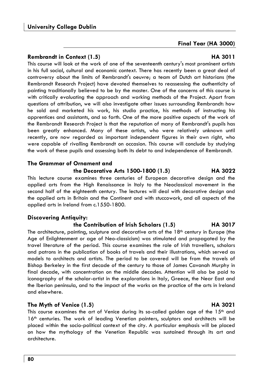## **Rembrandt in Context (1.5) HA 3011**

This course will look at the work of one of the seventeenth century's most prominent artists in his full social, cultural and economic context. There has recently been a great deal of controversy about the limits of Rembrandt's oeuvre; a team of Dutch art historians (the Rembrandt Research Project) have devoted themselves to reassessing the authenticity of painting traditionally believed to be by the master. One of the concerns of this course is with critically evaluating the approach and working methods of the Project. Apart from questions of attribution, we will also investigate other issues surrounding Rembrandt: how he sold and marketed his work, his studio practice, his methods of instructing his apprentices and assistants, and so forth. One of the more positive aspects of the work of the Rembrandt Research Project is that the reputation of many of Rembrandt's pupils has been greatly enhanced. Many of these artists, who were relatively unknown until recently, are now regarded as important independent figures in their own right, who were capable of rivalling Rembrandt on occasion. This course will conclude by studying the work of these pupils and assessing both its debt to and independence of Rembrandt.

## **The Grammar of Ornament and**

## **the Decorative Arts 1500-1800 (1.5) HA 3022**

This lecture course examines three centuries of European decorative design and the applied arts from the High Renaissance in Italy to the Neoclassical movement in the second half of the eighteenth century. The lectures will deal with decorative design and the applied arts in Britain and the Continent and with stuccowork, and all aspects of the applied arts in Ireland from c.1550-1800.

## **Discovering Antiquity:**

## **the Contribution of Irish Scholars (1.5) HA 3017**

The architecture, painting, sculpture and decorative arts of the 18<sup>th</sup> century in Europe (the Age of Enlightenment or age of Neo-classicism) was stimulated and propagated by the travel literature of the period. This course examines the role of Irish travellers, scholars and patrons in the publication of books of travels and their illustrations, which served as models to architects and artists. The period to be covered will be from the travels of Bishop Berkeley in the first decade of the century to those of James Cavanah Murphy in final decade, with concentration on the middle decades. Attention will also be paid to iconography of the scholar-artist in the explorations in Italy, Greece, the Near East and the Iberian peninsula, and to the impact of the works on the practice of the arts in Ireland and elsewhere.

# **The Myth of Venice (1.5) HA 3021**

This course examines the art of Venice during its so-called golden age of the  $15<sup>th</sup>$  and 16th centuries. The work of leading Venetian painters, sculptors and architects will be placed within the socio-political context of the city. A particular emphasis will be placed on how the mythology of the Venetian Republic was sustained through its art and architecture.

**Final Year (HA 3000)**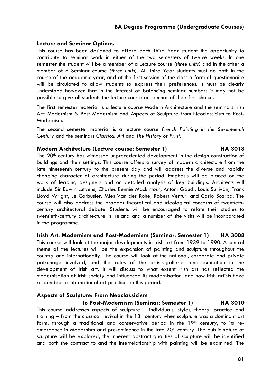## **Lecture and Seminar Options**

This course has been designed to afford each Third Year student the opportunity to contribute to seminar work in either of the two semesters of twelve weeks. In one semester the student will be a member of a Lecture course *(three units)* and in the other a member of a Seminar course *(three units).* All Third Year students must do both in the course of the academic year, and at the first session of the class a form of questionnaire will be circulated to allow students to express their preferences. It must be clearly understood however that in the interest of balancing seminar numbers it may not be possible to give all students the lecture course or seminar of their first choice.

The first semester material is a lecture course Modern Architecture and the seminars Irish Art: Modernism & Post Modernism and Aspects of Sculpture from Neoclassicism to Post-Modernism.

The second semester material is a lecture course *French Painting in the Seventeenth Century* and the seminars *Classical Art* and *The History of Print*.

## **Modern Architecture (Lecture course: Semester 1) HA 3018**

The 20th century has witnessed unprecedented development in the design construction of buildings and their settings. This course offers a survey of modern architecture from the late nineteenth century to the present day and will address the diverse and rapidly changing character of architecture during the period. Emphasis will be placed on the work of leading designers and on detailed analysis of key buildings. Architects will include Sir Edwin Lutyens, Charles Rennie Mackintosh, Antoni Gaudi, Louis Sullivan, Frank Lloyd Wright, Le Corbusier, Mies Van der Rohe, Robert Venturi and Carlo Scarpa. The course will also address the broader theoretical and ideological concerns of twentiethcentury architectural debate. Students will be encouraged to relate their studies to twentieth-century architecture in Ireland and a number of site visits will be incorporated in the programme.

## **Irish Art: Modernism and Post-Modernism (Seminar: Semester 1) HA 3008**

This course will look at the major developments in Irish art from 1939 to 1990. A central theme of the lectures will be the expansion of painting and sculpture throughout the country and internationally. The course will look at the national, corporate and private patronage involved, and the roles of the artists-galleries and exhibition in the development of Irish art. It will discuss to what extent Irish art has reflected the modernisation of Irish society and influenced its modernisation, and how Irish artists have responded to international art practices in this period.

# **Aspects of Sculpture: From Neoclassicism**

## **to Post-Modernism (Seminar: Semester 1) HA 3010**

This course addresses aspects of sculpture – individuals, styles, theory, practice and training  $-$  from the classical revival in the  $18<sup>th</sup>$  century when sculpture was a dominant art form, through a traditional and conservative period in the  $19<sup>th</sup>$  century, to its reemergence in Modernism and pre-eminence in the late  $20<sup>th</sup>$  century. The public nature of sculpture will be explored, the inherent abstract qualities of sculpture will be identified and both the contract to and the interrelationship with painting will be examined. The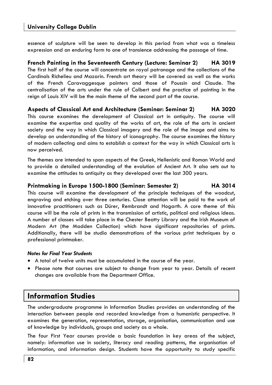essence of sculpture will be seen to develop in this period from what was a timeless expression and an enduring form to one of transience addressing the passage of time.

**French Painting in the Seventeenth Century (Lecture: Seminar 2) HA 3019**  The first half of the course will concentrate on royal patronage and the collections of the Cardinals Richelieu and Mazarin. French art theory will be covered as well as the works of the French Caravaggesque painters and those of Poussin and Claude. The centralisation of the arts under the rule of Colbert and the practice of painting in the reign of Louis XIV will be the main theme of the second part of the course.

**Aspects of Classical Art and Architecture (Seminar: Seminar 2) HA 3020** 

This course examines the development of Classical art in antiquity. The course will examine the expertise and quality of the works of art, the role of the arts in ancient society and the way in which Classical imagery and the role of the image and aims to develop an understanding of the history of iconography. The course examines the history of modern collecting and aims to establish a context for the way in which Classical arts is now perceived.

The themes are intended to span aspects of the Greek, Hellenistic and Roman World and to provide a detailed understanding of the evolution of Ancient Art. It also sets out to examine the attitudes to antiquity as they developed over the last 300 years.

## **Printmaking in Europe 1500-1800 (Seminar: Semester 2) HA 3014**

This course will examine the development of the principle techniques of the woodcut, engraving and etching over three centuries. Close attention will be paid to the work of innovative practitioners such as Dürer, Rembrandt and Hogarth. A core theme of this course will be the role of prints in the transmission of artistic, political and religious ideas. A number of classes will take place in the Chester Beatty Library and the Irish Museum of Modern Art (the Madden Collection) which have significant repositories of prints. Additionally, there will be studio demonstrations of the various print techniques by a professional printmaker.

### *Notes for Final Year Students*

- A total of twelve units must be accumulated in the course of the year.
- Please note that courses are subject to change from year to year. Details of recent changes are available from the Department Office.

# **Information Studies**

The undergraduate programme in Information Studies provides an understanding of the interaction between people and recorded knowledge from a humanistic perspective. It examines the generation, representation, storage, organisation, communication and use of knowledge by individuals, groups and society as a whole.

The four First Year courses provide a basic foundation in key areas of the subject, namely: information use in society, literacy and reading patterns, the organisation of information, and information design. Students have the opportunity to study specific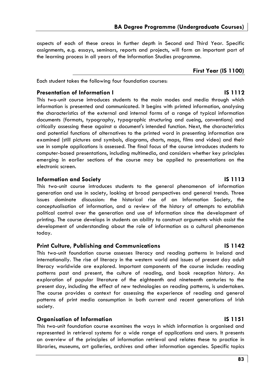aspects of each of these areas in further depth in Second and Third Year. Specific assignments, e.g. essays, seminars, reports and projects, will form an important part of the learning process in all years of the Information Studies programme.

## **First Year (IS 1100)**

Each student takes the following four foundation courses:

### **Presentation of Information I IS 1112**

This two-unit course introduces students to the main modes and media through which information is presented and communicated. It begins with printed information, analysing the characteristics of the external and internal forms of a range of typical information documents (formats, typography, typographic structuring and cueing, conventions) and critically assessing these against a document's intended function. Next, the characteristics and potential functions of alternatives to the printed word in presenting information are examined (still pictures and symbols, diagrams, charts, maps, films and video) and their use in sample applications is assessed. The final focus of the course introduces students to computer-based presentations, including multimedia, and considers whether key principles emerging in earlier sections of the course may be applied to presentations on the electronic screen.

## **Information and Society IS 1113**

This two-unit course introduces students to the general phenomenon of information generation and use in society, looking at broad perspectives and general trends. Three issues dominate discussion: the historical rise of an Information Society, the conceptualisation of information, and a review of the history of attempts to establish political control over the generation and use of information since the development of printing. The course develops in students an ability to construct arguments which assist the development of understanding about the role of information as a cultural phenomenon today.

## **Print Culture, Publishing and Communications IS 1142**

This two-unit foundation course assesses literacy and reading patterns in Ireland and internationally. The rise of literacy in the western world and issues of present day adult literacy worldwide are explored. Important components of the course include: reading patterns past and present, the culture of reading, and book reception history. An exploration of popular literature of the eighteenth and nineteenth centuries to the present day, including the effect of new technologies on reading patterns, is undertaken. The course provides a context for assessing the experience of reading and general patterns of print media consumption in both current and recent generations of Irish society.

## **Organisation of Information IS 1151**

This two-unit foundation course examines the ways in which information is organised and represented in retrieval systems for a wide range of applications and users. It presents an overview of the principles of information retrieval and relates these to practice in libraries, museums, art galleries, archives and other information agencies. Specific topics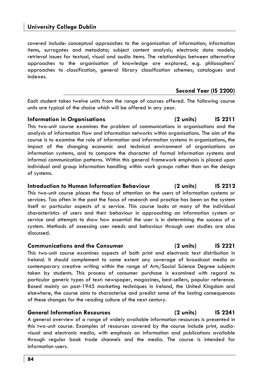covered include: conceptual approaches to the organisation of information; information items, surrogates and metadata; subject content analysis; electronic data models; retrieval issues for textual, visual and audio items. The relationships between alternative approaches to the organisation of knowledge are explored, e.g. philosophers' approaches to classification, general library classification schemes; catalogues and indexes.

## **Second Year (IS 2200)**

Each student takes twelve units from the range of courses offered. The following course units are typical of the choice which will be offered in any year.

## **Information in Organisations (2 units) IS 2211**

This two-unit course examines the problem of communications in organisations and the analysis of information flow and information networks within organisations. The aim of the course is to examine the role of information and information systems in organisations, the impact of the changing economic and technical environment of organisations on information systems, and to compare the character of formal information systems and informal communication patterns. Within this general framework emphasis is placed upon individual and group information handling within work groups rather than on the design of systems.

## **Introduction to Human Information Behaviour (2 units) IS 2212**

This two-unit course places the focus of attention on the users of information systems or services. Too often in the past the focus of research and practice has been on the system itself or particular aspects of a service. This course looks at many of the individual characteristics of users and their behaviour in approaching an information system or service and attempts to show how essential the user is in determining the success of a system. Methods of assessing user needs and behaviour through user studies are also discussed.

### **Communications and the Consumer (2 units) IS 2221**

This two-unit course examines aspects of both print and electronic text distribution in Ireland. It should complement to some extent any coverage of broadcast media or contemporary creative writing within the range of Arts/Social Science Degree subjects taken by students. This process of consumer purchase is examined with regard to particular generic types of text: newspaper, magazines, best-sellers, popular reference. Based mainly on post-1945 marketing techniques in Ireland, the United Kingdom and elsewhere, the course aims to characterise and predict some of the lasting consequences of these changes for the reading culture of the next century.

## **General Information Resources (2 units) IS 2241**

A general overview of a range of widely available information resources is presented in this two-unit course. Examples of resources covered by the course include print, audiovisual and electronic media, with emphasis on information and publications available through regular book trade channels and the media. The course is intended for information users.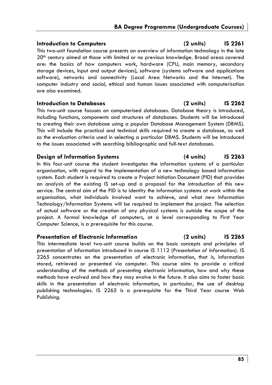## **Introduction to Computers (2 units) IS 2261**

This two-unit foundation course presents an overview of information technology in the late 20th century aimed at those with limited or no previous knowledge. Broad areas covered are: the basics of how computers work, hardware (CPU, main memory, secondary storage devices, input and output devices), software (systems software and applications software), networks and connectivity (Local Area Networks and the Internet). The computer industry and social, ethical and human issues associated with computerisation are also examined.

### **Introduction to Databases (2 units) IS 2262**

This two-unit course focuses on computerised databases. Database theory is introduced, including functions, components and structures of databases. Students will be introduced to creating their own database using a popular Database Management System (DBMS). This will include the practical and technical skills required to create a database, as well as the evaluation criteria used in selecting a particular DBMS. Students will be introduced to the issues associated with searching bibliographic and full-text databases.

## **Design of Information Systems (4 units) IS 2263**

In this four-unit course the student investigates the information systems of a particular organisation, with regard to the implementation of a new technology based information system. Each student is required to create a Project Initiation Document (PID) that provides an analysis of the existing IS set-up and a proposal for the introduction of this new service. The central aim of the PID is to identity the information systems at work within the organisation, what individuals involved want to achieve, and what new Information Technology/Information Systems will be required to implement the project. The selection of actual software or the creation of any physical systems is outside the scope of the project. A formal knowledge of computers, at a level corresponding to First Year Computer Science, is a prerequisite for this course.

## **Presentation of Electronic Information (2 units) IS 2265**

This intermediate level two-unit course builds on the basic concepts and principles of presentation of information introduced in course IS 1112 (*Presentation of Information)*. IS 2265 concentrates on the presentation of electronic information, that is, information stored, retrieved or presented via computer. This course aims to provide a critical understanding of the methods of presenting electronic information, how and why these methods have evolved and how they may evolve in the future. It also aims to foster basic skills in the presentation of electronic information, in particular, the use of desktop publishing technologies. IS 2265 is a prerequisite for the Third Year course *Web Publishing.*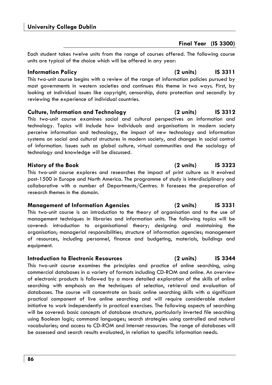# **Final Year (IS 3300)**

Each student takes twelve units from the range of courses offered. The following course units are typical of the choice which will be offered in any year:

# **Information Policy (2 units) IS 3311**

This two-unit course begins with a review of the range of information policies pursued by most governments in western societies and continues this theme in two ways. First, by looking at individual issues like copyright, censorship, data protection and secondly by reviewing the experience of individual countries.

# **Culture, Information and Technology (2 units) IS 3312**

This two-unit course examines social and cultural perspectives on information and technology. Topics will include how individuals and organisations in modern society perceive information and technology, the impact of new technology and information systems on social and cultural structures in modern society, and changes in social control of information. Issues such as global culture, virtual communities and the sociology of technology and knowledge will be discussed.

This two-unit course explores and researches the impact of print culture as it evolved post-1500 in Europe and North America. The programme of study is interdisciplinary and collaborative with a number of Departments/Centres. It foresees the preparation of research themes in the domain.

# **Management of Information Agencies (2 units) IS 3331**

This two-unit course is an introduction to the theory of organisation and to the use of management techniques in libraries and information units. The following topics will be covered: introduction to organisational theory; designing and maintaining the organisation; managerial responsibilities; structure of information agencies; management of resources, including personnel, finance and budgeting, materials, buildings and equipment.

# **Introduction to Electronic Resources (2 units) IS 3344**

This two-unit course examines the principles and practice of online searching, using commercial databases in a variety of formats including CD-ROM and online. An overview of electronic products is followed by a more detailed exploration of the skills of online searching with emphasis on the techniques of selection, retrieval and evaluation of databases. The course will concentrate on basic online searching skills with a significant practical component of live online searching and will require considerable student initiative to work independently in practical exercises. The following aspects of searching will be covered: basic concepts of database structure, particularly inverted file searching using Boolean logic; command languages; search strategies using controlled and natural vocabularies; and access to CD-ROM and Internet resources. The range of databases will be assessed and search results evaluated, in relation to specific information needs.

# **History of the Book (2 units) IS 3323**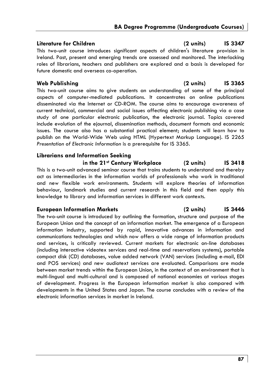This two-unit course introduces significant aspects of children's literature provision in Ireland. Past, present and emerging trends are assessed and monitored. The interlocking roles of librarians, teachers and publishers are explored and a basis is developed for future domestic and overseas co-operation.

This two-unit course aims to give students an understanding of some of the principal aspects of computer-mediated publications. It concentrates on online publications disseminated via the Internet or CD-ROM. The course aims to encourage awareness of current technical, commercial and social issues affecting electronic publishing via a case study of one particular electronic publication, the electronic journal. Topics covered include evolution of the ejournal, dissemination methods, document formats and economic issues. The course also has a substantial practical element; students will learn how to publish on the World-Wide Web using HTML (Hypertext Markup Language). IS 2265 *Presentation of Electronic Information* is a prerequisite for IS 3365.

# **Librarians and Information Seeking**

**in the 21st Century Workplace (2 units) IS 3418** 

This is a two-unit advanced seminar course that trains students to understand and thereby act as intermediaries in the information worlds of professionals who work in traditional and new flexible work environments. Students will explore theories of information behaviour, landmark studies and current research in this field and then apply this knowledge to library and information services in different work contexts.

# **European Information Markets (2 units) IS 3446**

The two-unit course is introduced by outlining the formation, structure and purpose of the European Union and the concept of an information market. The emergence of a European information industry, supported by rapid, innovative advances in information and communications technologies and which now offers a wide range of information products and services, is critically reviewed. Current markets for electronic on-line databases (including interactive videotex services and real-time and reservations systems), portable compact disk (CD) databases, value added network (VAN) services (including e-mail, EDI and POS services) and new audiotext services are evaluated. Comparisons are made between market trends within the European Union, in the context of an environment that is multi-lingual and multi-cultural and is composed of national economies at various stages of development. Progress in the European information market is also compared with developments in the United States and Japan. The course concludes with a review of the electronic information services in market in Ireland.

## **Literature for Children (2 units) IS 3347**

# **Web Publishing (2 units) IS 3365**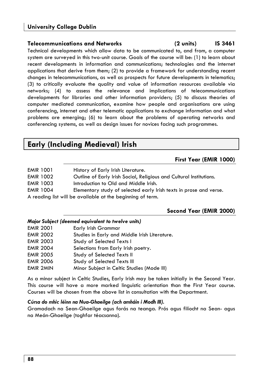## **Telecommunications and Networks (2 units) IS 3461**

Technical developments which allow data to be communicated to, and from, a computer system are surveyed in this two-unit course. Goals of the course will be: (1) to learn about recent developments in information and communications; technologies and the internet applications that derive from them; (2) to provide a framework for understanding recent changes in telecommunications, as well as prospects for future developments in telematics; (3) to critically evaluate the quality and value of information resources available via networks; (4) to assess the relevance and implications of telecommunications developments for libraries and other information providers; (5) to discuss theories of computer mediated communication, examine how people and organisations are using conferencing, internet and other telematic applications to exchange information and what problems are emerging; (6) to learn about the problems of operating networks and conferencing systems, as well as design issues for novices facing such programmes.

# **Early (Including Medieval) Irish**

## **First Year (EMIR 1000)**

- EMIR 1001 History of Early Irish Literature.
- EMIR 1002 Outline of Early Irish Social, Religious and Cultural Institutions.
- EMIR 1003 **Introduction to Old and Middle Irish.**
- EMIR 1004 Elementary study of selected early Irish texts in prose and verse.
- A reading list will be available at the beginning of term.

## **Second Year (EMIR 2000)**

## *Major Subject (deemed equivalent to twelve units)*

| <b>EMIR 2001</b> | Early Irish Grammar                           |
|------------------|-----------------------------------------------|
| <b>EMIR 2002</b> | Studies in Early and Middle Irish Literature. |
| <b>EMIR 2003</b> | Study of Selected Texts I                     |
| <b>EMIR 2004</b> | Selections from Early Irish poetry.           |
| <b>EMIR 2005</b> | Study of Selected Texts II                    |
| <b>EMIR 2006</b> | Study of Selected Texts III                   |
| <b>EMIR 2MIN</b> | Minor Subject in Celtic Studies (Mode III)    |

As a minor subject in Celtic Studies, Early Irish may be taken initially in the Second Year. This course will have a more marked linguistic orientation than the First Year course. Courses will be chosen from the above list in consultation with the Department.

## *Cúrsa do mhic léinn na Nua-Ghaeilge (ach amháin i Modh III).*

Gramadach na Sean-Ghaeilge agus forás na teanga. Prós agus filíocht na Sean- agus na Meán-Ghaeilge (toghfar téacsanna).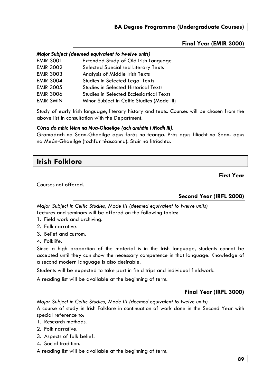## **Final Year (EMIR 3000)**

|                  | Major Subject (deemed equivalent to twelve units) |
|------------------|---------------------------------------------------|
| <b>EMIR 3001</b> | Extended Study of Old Irish Language              |
| <b>EMIR 3002</b> | <b>Selected Specialised Literary Texts</b>        |
| <b>EMIR 3003</b> | Analysis of Middle Irish Texts                    |
| <b>EMIR 3004</b> | Studies in Selected Legal Texts                   |
| <b>EMIR 3005</b> | Studies in Selected Historical Texts              |
| <b>EMIR 3006</b> | Studies in Selected Ecclesiastical Texts          |
| <b>EMIR 3MIN</b> | Minor Subject in Celtic Studies (Mode III)        |

Study of early Irish language, literary history and texts. Courses will be chosen from the above list in consultation with the Department.

## *Cúrsa do mhic léinn na Nua-Ghaeilge (ach amháin i Modh III).*

Gramadach na Sean-Ghaeilge agus forás na teanga. Prós agus filíocht na Sean- agus na Meán-Ghaeilge (tochfar téascanna). Stair na litríochta.

# **Irish Folklore**

Courses not offered.

## **Second Year (IRFL 2000)**

**First Year** 

*Major Subject in Celtic Studies, Mode III (deemed equivalent to twelve units)*  Lectures and seminars will be offered on the following topics:

- 1. Field work and archiving.
- 2. Folk narrative.
- 3. Belief and custom.
- 4. Folklife.

Since a high proportion of the material is in the Irish language, students cannot be accepted until they can show the necessary competence in that language. Knowledge of a second modern language is also desirable.

Students will be expected to take part in field trips and individual fieldwork.

A reading list will be available at the beginning of term.

## **Final Year (IRFL 3000)**

*Major Subject in Celtic Studies, Mode III (deemed equivalent to twelve units)* 

A course of study in Irish Folklore in continuation of work done in the Second Year with special reference to:

- 1. Research methods.
- 2. Folk narrative.
- 3. Aspects of folk belief.
- 4. Social tradition.

A reading list will be available at the beginning of term.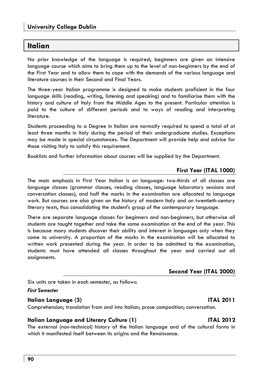# **Italian**

No prior knowledge of the language is required; beginners are given an intensive language course which aims to bring them up to the level of non-beginners by the end of the First Year and to allow them to cope with the demands of the various language and literature courses in their Second and Final Years.

The three-year Italian programme is designed to make students proficient in the four language skills (reading, writing, listening and speaking) and to familiarise them with the history and culture of Italy from the Middle Ages to the present. Particular attention is paid to the culture of different periods and to ways of reading and interpreting literature.

Students proceeding to a Degree in Italian are normally required to spend a total of at least three months in Italy during the period of their undergraduate studies. Exceptions may be made in special circumstances. The Department will provide help and advice for those visiting Italy to satisfy this requirement.

Booklists and further information about courses will be supplied by the Department.

## **First Year (ITAL 1000)**

The main emphasis in First Year Italian is on language: two-thirds of all classes are language classes (grammar classes, reading classes, language laboratory sessions and conversation classes), and half the marks in the examination are allocated to language work. But courses are also given on the history of modern Italy and on twentieth-century literary texts, thus consolidating the student's grasp of the contemporary language.

There are separate language classes for beginners and non-beginners, but otherwise all students are taught together and take the same examination at the end of the year. This is because many students discover their ability and interest in languages only when they come to university. A proportion of the marks in the examination will be allocated to written work presented during the year. In order to be admitted to the examination, students must have attended all classes throughout the year and carried out all assignments.

## **Second Year (ITAL 2000)**

Six units are taken in each semester, as follows:

### *First Semester*

## **Italian Language (3) ITAL 2011**

Comprehension; translation from and into Italian; prose composition; conversation.

### **Italian Language and Literary Culture (1) ITAL 2012**

The external (non-technical) history of the Italian language and of the cultural forms in which it manifested itself between its origins and the Renaissance.

## **90**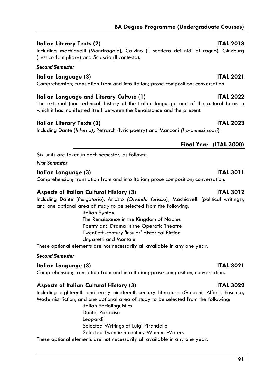# **Italian Literary Texts (2)** ITAL 2013

Including Machiavelli (Mandragola), Calvino (Il sentiero dei nidi di ragno), Ginzburg (Lessico famigliare) and Sciascia (Il contesto).

## *Second Semester*

# **Italian Language (3) ITAL 2021**

Comprehension; translation from and into Italian; prose composition; conversation.

# **Italian Language and Literary Culture (1) ITAL 2022**

The external (non-technical) history of the Italian language and of the cultural forms in which it has manifested itself between the Renaissance and the present.

# **Italian Literary Texts (2)** ITAL 2023

Including Dante (*Inferno)*, Petrarch (lyric poetry) and Manzoni *(I promessi sposi*).

# **Final Year (ITAL 3000)**

Six units are taken in each semester, as follows:

*First Semester* 

## **Italian Language (3)** ITAL 3011

Comprehension; translation from and into Italian; prose composition; conversation.

# **Aspects of Italian Cultural History (3) ITAL 3012**

Including Dante (*Purgatorio*), Ariosto *(Orlando furioso),* Machiavelli (political writings), and one optional area of study to be selected from the following:

> Italian Syntax The Renaissance in the Kingdom of Naples Poetry and Drama in the Operatic Theatre Twentieth-century 'Insular' Historical Fiction Ungaretti and Montale

These optional elements are not necessarily all available in any one year.

## *Second Semester*

# **Italian Language (3) ITAL 3021**

Comprehension; translation from and into Italian; prose composition, conversation.

# **Aspects of Italian Cultural History (3) ITAL 3022**

Including eighteenth and early nineteenth-century literature (Goldoni, Alfieri, Foscolo), Modernist fiction, and one optional area of study to be selected from the following:

> Italian Sociolinguistics Dante, Paradiso Leopardi Selected Writings of Luigi Pirandello Selected Twentieth-century Women Writers

These optional elements are not necessarily all available in any one year.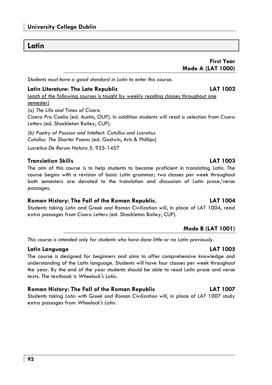# **University College Dublin**

# **Latin**

**First Year Mode A (LAT 1000)** 

*Students must have a good standard in Latin to enter this course.* 

# **Latin Literature: The Late Republic LAT 1002**  (each of the following courses is taught by weekly reading classes throughout one semester) *(a) The Life and Times of Cicero*  Cicero *Pro Caelio* (ed. Austin, OUP). In addition students will read a selection from *Cicero Letters* (ed. Shackleton Bailey, CUP).

*(b) Poetry of Passion and Intellect: Catullus and Lucretius Catullus: The Shorter Poems* (ed. Godwin, Aris & Phillips)

Lucretius *De Rerum Natura* 5. 925-1457

# **Translation Skills LAT 1003**

The aim of this course is to help students to become proficient in translating Latin. The course begins with a revision of basic Latin grammar; two classes per week throughout both semesters are devoted to the translation and discussion of Latin prose/verse passages.

# **Roman History: The Fall of the Roman Republic. LAT 1004**

Students taking *Latin* and *Greek and Roman Civilization* will, in place of LAT 1004, read extra passages from *Cicero Letters* (ed. Shackleton Bailey, CUP).

# **Mode B (LAT 1001)**

*This course is intended only for students who have done little or no Latin previously.* 

# **Latin Language LAT 1005**

The course is designed for beginners and aims to offer comprehensive knowledge and understanding of the Latin language. Students will have four classes per week throughout the year. By the end of the year students should be able to read Latin prose and verse texts. The textbook is *Wheelock's Latin.*

# **Roman History: The Fall of the Roman Republic LAT 1007**

Students taking *Latin* with *Greek and Roman Civilization* will, in place of LAT 1007 study extra passages from *Wheelock's Latin.*

## **92**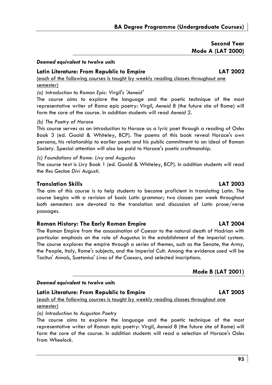# **Second Year Mode A (LAT 2000)**

### *Deemed equivalent to twelve units*

# **Latin Literature: From Republic to Empire LAT 2002**

(each of the following courses is taught by weekly reading classes throughout one semester)

*(a) Introduction to Roman Epic:* Virgil's *'Aeneid'* 

The course aims to explore the language and the poetic technique of the most representative writer of Roma epic poetry: Virgil, *Aeneid* 8 (the future site of Rome) will form the core of the course. In addition students will read *Aeneid* 2.

### *(b) The Poetry of Horace*

This course serves as an introduction to Horace as a lyric poet through a reading of *Odes*  Book 3 (ed. Goold & Whiteley, BCP). The poems of this book reveal Horace's own persona, his relationship to earlier poets and his public commitment to an ideal of Roman Society. Special attention will also be paid to Horace's poetic craftmanship.

*(c) Foundations of Rome: Livy and Augustus* 

The course text is Livy Book 1 (ed. Goold & Whiteley, BCP). In addition students will read the *Res Gestae Divi Augusti*.

## **Translation Skills LAT 2003**

The aim of this course is to help students to become proficient in translating Latin. The course begins with a revision of basic Latin grammar; two classes per week throughout both semesters are devoted to the translation and discussion of Latin prose/verse passages.

## **Roman History: The Early Roman Empire LAT 2004**

The Roman Empire from the assassination of Caesar to the natural death of Hadrian with particular emphasis on the role of Augustus in the establishment of the imperial system. The course explores the empire through a series of themes, such as the Senate, the Army, the People, Italy, Rome's subjects, and the Imperial Cult. Among the evidence used will be Tacitus' *Annals*, Suetonius' *Lives of the Caesars*, and selected inscriptions.

## **Mode B (LAT 2001)**

### *Deemed equivalent to twelve units*

**Latin Literature: From Republic to Empire LAT 2005**  (each of the following courses is taught by weekly reading classes throughout one semester)

*(a) Introduction to Augustan Poetry* 

The course aims to explore the language and the poetic technique of the most representative writer of Roman epic poetry: Virgil, *Aeneid* 8 (the future site of Rome) will form the core of the course. In addition students will read a selection of Horace's *Odes*  from *Wheelock*.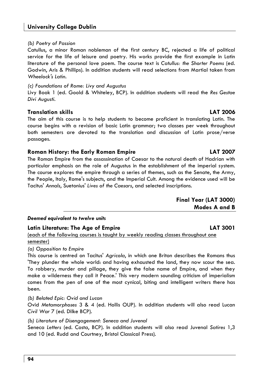### *(b) Poetry of Passion*

Catullus, a minor Roman nobleman of the first century BC, rejected a life of political service for the life of leisure and poetry. His works provide the first example in Latin literature of the personal love poem. The course text is *Catullus: the Shorter Poems* (ed. Godwin, Aris & Phillips). In addition students will read selections from Martial taken from *Wheelock's Latin*.

### *(c) Foundations of Rome: Livy and Augustus*

Livy Book 1 (ed. Goold & Whiteley, BCP). In addition students will read the *Res Gestae Divi Augusti*.

## **Translation skills LAT 2006**

The aim of this course is to help students to become proficient in translating Latin. The course begins with a revision of basic Latin grammar; two classes per week throughout both semesters are devoted to the translation and discussion of Latin prose/verse passages.

## **Roman History: the Early Roman Empire LAT 2007**

The Roman Empire from the assassination of Caesar to the natural death of Hadrian with particular emphasis on the role of Augustus in the establishment of the imperial system. The course explores the empire through a series of themes, such as the Senate, the Army, the People, Italy, Rome's subjects, and the Imperial Cult. Among the evidence used will be Tacitus' *Annals*, Suetonius' *Lives of the Caesars*, and selected inscriptions.

| Final Year (LAT 3000) |               |  |
|-----------------------|---------------|--|
|                       | Modes A and B |  |

## *Deemed equivalent to twelve units*

### **Latin Literature: The Age of Empire LAT 3001**

(each of the following courses is taught by weekly reading classes throughout one semester)

*(a) Opposition to Empire* 

This course is centred on Tacitus' *Agricola*, in which one Briton describes the Romans thus 'They plunder the whole world: and having exhausted the land, they now scour the sea. To robbery, murder and pillage, they give the false name of Empire, and when they make a wilderness they call it Peace.' This very modern sounding criticism of imperialism comes from the pen of one of the most cynical, biting and intelligent writers there has been.

*(b) Belated Epic: Ovid and Lucan*  Ovid *Metamorphoses* 3 & 4 (ed. Hollis OUP). In addition students will also read Lucan *Civil War* 7 (ed. Dilke BCP).

*(b) Literature of Disengagement: Seneca and Juvenal* 

Seneca *Letters* (ed. Costa, BCP). In addition students will also read Juvenal *Satires* 1,3 and 10 (ed. Rudd and Courtney, Bristol Classical Press).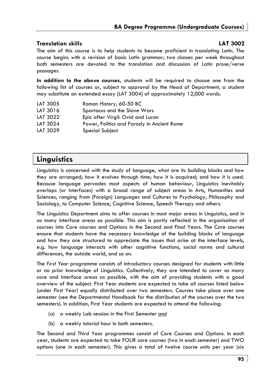## **Translation skills LAT 3002**

The aim of this course is to help students to become proficient in translating Latin. The course begins with a revision of basic Latin grammar; two classes per week throughout both semesters are devoted to the translation and discussion of Latin prose/verse passages.

**In addition to the above courses,** students will be required to choose one from the following list of courses or, subject to approval by the Head of Department, a student may substitute an extended essay (LAT 3004) of approximately 12,000 words.

- LAT 3005 Roman History, 60-50 BC
- LAT 3016 Spartacus and the Slave Wars
- LAT 3022 Epic after Virgil: Ovid and Lucan
- LAT 3024 Power, Politics and Parody in Ancient Rome
- LAT 3029 Special Subject

# **Linguistics**

Linguistics is concerned with the study of language, what are its building blocks and how they are arranged; how it evolves through time; how it is acquired; and how it is used. Because language pervades most aspects of human behaviour, Linguistics inevitably overlaps (or interfaces) with a broad range of subject areas in Arts, Humanities and Sciences, ranging from (Foreign) Languages and Cultures to Psychology, Philosophy and Sociology, to Computer Science, Cognitive Science, Speech Therapy and others.

The Linguistics Department aims to offer courses in most major areas in Linguistics, and in as many interface areas as possible. This aim is partly reflected in the organisation of courses into Core courses and Options in the Second and Final Years. The Core courses ensure that students have the necessary knowledge of the building blocks of language and how they are structured to appreciate the issues that arise at the interface levels, e.g. how language interacts with other cognitive functions, social norms and cultural differences, the outside world, and so on.

The *First Year* programme consists of introductory courses designed for students with little or no prior knowledge of Linguistics. Collectively, they are intended to cover as many core and interface areas as possible, with the aim of providing students with a good overview of the subject. First Year students are expected to take all courses listed below (under First Year) equally distributed over two semesters. Courses take place over one semester (see the Departmental Handbook for the distribution of the courses over the two semesters). In addition, First Year students are expected to attend the following:

- (a) a weekly Lab session in the First Semester *and*
- (b) a weekly tutorial hour in both semesters.

The Second and Third Year programmes consist of Core Courses and Options. In each year, students are expected to take FOUR core courses (two in each semester) and TWO options (one in each semester). This gives a total of twelve course units per year (six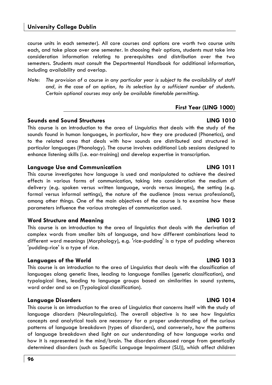course units in each semester). All core courses and options are worth two course units each, and take place over one semester. In choosing their options, students must take into consideration information relating to prerequisites and distribution over the two semesters. Students must consult the Departmental Handbook for additional information, including availability and overlap.

*Note: The provision of a course in any particular year is subject to the availability of staff and, in the case of an option, to its selection by a sufficient number of students. Certain optional courses may only be available timetable permitting.* 

### **First Year (LING 1000)**

## **Sounds and Sound Structures LING 1010**

This course is an introduction to the area of Linguistics that deals with the study of the sounds found in human languages, in particular, how they are produced (Phonetics), and to the related area that deals with how sounds are distributed and structured in particular languages (Phonology). The course involves additional Lab sessions designed to enhance listening skills (i.e. ear-training) and develop expertise in transcription.

## **Language Use and Communication LING 1011**

This course investigates how language is used and manipulated to achieve the desired effects in various forms of communication, taking into consideration the medium of delivery (e.g. spoken versus written language, words versus images), the setting (e.g. formal versus informal settings), the nature of the audience (mass versus professional), among other things. One of the main objectives of the course is to examine how these parameters influence the various strategies of communication used.

## **Word Structure and Meaning LING 1012**

This course is an introduction to the area of linguistics that deals with the derivation of complex words from smaller bits of language, and how different combinations lead to different word meanings (Morphology), e.g. 'rice-pudding' is a type of pudding whereas 'pudding-rice' is a type of rice.

## **Languages of the World LING 1013**

This course is an introduction to the area of Linguistics that deals with the classification of languages along genetic lines, leading to language families (genetic classification), and typological lines, leading to language groups based on similarities in sound systems, word order and so on (Typological classification).

## **Language Disorders LING 1014**

This course is an introduction to the area of Linguistics that concerns itself with the study of language disorders (Neurolinguistics). The overall objective is to see how linguistics concepts and analytical tools are necessary for a proper understanding of the curious patterns of language breakdown (types of disorders), and conversely, how the patterns of language breakdown shed light on our understanding of how language works and how it is represented in the mind/brain. The disorders discussed range from genetically determined disorders (such as Specific Language Impairment (SLI)), which affect children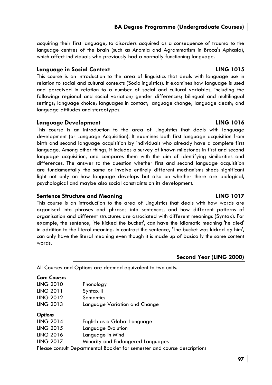acquiring their first language, to disorders acquired as a consequence of trauma to the language centres of the brain (such as Anomia and Agrammatism in Broca's Aphasia), which affect individuals who previously had a normally functioning language.

### **Language in Social Context LING 1015**

This course is an introduction to the area of linguistics that deals with language use in relation to social and cultural contexts (Sociolinguistics). It examines how language is used and perceived in relation to a number of social and cultural variables, including the following: regional and social variation; gender differences; bilingual and multilingual settings; language choice; languages in contact; language change; language death; and language attitudes and stereotypes.

### **Language Development LING 1016**

This course is an introduction to the area of Linguistics that deals with language development (or Language Acquisition). It examines both first language acquisition from birth and second language acquisition by individuals who already have a complete first language. Among other things, it includes a survey of known milestones in first and second language acquisition, and compares them with the aim of identifying similarities and differences. The answer to the question whether first and second language acquisition are fundamentally the same or involve entirely different mechanisms sheds significant light not only on how language develops but also on whether there are biological, psychological and maybe also social constraints on its development.

## **Sentence Structure and Meaning LING 1017**

This course is an introduction to the area of Linguistics that deals with how words are organised into phrases and phrases into sentences, and how different patterns of organisation and different structures are associated with different meanings (Syntax). For example, the sentence, 'He kicked the bucket', can have the idiomatic meaning 'he died' in addition to the literal meaning. In contrast the sentence, 'The bucket was kicked by him', can only have the literal meaning even though it is made up of basically the same content words.

## **Second Year (LING 2000)**

All Courses and Options are deemed equivalent to two units.

# *Core Courses*

| <b>LING 2010</b> | Phonology                                                                |
|------------------|--------------------------------------------------------------------------|
| <b>LING 2011</b> | Syntax II                                                                |
| <b>LING 2012</b> | Semantics                                                                |
| <b>LING 2013</b> | Language Variation and Change                                            |
| <b>Options</b>   |                                                                          |
| <b>LING 2014</b> | English as a Global Language                                             |
| <b>LING 2015</b> | Language Evolution                                                       |
| <b>LING 2016</b> | Language in Mind                                                         |
| <b>LING 2017</b> | Minority and Endangered Languages                                        |
|                  | Please consult Departmental Booklet for semester and course descriptions |
|                  |                                                                          |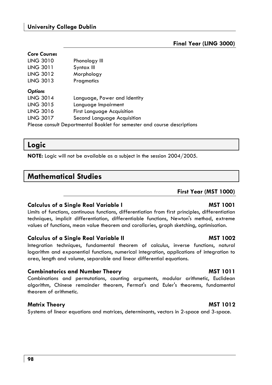# **University College Dublin**

# **Final Year (LING 3000)**

# *Core Courses*

| <b>LING 3010</b> | Phonology III                                                            |
|------------------|--------------------------------------------------------------------------|
| <b>LING 3011</b> | Syntax III                                                               |
| <b>LING 3012</b> | Morphology                                                               |
| <b>LING 3013</b> | Pragmatics                                                               |
| <b>Options</b>   |                                                                          |
| <b>LING 3014</b> | Language, Power and Identity                                             |
| <b>LING 3015</b> | Language Impairment                                                      |
| <b>LING 3016</b> | <b>First Language Acquisition</b>                                        |
| <b>LING 3017</b> | Second Language Acquisition                                              |
|                  | Please consult Departmental Booklet for semester and course descriptions |

# **Logic**

**NOTE:** Logic will not be available as a subject in the session 2004/2005.

# **Mathematical Studies**

### **First Year (MST 1000)**

## **Calculus of a Single Real Variable I MST 1001**

Limits of functions, continuous functions, differentiation from first principles, differentiation techniques, implicit differentiation, differentiable functions, Newton's method, extreme values of functions, mean value theorem and corollaries, graph sketching, optimisation.

## **Calculus of a Single Real Variable II MST 1002**

Integration techniques, fundamental theorem of calculus, inverse functions, natural logarithm and exponential functions, numerical integration, applications of integration to area, length and volume, separable and linear differential equations.

## **Combinatorics and Number Theory MST 1011**

Combinations and permutations, counting arguments, modular arithmetic, Euclidean algorithm, Chinese remainder theorem, Fermat's and Euler's theorems, fundamental theorem of arithmetic.

## Matrix Theory **Matrix Theory MST 1012**

Systems of linear equations and matrices, determinants, vectors in 2-space and 3-space.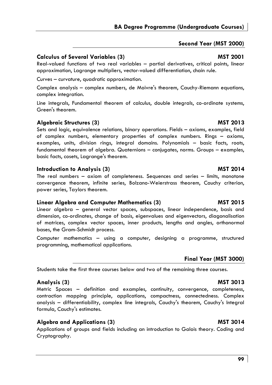**99**

# **Second Year (MST 2000)**

**BA Degree Programme (Undergraduate Courses)** 

# **Calculus of Several Variables (3) MST 2001**

Real-valued functions of two real variables – partial derivatives, critical points, linear approximation, Lagrange multipliers, vector-valued differentiation, chain rule.

Curves – curvature, quadratic approximation.

Complex analysis – complex numbers, de Moivre's theorem, Cauchy-Riemann equations, complex integration.

Line integrals, Fundamental theorem of calculus, double integrals, co-ordinate systems, Green's theorem.

# Algebraic Structures (3) **MST 2013** MST 2013

Sets and logic, equivalence relations, binary operations. Fields – axioms, examples, field of complex numbers, elementary properties of complex numbers. Rings – axioms, examples, units, division rings, integral domains. Polynomials – basic facts, roots, fundamental theorem of algebra. Quaternions – conjugates, norms. Groups – examples, basic facts, cosets, Lagrange's theorem.

# **Introduction to Analysis (3)** MST 2014

The real numbers – axiom of completeness. Sequences and series – limits, monotone convergence theorem, infinite series, Bolzano-Weierstrass theorem, Cauchy criterion, power series, Taylors theorem.

# **Linear Algebra and Computer Mathematics (3) Computer Algebra 2015**

Linear algebra – general vector spaces, subspaces, linear independence, basis and dimension, co-ordinates, change of basis, eigenvalues and eigenvectors, diagonalisation of matrices, complex vector spaces, inner products, lengths and angles, orthonormal bases, the Gram-Schmidt process.

Computer mathematics – using a computer, designing a programme, structured programming, mathematical applications.

# **Final Year (MST 3000)**

Students take the first three courses below and two of the remaining three courses.

# **Analysis (3) MST 3013**

Metric Spaces – definition and examples, continuity, convergence, completeness, contraction mapping principle, applications, compactness, connectedness. Complex analysis – differentiability, complex line integrals, Cauchy's theorem, Cauchy's Integral formula, Cauchy's estimates.

# Algebra and Applications (3) MST 3014

Applications of groups and fields including an introduction to Galois theory. Coding and Cryptography.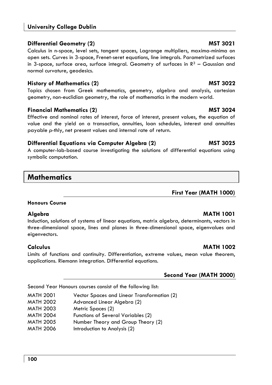# **University College Dublin**

## **Differential Geometry (2) Construction Construction Construction Construction Construction Construction Construction Construction Construction Construction Construction Construction Construction Construction Construction**

Calculus in n-space, level sets, tangent spaces, Lagrange multipliers, maxima-minima on open sets. Curves in 3-space, Frenet-seret equations, line integrals. Parametrized surfaces in 3-space, surface area, surface integral. Geometry of surfaces in  $R<sup>3</sup>$  – Gaussian and normal curvature, geodesics.

# **History of Mathematics (2) MST 3022**

Topics chosen from Greek mathematics, geometry, algebra and analysis, cartesian geometry, non-euclidian geometry, the role of mathematics in the modern world.

## **Financial Mathematics (2)** MST 3024

Effective and nominal rates of interest, force of interest, present values, the equation of value and the yield on a transaction, annuities, loan schedules, interest and annuities payable *p*-thly, net present values and internal rate of return.

# **Differential Equations via Computer Algebra (2) Computer Algebra (2)** MST 3025

A computer-lab-based course investigating the solutions of differential equations using symbolic computation.

# **Mathematics**

**First Year (MATH 1000)** 

## **Honours Course**

## **Algebra MATH 1001**

Induction, solutions of systems of linear equations, matrix algebra, determinants, vectors in three-dimensional space, lines and planes in three-dimensional space, eigenvalues and eigenvectors.

Limits of functions and continuity. Differentiation, extreme values, mean value theorem, applications. Riemann integration. Differential equations.

# **Second Year (MATH 2000)**

Second Year Honours courses consist of the following list:

| MATH 2001 | Vector Spaces and Linear Transformation (2) |  |  |
|-----------|---------------------------------------------|--|--|
|-----------|---------------------------------------------|--|--|

- MATH 2002 Advanced Linear Algebra (2)
- MATH 2003 Metric Spaces (2)
- MATH 2004 Functions of Several Variables (2)
- MATH 2005 Number Theory and Group Theory (2)
- MATH 2006 Introduction to Analysis (2)

# **Calculus MATH 1002**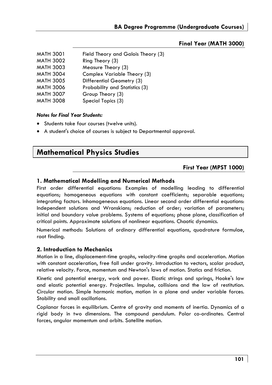## **Final Year (MATH 3000)**

| <b>MATH 3001</b> | Field Theory and Galois Theory (3) |
|------------------|------------------------------------|
| <b>MATH 3002</b> | Ring Theory (3)                    |
| <b>MATH 3003</b> | Measure Theory (3)                 |
| <b>MATH 3004</b> | Complex Variable Theory (3)        |
| <b>MATH 3005</b> | Differential Geometry (3)          |
| <b>MATH 3006</b> | Probability and Statistics (3)     |
| <b>MATH 3007</b> | Group Theory (3)                   |
| <b>MATH 3008</b> | Special Topics (3)                 |

### *Notes for Final Year Students:*

- Students take four courses (twelve units).
- A student's choice of courses is subject to Departmental approval.

# **Mathematical Physics Studies**

## **First Year (MPST 1000)**

## **1. Mathematical Modelling and Numerical Methods**

First order differential equations: Examples of modelling leading to differential equations; homogeneous equations with constant coefficients; separable equations; integrating factors. Inhomogeneous equations. Linear second order differential equations: Independent solutions and Wronskians; reduction of order; variation of parameters; initial and boundary value problems. Systems of equations; phase plane, classification of critical points. Approximate solutions of nonlinear equations. Chaotic dynamics.

Numerical methods: Solutions of ordinary differential equations, quadrature formulae, root finding.

## **2. Introduction to Mechanics**

Motion in a line, displacement-time graphs, velocity-time graphs and acceleration. Motion with constant acceleration, free fall under gravity. Introduction to vectors, scalar product, relative velocity. Force, momentum and Newton's laws of motion. Statics and friction.

Kinetic and potential energy, work and power. Elastic strings and springs, Hooke's law and elastic potential energy. Projectiles. Impulse, collisions and the law of restitution. Circular motion. Simple harmonic motion, motion in a plane and under variable forces. Stability and small oscillations.

Coplanar forces in equilibrium. Centre of gravity and moments of inertia. Dynamics of a rigid body in two dimensions. The compound pendulum. Polar co-ordinates. Central forces, angular momentum and orbits. Satellite motion.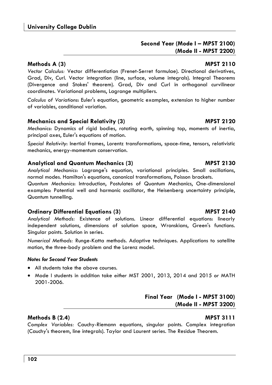# **Second Year (Mode I – MPST 2100) (Mode II - MPST 2200)**

## **Methods A** (3) **MPST 2110**

*Vector Calculus:* Vector differentiation (Frenet-Serret formulae). Directional derivatives, Grad, Div, Curl. Vector integration (line, surface, volume integrals). Integral Theorems (Divergence and Stokes' theorem). Grad, Div and Curl in orthogonal curvilinear coordinates. Variational problems, Lagrange multipliers.

*Calculus of Variations*: Euler's equation, geometric examples, extension to higher number of variables, conditional variation.

# **Mechanics and Special Relativity (3) MPST 2120**

*Mechanics*: Dynamics of rigid bodies, rotating earth, spinning top, moments of inertia, principal axes, Euler's equations of motion.

*Special Relativity*: Inertial frames, Lorentz transformations, space-time, tensors, relativistic mechanics, energy-momentum conservation.

# **Analytical and Quantum Mechanics (3) MPST 2130**

*Analytical Mechanics*: Lagrange's equation, variational principles. Small oscillations, normal modes. Hamilton's equations, canonical transformations, Poisson brackets.

*Quantum Mechanics*: Introduction, Postulates of Quantum Mechanics, One-dimensional examples: Potential well and harmonic oscillator, the Heisenberg uncertainty principle, Quantum tunnelling.

# **Ordinary Differential Equations (3) MPST 2140**

*Analytical Methods:* Existence of solutions. Linear differential equations: linearly independent solutions, dimensions of solution space, Wronskians, Green's functions. Singular points. Solution in series.

*Numerical Methods:* Runge-Katta methods. Adaptive techniques. Applications to satellite motion, the three-body problem and the Lorenz model.

## *Notes for Second Year Students*

- All students take the above courses.
- Mode I students in addition take *either* MST 2001, 2013, 2014 and 2015 *or* MATH 2001-2006.

# **Final Year (Mode I - MPST 3100) (Mode II - MPST 3200)**

# **Methods B (2.4) MPST 3111**

*Complex Variables:* Cauchy-Riemann equations, singular points. Complex integration (Cauchy's theorem, line integrals). Taylor and Laurent series. The Residue Theorem.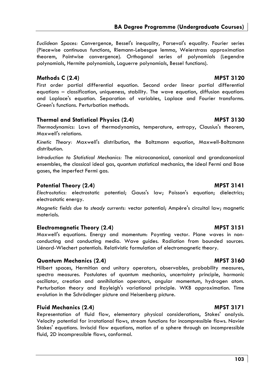*Euclidean Spaces:* Convergence, Bessel's inequality, Parseval's equality. Fourier series (Piecewise continuous functions, Riemann-Lebesgue lemma, Weierstrass approximation theorem, Pointwise convergence). Orthogonal series of polynomials (Legendre polynomials, Hermite polynomials, Laguerre polynomials, Bessel functions).

## **Methods C (2.4) MPST 3120**

First order partial differential equation. Second order linear partial differential equations – classification, uniqueness, stability. The wave equation, diffusion equations and Laplace's equation. Separation of variables, Laplace and Fourier transforms. Green's functions. Perturbation methods.

## **Thermal and Statistical Physics (2.4) MPST 3130**

*Thermodynamics:* Laws of thermodynamics, temperature, entropy, Clausius's theorem, Maxwell's relations.

*Kinetic Theory:* Maxwell's distribution, the Boltzmann equation, Maxwell-Boltzmann distribution.

*Introduction to Statistical Mechanics:* The microcanonical, canonical and grandcanonical ensembles, the classical ideal gas, quantum statistical mechanics, the ideal Fermi and Bose gases, the imperfect Fermi gas.

# **Potential Theory (2.4)** MPST 3141

*Electrostatics:* electrostatic potential; Gauss's law; Poisson's equation; dielectrics; electrostatic energy.

*Magnetic fields due to steady currents:* vector potential; Ampère's circuital law; magnetic materials.

## **Electromagnetic Theory (2.4)** MPST 3151

Maxwell's equations. Energy and momentum: Poynting vector. Plane waves in nonconducting and conducting media. Wave guides. Radiation from bounded sources. Liénard-Wiechert potentials. Relativistic formulation of electromagnetic theory.

## **Quantum Mechanics (2.4) MPST 3160**

Hilbert spaces, Hermitian and unitary operators, observables, probability measures, spectra measures. Postulates of quantum mechanics, uncertainty principle, harmonic oscillator, creation and annihilation operators, angular momentum, hydrogen atom. Perturbation theory and Rayleigh's variational principle. WKB approximation. Time evolution in the Schrödinger picture and Heisenberg picture.

# **Fluid Mechanics (2.4)** MPST 3171

Representation of fluid flow, elementary physical considerations, Stokes' analysis. Velocity potential for irrotational flows, stream functions for incompressible flows. Navier Stokes' equations. Inviscid flow equations, motion of a sphere through an incompressible fluid, 2D incompressible flows, conformal.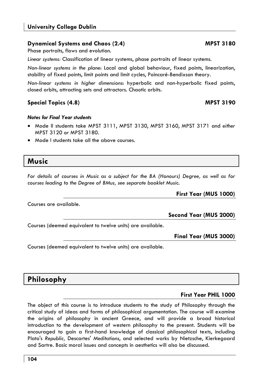# **Dynamical Systems and Chaos (2.4)** MPST 3180

Phase portraits, flows and evolution.

*Linear systems:* Classification of linear systems, phase portraits of linear systems.

*Non-linear systems in the plane*: Local and global behaviour, fixed points, linearization, stability of fixed points, limit points and limit cycles, Poincaré-Bendixson theory.

*Non-linear systems in higher dimensions*: hyperbolic and non-hyperbolic fixed points, closed orbits, attracting sets and attractors. Chaotic orbits.

# **Special Topics (4.8)** MPST 3190

# *Notes for Final Year students*

- Mode II students take MPST 3111, MPST 3130, MPST 3160, MPST 3171 and *either*  MPST 3120 *or* MPST 3180.
- Mode I students take all the above courses.

# **Music**

*For details of courses in Music as a subject for the BA (Honours) Degree, as well as for courses leading to the Degree of BMus, see separate booklet Music.* 

**First Year (MUS 1000)** 

Courses are available.

**Second Year (MUS 2000)** 

Courses (deemed equivalent to twelve units) are available.

**Final Year (MUS 3000)** 

Courses (deemed equivalent to twelve units) are available.

# **Philosophy**

# **First Year PHIL 1000**

The object of this course is to introduce students to the study of Philosophy through the critical study of ideas and forms of philosophical argumentation. The course will examine the origins of philosophy in ancient Greece, and will provide a broad historical introduction to the development of western philosophy to the present. Students will be encouraged to gain a first-hand knowledge of classical philosophical texts, including Plato's *Republic,* Descartes' *Meditations*, and selected works by Nietzsche, Kierkegaard and Sartre. Basic moral issues and concepts in aesthetics will also be discussed.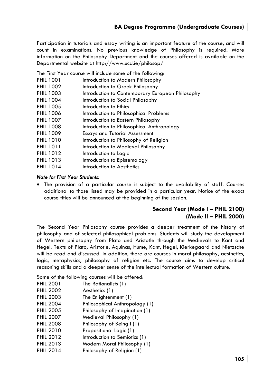Participation in tutorials and essay writing is an important feature of the course, and will count in examinations. No previous knowledge of Philosophy is required. More information on the Philosophy Department and the courses offered is available on the Departmental website at http://www.ucd.ie/philosop/

The First Year course will include some of the following:

- PHIL 1001 Introduction to Modern Philosophy
- PHIL 1002 Introduction to Greek Philosophy
- PHIL 1003 Introduction to Contemporary European Philosophy
- PHIL 1004 Introduction to Social Philosophy
- PHIL 1005 Introduction to Ethics
- PHIL 1006 Introduction to Philosophical Problems
- PHIL 1007 Introduction to Eastern Philosophy
- PHIL 1008 Introduction to Philosophical Anthropology
- PHIL 1009 Essays and Tutorial Assessment
- PHIL 1010 Introduction to Philosophy of Religion
- PHIL 1011 Introduction to Medieval Philosophy
- PHIL 1012 Introduction to Logic
- PHIL 1013 Introduction to Epistemology
- PHIL 1014 Introduction to Aesthetics

### *Note for First Year Students:*

• The provision of a particular course is subject to the availability of staff. Courses additional to those listed may be provided in a particular year. Notice of the exact course titles will be announced at the beginning of the session.

# **Second Year (Mode I – PHIL 2100) (Mode II – PHIL 2000)**

The Second Year Philosophy course provides a deeper treatment of the history of philosophy and of selected philosophical problems. Students will study the development of Western philosophy from Plato and Aristotle through the Medievals to Kant and Hegel. Texts of Plato, Aristotle, Aquinas, Hume, Kant, Hegel, Kierkegaard and Nietzsche will be read and discussed. In addition, there are courses in moral philosophy, aesthetics, logic, metaphysics, philosophy of religion etc. The course aims to develop critical reasoning skills and a deeper sense of the intellectual formation of Western culture.

Some of the following courses will be offered:

| <b>PHIL 2001</b> | The Rationalists (1)           |
|------------------|--------------------------------|
| <b>PHIL 2002</b> | Aesthetics (1)                 |
| <b>PHIL 2003</b> | The Enlightenment (1)          |
| <b>PHIL 2004</b> | Philosophical Anthropology (1) |
| <b>PHIL 2005</b> | Philosophy of Imagination (1)  |
| <b>PHIL 2007</b> | Medieval Philosophy (1)        |
| <b>PHIL 2008</b> | Philosophy of Being I (1)      |
| <b>PHIL 2010</b> | Propositional Logic (1)        |
| <b>PHIL 2012</b> | Introduction to Semiotics (1)  |
| <b>PHIL 2013</b> | Modern Moral Philosophy (1)    |
| <b>PHIL 2014</b> | Philosophy of Religion (1)     |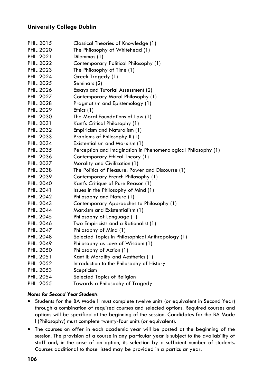| <b>PHIL 2015</b> | Classical Theories of Knowledge (1)                           |
|------------------|---------------------------------------------------------------|
| <b>PHIL 2020</b> | The Philosophy of Whitehead (1)                               |
| <b>PHIL 2021</b> | Dilemmas (1)                                                  |
| <b>PHIL 2022</b> | Contemporary Political Philosophy (1)                         |
| <b>PHIL 2023</b> | The Philosophy of Time (1)                                    |
| <b>PHIL 2024</b> | Greek Tragedy (1)                                             |
| <b>PHIL 2025</b> | Seminars (2)                                                  |
| <b>PHIL 2026</b> |                                                               |
| <b>PHIL 2027</b> | Essays and Tutorial Assessment (2)                            |
|                  | Contemporary Moral Philosophy (1)                             |
| <b>PHIL 2028</b> | Pragmatism and Epistemology (1)                               |
| <b>PHIL 2029</b> | Ethics (1)                                                    |
| <b>PHIL 2030</b> | The Moral Foundations of Law (1)                              |
| <b>PHIL 2031</b> | Kant's Critical Philosophy (1)                                |
| <b>PHIL 2032</b> | Empiricism and Naturalism (1)                                 |
| <b>PHIL 2033</b> | Problems of Philosophy II (1)                                 |
| <b>PHIL 2034</b> | Existentialism and Marxism (1)                                |
| <b>PHIL 2035</b> | Perception and Imagination in Phenomenological Philosophy (1) |
| <b>PHIL 2036</b> | Contemporary Ethical Theory (1)                               |
| <b>PHIL 2037</b> | Morality and Civilization (1)                                 |
| <b>PHIL 2038</b> | The Politics of Pleasure: Power and Discourse (1)             |
| <b>PHIL 2039</b> | Contemporary French Philosophy (1)                            |
| <b>PHIL 2040</b> | Kant's Critique of Pure Reason (1)                            |
| <b>PHIL 2041</b> | Issues in the Philosophy of Mind (1)                          |
| <b>PHIL 2042</b> | Philosophy and Nature (1)                                     |
| <b>PHIL 2043</b> | Contemporary Approaches to Philosophy (1)                     |
| <b>PHIL 2044</b> | Marxism and Existentialism (1)                                |
| <b>PHIL 2045</b> | Philosophy of Language (1)                                    |
| <b>PHIL 2046</b> | Two Empiricists and a Rationalist (1)                         |
| <b>PHIL 2047</b> | Philosophy of Mind (1)                                        |
| <b>PHIL 2048</b> | Selected Topics in Philosophical Anthropology (1)             |
| <b>PHIL 2049</b> | Philosophy as Love of Wisdom (1)                              |
| <b>PHIL 2050</b> | Philosophy of Action (1)                                      |
| <b>PHIL 2051</b> | Kant II: Morality and Aesthetics (1)                          |
| <b>PHIL 2052</b> | Introduction to the Philosophy of History                     |
| <b>PHIL 2053</b> | Scepticism                                                    |
| <b>PHIL 2054</b> | Selected Topics of Religion                                   |
| <b>PHIL 2055</b> | Towards a Philosophy of Tragedy                               |

## *Notes for Second Year Students*

- Students for the BA Mode II must complete twelve units (or equivalent in Second Year) through a combination of required courses and selected options. Required courses and options will be specified at the beginning of the session. Candidates for the BA Mode I (Philosophy) must complete twenty-four units (or equivalent).
- The courses on offer in each academic year will be posted at the beginning of the session. The provision of a course in any particular year is subject to the availability of staff and, in the case of an option, its selection by a sufficient number of students. Courses additional to those listed may be provided in a particular year.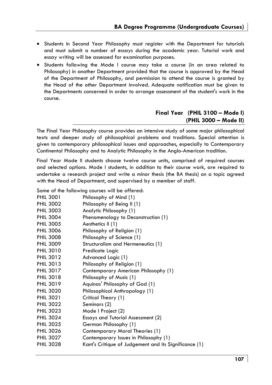- Students in Second Year Philosophy must register with the Department for tutorials and must submit a number of essays during the academic year. Tutorial work and essay writing will be assessed for examination purposes.
- Students following the Mode I course may take a course (in an area related to Philosophy) in another Department provided that the course is approved by the Head of the Department of Philosophy, and permission to attend the course is granted by the Head of the other Department involved. Adequate notification must be given to the Departments concerned in order to arrange assessment of the student's work in the course.

# **Final Year (PHIL 3100 – Mode I) (PHIL 3000 – Mode II)**

The Final Year Philosophy course provides an intensive study of some major philosophical texts and deeper study of philosophical problems and traditions. Special attention is given to contemporary philosophical issues and approaches, especially to Contemporary Continental Philosophy and to Analytic Philosophy in the Anglo-American tradition.

Final Year Mode II students choose twelve course units, comprised of required courses and selected options. Mode I students, in addition to their course work, are required to undertake a research project and write a minor thesis (the BA thesis) on a topic agreed with the Head of Department, and supervised by a member of staff.

Some of the following courses will be offered:

| <b>PHIL 3001</b> | Philosophy of Mind (1)                                |
|------------------|-------------------------------------------------------|
| <b>PHIL 3002</b> | Philosophy of Being II (1)                            |
| <b>PHIL 3003</b> | Analytic Philosophy (1)                               |
| <b>PHIL 3004</b> | Phenomenology to Deconstruction (1)                   |
| <b>PHIL 3005</b> | Aesthetics II (1)                                     |
| <b>PHIL 3006</b> | Philosophy of Religion (1)                            |
| <b>PHIL 3008</b> | Philosophy of Science (1)                             |
| <b>PHIL 3009</b> | Structuralism and Hermeneutics (1)                    |
| <b>PHIL 3010</b> | Predicate Logic                                       |
| <b>PHIL 3012</b> | Advanced Logic (1)                                    |
| <b>PHIL 3013</b> | Philosophy of Religion (1)                            |
| <b>PHIL 3017</b> | Contemporary American Philosophy (1)                  |
| <b>PHIL 3018</b> | Philosophy of Music (1)                               |
| <b>PHIL 3019</b> | Aquinas' Philosophy of God (1)                        |
| <b>PHIL 3020</b> | Philosophical Anthropology (1)                        |
| <b>PHIL 3021</b> | Critical Theory (1)                                   |
| <b>PHIL 3022</b> | Seminars (2)                                          |
| <b>PHIL 3023</b> | Mode I Project (2)                                    |
| <b>PHIL 3024</b> | Essays and Tutorial Assessment (2)                    |
| <b>PHIL 3025</b> | German Philosophy (1)                                 |
| <b>PHIL 3026</b> | Contemporary Moral Theories (1)                       |
| <b>PHIL 3027</b> | Contemporary Issues in Philosophy (1)                 |
| <b>PHIL 3028</b> | Kant's Critique of Judgement and its Significance (1) |
|                  |                                                       |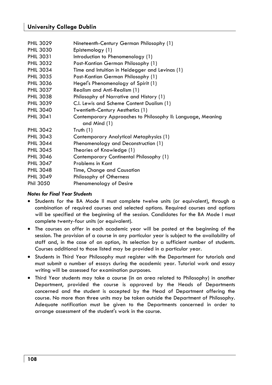# **University College Dublin**

| Nineteenth-Century German Philosophy (1)<br>Epistemology (1)<br>Introduction to Phenomenology (1)<br>Post-Kantian German Philosophy (1)<br>Time and Intuition in Heidegger and Levinas (1) |
|--------------------------------------------------------------------------------------------------------------------------------------------------------------------------------------------|
| Post-Kantian German Philosophy (1)                                                                                                                                                         |
| Hegel's Phenomenology of Spirit (1)                                                                                                                                                        |
| Realism and Anti-Realism (1)                                                                                                                                                               |
| Philosophy of Narrative and History (1)                                                                                                                                                    |
| C.I. Lewis and Scheme Content Dualism (1)                                                                                                                                                  |
| Twentieth-Century Aesthetics (1)                                                                                                                                                           |
| Contemporary Approaches to Philosophy II: Language, Meaning<br>and Mind (1)                                                                                                                |
| Truth $(1)$                                                                                                                                                                                |
| Contemporary Analytical Metaphysics (1)                                                                                                                                                    |
| Phenomenology and Deconstruction (1)                                                                                                                                                       |
| Theories of Knowledge (1)                                                                                                                                                                  |
| Contemporary Continental Philosophy (1)                                                                                                                                                    |
| Problems in Kant                                                                                                                                                                           |
| Time, Change and Causation                                                                                                                                                                 |
| Philosophy of Otherness                                                                                                                                                                    |
| Phenomenology of Desire                                                                                                                                                                    |
|                                                                                                                                                                                            |

## *Notes for Final Year Students*

- Students for the BA Mode II must complete twelve units (or equivalent), through a combination of required courses and selected options. Required courses and options will be specified at the beginning of the session. Candidates for the BA Mode I must complete twenty-four units (or equivalent).
- The courses on offer in each academic year will be posted at the beginning of the session. The provision of a course in any particular year is subject to the availability of staff and, in the case of an option, its selection by a sufficient number of students. Courses additional to those listed may be provided in a particular year.
- Students in Third Year Philosophy must register with the Department for tutorials and must submit a number of essays during the academic year. Tutorial work and essay writing will be assessed for examination purposes.
- Third Year students may take a course (in an area related to Philosophy) in another Department, provided the course is approved by the Heads of Departments concerned and the student is accepted by the Head of Department offering the course. No more than three units may be taken outside the Department of Philosophy. Adequate notification must be given to the Departments concerned in order to arrange assessment of the student's work in the course.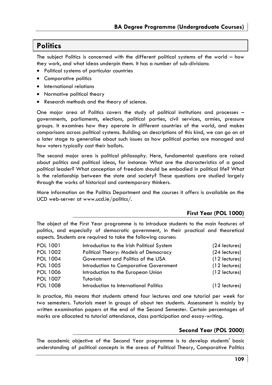# **Politics**

The subject Politics is concerned with the different political systems of the world – how they work, and what ideas underpin them. It has a number of sub-divisions:

- Political systems of particular countries
- Comparative politics
- International relations
- Normative political theory
- Research methods and the theory of science.

One major area of Politics covers the study of political institutions and processes – governments, parliaments, elections, political parties, civil services, armies, pressure groups. It examines how they operate in different countries of the world, and makes comparisons across political systems. Building on descriptions of this kind, we can go on at a later stage to generalise about such issues as how political parties are managed and how voters typically cast their ballots.

The second major area is political philosophy. Here, fundamental questions are raised about politics and political ideas, for instance: What are the characteristics of a good political leader? What conception of freedom should be embodied in political life? What is the relationship between the state and society? These questions are studied largely through the works of historical and contemporary thinkers.

More information on the Politics Department and the courses it offers is available on the UCD web-server at www.ucd.ie/politics/.

### **First Year (POL 1000)**

The object of the First Year programme is to introduce students to the main features of politics, and especially of democratic government, in their practical and theoretical aspects. Students are required to take the following courses:

| POL 1001        | Introduction to the Irish Political System | (24 lectures)   |
|-----------------|--------------------------------------------|-----------------|
| <b>POL 1002</b> | Political Theory: Models of Democracy      | (24 lectures)   |
| POL 1004        | Government and Politics of the USA         | $(12$ lectures) |
| POL 1005        | Introduction to Comparative Government     | $(12$ lectures) |
| POL 1006        | Introduction to the European Union         | $(12$ lectures) |
| POL 1007        | Tutorials                                  |                 |
| <b>POL 1008</b> | Introduction to International Politics     | $(12$ lectures) |

In practice, this means that students attend four lectures and one tutorial per week for two semesters. Tutorials meet in groups of about ten students. Assessment is mainly by written examination papers at the end of the Second Semester. Certain percentages of marks are allocated to tutorial attendance, class participation and essay-writing.

### **Second Year (POL 2000)**

The academic objective of the Second Year programme is to develop students' basic understanding of political concepts in the areas of Political Theory, Comparative Politics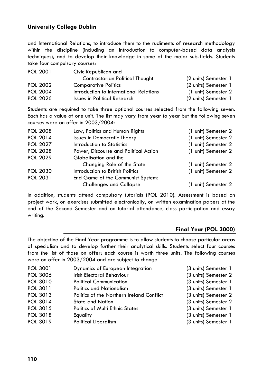and International Relations, to introduce them to the rudiments of research methodology within the discipline (including an introduction to computer-based data analysis techniques), and to develop their knowledge in some of the major sub-fields. Students take four compulsory courses:

| <b>POL 2001</b> | Civic Republican and                    |                      |
|-----------------|-----------------------------------------|----------------------|
|                 | Contractarian Political Thought         | (2 units) Semester 1 |
| <b>POL 2002</b> | <b>Comparative Politics</b>             | (2 units) Semester 1 |
| <b>POL 2004</b> | Introduction to International Relations | (1 unit) Semester 2  |
| <b>POL 2026</b> | Issues in Political Research            | (2 units) Semester 1 |

Students are required to take three optional courses selected from the following seven. Each has a value of one unit. The list may vary from year to year but the following seven courses were on offer in 2003/2004:

| <b>POL 2008</b> | Law, Politics and Human Rights        | (1 unit) Semester 2 |
|-----------------|---------------------------------------|---------------------|
| POL 2014        | <b>Issues in Democratic Theory</b>    | (1 unit) Semester 2 |
| <b>POL 2027</b> | Introduction to Statistics            | (1 unit) Semester 2 |
| <b>POL 2028</b> | Power, Discourse and Political Action | (1 unit) Semester 2 |
| <b>POL 2029</b> | Globalisation and the                 |                     |
|                 | Changing Role of the State            | (1 unit) Semester 2 |
| <b>POL 2030</b> | Introduction to British Politics      | (1 unit) Semester 2 |
| POL 2031        | End Game of the Communist System:     |                     |
|                 | <b>Challenges and Collapse</b>        | (1 unit) Semester 2 |

In addition, students attend compulsory tutorials (POL 2010). Assessment is based on project work, on exercises submitted electronically, on written examination papers at the end of the Second Semester and on tutorial attendance, class participation and essay writing.

### **Final Year (POL 3000)**

The objective of the Final Year programme is to allow students to choose particular areas of specialism and to develop further their analytical skills. Students select four courses from the list of those on offer; each course is worth three units. The following courses were on offer in 2003/2004 and are subject to change

| <b>POL 3001</b> | Dynamics of European Integration          | (3 units) Semester 1 |
|-----------------|-------------------------------------------|----------------------|
| <b>POL 3006</b> | <b>Irish Electoral Behaviour</b>          | (3 units) Semester 2 |
| POL 3010        | <b>Political Communication</b>            | (3 units) Semester 1 |
| POL 3011        | <b>Politics and Nationalism</b>           | (3 units) Semester 1 |
| POL 3013        | Politics of the Northern Ireland Conflict | (3 units) Semester 2 |
| POL 3014        | <b>State and Nation</b>                   | (3 units) Semester 2 |
| POL 3015        | <b>Politics of Multi Ethnic States</b>    | (3 units) Semester 1 |
| POL 3018        | Equality                                  | (3 units) Semester 1 |
| POL 3019        | <b>Political Liberalism</b>               | (3 units) Semester 1 |
|                 |                                           |                      |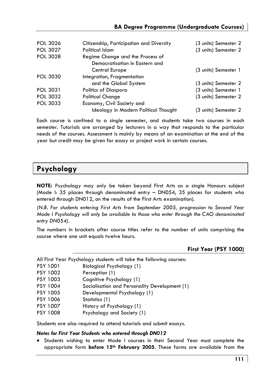| <b>POL 3026</b> | Citizenship, Participation and Diversity | (3 units) Semester 2 |
|-----------------|------------------------------------------|----------------------|
| <b>POL 3027</b> | <b>Political Islam</b>                   | (3 units) Semester 2 |
| <b>POL 3028</b> | Regime Change and the Process of         |                      |
|                 | Democratisation in Eastern and           |                      |
|                 | Central Europe                           | (3 units) Semester 1 |
| <b>POL 3030</b> | Integration, Fragmentation               |                      |
|                 | and the Global System                    | (3 units) Semester 2 |
| <b>POL 3031</b> | Politics of Diaspora                     | (3 units) Semester 1 |
| <b>POL 3032</b> | <b>Political Change</b>                  | (3 units) Semester 2 |
| <b>POL 3033</b> | Economy, Civil Society and               |                      |
|                 | Ideology in Modern Political Thought     | (3 units) Semester 2 |

Each course is confined to a single semester, and students take two courses in each semester. Tutorials are arranged by lecturers in a way that responds to the particular needs of the courses. Assessment is mainly by means of an examination at the end of the year but credit may be given for essay or project work in certain courses.

# **Psychology**

**NOTE:** Psychology may only be taken beyond First Arts as a single Honours subject (Mode I: 35 places through denominated entry – DN054, 35 places for students who entered through DN012, on the results of the First Arts examination).

*(N.B. For students entering First Arts from September 2005, progression to Second Year Mode I Psychology will only be available to those who enter through the CAO denominated entry DN054).* 

The numbers in brackets after course titles refer to the number of units comprising the course where one unit equals twelve hours.

### **First Year (PSY 1000)**

|  |  |  |  |  |  | All First Year Psychology students will take the following courses: |
|--|--|--|--|--|--|---------------------------------------------------------------------|
|--|--|--|--|--|--|---------------------------------------------------------------------|

- PSY 1001 Biological Psychology (1)
- PSY 1002 Perception (1)
- PSY 1003 Cognitive Psychology (1)
- PSY 1004 Socialisation and Personality Development (1)
- PSY 1005 Developmental Psychology (1)
- PSY 1006 Statistics (1)
- PSY 1007 History of Psychology (1)
- PSY 1008 Psychology and Society (1)

Students are also required to attend tutorials and submit essays.

### *Notes for First Year Students who entered through DN012*

• Students wishing to enter Mode I courses in their Second Year must complete the appropriate form **before 15th February 2005**. These forms are available from the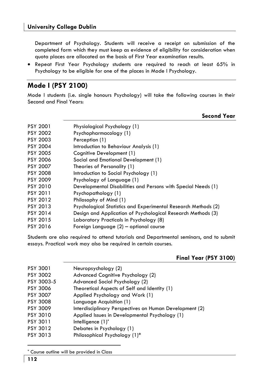Department of Psychology. Students will receive a receipt on submission of the completed form which they must keep as evidence of eligibility for consideration when quota places are allocated on the basis of First Year examination results.

• Repeat First Year Psychology students are required to reach at least 65% in Psychology to be eligible for one of the places in Mode I Psychology.

# **Mode I (PSY 2100)**

Mode I students (i.e. single honours Psychology) will take the following courses in their Second and Final Years:

| Second Year |  |
|-------------|--|
|             |  |

| <b>PSY 2001</b> | Physiological Psychology (1)                                   |
|-----------------|----------------------------------------------------------------|
| <b>PSY 2002</b> | Psychopharmacology (1)                                         |
| <b>PSY 2003</b> | Perception (1)                                                 |
| <b>PSY 2004</b> | Introduction to Behaviour Analysis (1)                         |
| <b>PSY 2005</b> | Cognitive Development (1)                                      |
| <b>PSY 2006</b> | Social and Emotional Development (1)                           |
| <b>PSY 2007</b> | Theories of Personality (1)                                    |
| <b>PSY 2008</b> | Introduction to Social Psychology (1)                          |
| <b>PSY 2009</b> | Psychology of Language (1)                                     |
| <b>PSY 2010</b> | Developmental Disabilities and Persons with Special Needs (1)  |
| PSY 2011        | Psychopathology (1)                                            |
| PSY 2012        | Philosophy of Mind (1)                                         |
| PSY 2013        | Psychological Statistics and Experimental Research Methods (2) |
| PSY 2014        | Design and Application of Psychological Research Methods (3)   |
| PSY 2015        | Laboratory Practicals in Psychology (8)                        |
| PSY 2016        | Foreign Language (2) – optional course                         |

Students are also required to attend tutorials and Departmental seminars, and to submit essays. Practical work may also be required in certain courses.

### **Final Year (PSY 3100)**

| PSY 3001        | Neuropsychology (2)                                     |
|-----------------|---------------------------------------------------------|
| PSY 3002        | Advanced Cognitive Psychology (2)                       |
| PSY 3003-5      | Advanced Social Psychology (2)                          |
| PSY 3006        | Theoretical Aspects of Self and Identity (1)            |
| <b>PSY 3007</b> | Applied Psychology and Work (1)                         |
| <b>PSY 3008</b> | Language Acquisition (1)                                |
| PSY 3009        | Interdisciplinary Perspectives on Human Development (2) |
| PSY 3010        | Applied Issues in Developmental Psychology (1)          |
| PSY 3011        | Intelligence $(1)^*$                                    |
| PSY 3012        | Debates in Psychology (1)                               |
| PSY 3013        | Philosophical Psychology (1)*                           |
|                 |                                                         |

<sup>\*</sup> Course outline will be provided in Class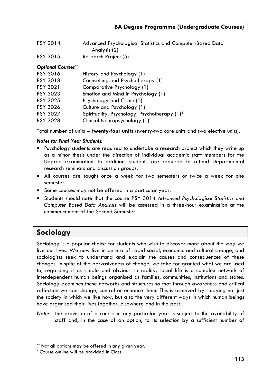- PSY 3014 Advanced Psychological Statistics and Computer-Based Data Analysis (2)
- PSY 3015 Research Project (5)

### *Optional Courses\*\**

| PSY 3016        | History and Psychology (1)                   |
|-----------------|----------------------------------------------|
| <b>PSY 3018</b> | Counselling and Psychotherapy (1)            |
| <b>PSY 3021</b> | Comparative Psychology (1)                   |
| <b>PSY 3023</b> | Emotion and Mind in Psychology (1)           |
| <b>PSY 3025</b> | Psychology and Crime (1)                     |
| <b>PSY 3026</b> | Culture and Psychology (1)                   |
| <b>PSY 3027</b> | Spirituality, Psychology, Psychotherapy (1)* |
| <b>PSY 3028</b> | Clinical Neuropsychology (1)*                |

Total number of units = **twenty-four units** (twenty-two core units and two elective units).

### *Notes for Final Year Students:*

- Psychology students are required to undertake a research project which they write up as a minor thesis under the direction of individual academic staff members for the Degree examination. In addition, students are required to attend Departmental research seminars and discussion groups.
- All courses are taught once a week for two semesters or twice a week for one semester.
- Some courses may not be offered in a particular year.
- Students should note that the course PSY 3014 *Advanced Psychological Statistics and Computer Based Data Analysis* will be assessed in a three-hour examination at the commencement of the Second Semester.

# **Sociology**

Sociology is a popular choice for students who wish to discover more about the way we live our lives. We now live in an era of rapid social, economic and cultural change, and sociologists seek to understand and explain the causes and consequences of these changes. In spite of the pervasiveness of change, we take for granted what we are used to, regarding it as simple and obvious. In reality, social life is a complex network of interdependent human beings organised as families, communities, institutions and states. Sociology examines these networks and structures so that through awareness and critical reflection we can change, control or enhance them. This is achieved by studying not just the society in which we live now, but also the very different ways in which human beings have organised their lives together, elsewhere and in the past.

*Note:* the provision of a course in any particular year is subject to the availability of staff and, in the case of an option, to its selection by a sufficient number of

<sup>\*\*</sup> Not all options may be offered in any given year.

<sup>\*</sup> Course outline will be provided in Class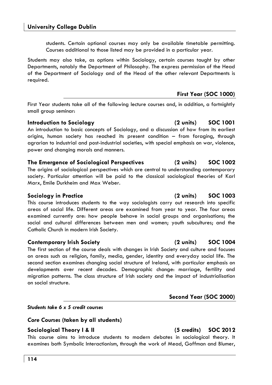students. Certain optional courses may only be available timetable permitting. Courses additional to those listed may be provided in a particular year.

Students may also take, as options within Sociology, certain courses taught by other Departments, notably the Department of Philosophy. The express permission of the Head of the Department of Sociology and of the Head of the other relevant Departments is required.

### **First Year (SOC 1000)**

First Year students take all of the following lecture courses and, in addition, a fortnightly small group seminar:

### **Introduction to Sociology (2 units) SOC 1001**

An introduction to basic concepts of Sociology, and a discussion of how from its earliest origins, human society has reached its present condition – from foraging, through agrarian to industrial and post-industrial societies, with special emphasis on war, violence, power and changing morals and manners.

### **The Emergence of Sociological Perspectives (2 units) SOC 1002**

The origins of sociological perspectives which are central to understanding contemporary society. Particular attention will be paid to the classical sociological theories of Karl Marx, Emile Durkheim and Max Weber.

### **Sociology in Practice (2 units) SOC 1003**

This course introduces students to the way sociologists carry out research into specific areas of social life. Different areas are examined from year to year. The four areas examined currently are: how people behave in social groups and organisations; the social and cultural differences between men and women; youth subcultures; and the Catholic Church in modern Irish Society.

### **Contemporary Irish Society (2 units) SOC 1004**

The first section of the course deals with changes in Irish Society and culture and focuses on areas such as religion, family, media, gender, identity and everyday social life. The second section examines changing social structure of Ireland, with particular emphasis on developments over recent decades. Demographic change: marriage, fertility and migration patterns. The class structure of Irish society and the impact of industrialisation on social structure.

*Students take 6 x 5 credit courses* 

### *Core Courses* **(taken by all students)**

### **Sociological Theory I & II (5 credits) SOC 2012**

This course aims to introduce students to modern debates in sociological theory. It examines both Symbolic Interactionism, through the work of Mead, Goffman and Blumer,

**Second Year (SOC 2000)**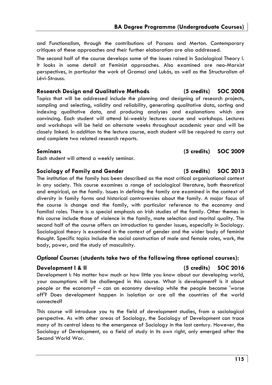and Functionalism, through the contributions of Parsons and Merton. Contemporary critiques of these approaches and their further elaboration are also addressed.

The second half of the course develops some of the issues raised in Sociological Theory I. It looks in some detail at Feminist approaches. Also examined are neo-Marxist perspectives, in particular the work of Gramsci and Lukás, as well as the Structuralism of Lévi-Strauss.

### **Research Design and Qualitative Methods (5 credits) SOC 2008**

Topics that will be addressed include the planning and designing of research projects, sampling and selecting, validity and reliability, generating qualitative data, sorting and indexing qualitative data, and producing analyses and explanations which are convincing. Each student will attend bi-weekly lectures course and workshops. Lectures and workshops will be held on alternate weeks throughout academic year and will be closely linked. In addition to the lecture course, each student will be required to carry out and complete two related research reports.

### **Seminars (5 credits) SOC 2009**

Each student will attend a weekly seminar.

### **Sociology of Family and Gender (5 credits) SOC 2013**

The institution of the family has been described as the most critical organisational context in any society. This course examines a range of sociological literature, both theoretical and empirical, on the family. Issues in defining the family are examined in the context of diversity in family forms and historical controversies about the family. A major focus of the course is change and the family, with particular reference to the economy and familial roles. There is a special emphasis on Irish studies of the family. Other themes in this course include those of violence in the family, mate selection and marital quality. The second half of the course offers an introduction to gender issues, especially in Sociology. Sociological theory is examined in the context of gender and the wider body of feminist thought. Specific topics include the social construction of male and female roles, work, the body, power, and the study of masculinity.

### *Optional Courses* **(students take two of the following three optional courses):**

### **Development I & II (5 credits) SOC 2016**

Development I: No matter how much or how little you know about our developing world, your assumptions will be challenged in this course. What is development? Is it about people or the economy? – can an economy develop while the people become 'worse off'? Does development happen in isolation or are all the countries of the world connected?

This course will introduce you to the field of development studies, from a sociological perspective. As with other areas of Sociology, the Sociology of Development can trace many of its central ideas to the emergence of Sociology in the last century. However, the Sociology of Development, as a field of study in its own right, only emerged after the Second World War.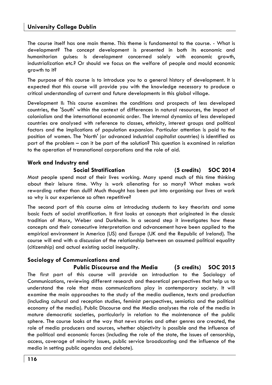The course itself has one main theme. This theme is fundamental to the course. - What is development? The concept development is presented in both its economic and humanitarian guises: Is development concerned solely with economic growth, industrialization etc.? Or should we focus on the welfare of people and mould economic growth to it?

The purpose of this course is to introduce you to a general history of development. It is expected that this course will provide you with the knowledge necessary to produce a critical understanding of current and future developments in this global village.

Development II: This course examines the conditions and prospects of less developed countries, the 'South' within the context of differences in natural resources, the impact of colonialism and the international economic order. The internal dynamics of less developed countries are analysed with reference to classes, ethnicity, interest groups and political factors and the implications of population expansion. Particular attention is paid to the position of women. The 'North' (or advanced industrial capitalist countries) is identified as part of the problem – can it be part of the solution? This question is examined in relation to the operation of transnational corporations and the role of aid.

# **Work and Industry and**

### **Social Stratification (5 credits) SOC 2014**

Most people spend most of their lives working. Many spend much of this time thinking about their leisure time. Why is work alienating for so many? What makes work rewarding rather than dull? Much thought has been put into organising our lives at work so why is our experience so often repetitive?

The second part of this course aims at introducing students to key theorists and some basic facts of social stratification. It first looks at concepts that originated in the classic tradition of Marx, Weber and Durkheim. In a second step it investigates how these concepts and their consecutive interpretation and advancement have been applied to the empirical environment in America (US) and Europe (UK and the Republic of Ireland). The course will end with a discussion of the relationship between an assumed political equality (citizenship) and actual existing social inequality.

### **Sociology of Communications and**

### **Public Discourse and the Media (5 credits) SOC 2015**

The first part of this course will provide an introduction to the Sociology of Communications, reviewing different research and theoretical perspectives that help us to understand the role that mass communications play in contemporary society. It will examine the main approaches to the study of the media audience, texts and production (including cultural and reception studies, feminist perspectives, semiotics and the political economy of the media). Public Discourse and the Media analyses the role of the media in mature democratic societies, particularly in relation to the maintenance of the public sphere. The course looks at the way that news stories and other genres are created, the role of media producers and sources, whether objectivity is possible and the influence of the political and economic forces (including the role of the state, the issues of censorship, access, coverage of minority issues, public service broadcasting and the influence of the media in setting public agendas and debate).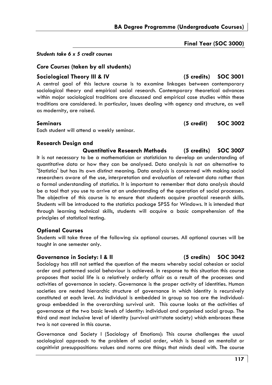**Final Year (SOC 3000)** 

### *Students take 6 x 5 credit courses*

### *Core Courses* **(taken by all students)**

### **Sociological Theory III & IV (5 credits) SOC 3001**

A central goal of this lecture course is to examine linkages between contemporary sociological theory and empirical social research. Contemporary theoretical advances within major sociological traditions are discussed and empirical case studies within these traditions are considered. In particular, issues dealing with agency and structure, as well as modernity, are raised.

Each student will attend a weekly seminar.

### **Research Design and**

**Quantitative Research Methods (5 credits) SOC 3007**  It is not necessary to be a mathematician or statistician to develop an understanding of quantitative data or how they can be analysed. Data analysis is not an alternative to 'Statistics' but has its own distinct meaning. Data analysis is concerned with making social researchers aware of the use, interpretation and evaluation of relevant data rather than a formal understanding of statistics. It is important to remember that data analysis should be a tool that you use to arrive at an understanding of the operation of social processes. The objective of this course is to ensure that students acquire practical research skills. Students will be introduced to the statistics package SPSS for Windows. It is intended that through learning technical skills, students will acquire a basic comprehension of the principles of statistical testing.

### **Optional Courses**

Students will take three of the following six optional courses. All optional courses will be taught in one semester only.

### **Governance in Society: I & II (5 credits) SOC 3042**

Sociology has still not settled the question of the means whereby social cohesion or social order and patterned social behaviour is achieved. In response to this situation this course proposes that social life is a relatively orderly affair as a result of the processes and activities of governance in society. Governance is the proper activity of identities. Human societies are nested hierarchic structure of governance in which identity is recursively constituted at each level. As individual is embedded in group so too are the individualgroup embedded in the overarching survival unit. This course looks at the activities of governance at the two basic levels of identity: individual and organised social group. The third and most inclusive level of identity (survival unit=state society) which embraces these two is not covered in this course.

Governance and Society I (Sociology of Emotions): This course challenges the usual sociological approach to the problem of social order, which is based on mentalist or cognitivist presuppositions: values and norms are things that minds deal with. The course

**Seminars (5 credit) SOC 3002**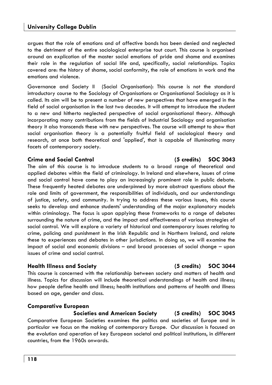argues that the role of emotions and of affective bonds has been denied and neglected to the detriment of the entire sociological enterprise tout court. This course is organised around an explication of the master social emotions of pride and shame and examines their role in the regulation of social life and, specifically, social relationships. Topics covered are: the history of shame, social conformity, the role of emotions in work and the emotions and violence.

Governance and Society II (Social Organisation): This course is not the standard introductory course to the Sociology of Organisations or Organisational Sociology as it is called. Its aim will be to present a number of new perspectives that have emerged in the field of social organisation in the last two decades. It will attempt to introduce the student to a new and hitherto neglected perspective of social organisational theory. Although incorporating many contributions from the fields of Industrial Sociology and organisation theory it also transcends these with new perspectives. The course will attempt to show that social organisation theory is a potentially fruitful field of sociological theory and research, at once both theoretical and 'applied', that is capable of illuminating many facets of contemporary society.

### **Crime and Social Control (5 credits) SOC 3043**

The aim of this course is to introduce students to a broad range of theoretical and applied debates within the field of criminology. In Ireland and elsewhere, issues of crime and social control have come to play an increasingly prominent role in public debate. These frequently heated debates are underpinned by more abstract questions about the role and limits of government, the responsibilities of individuals, and our understandings of justice, safety, and community. In trying to address these various issues, this course seeks to develop and enhance students' understanding of the major explanatory models within criminology. The focus is upon applying these frameworks to a range of debates surrounding the nature of crime, and the impact and effectiveness of various strategies of social control. We will explore a variety of historical and contemporary issues relating to crime, policing and punishment in the Irish Republic and in Northern Ireland, and relate these to experiences and debates in other jurisdictions. In doing so, we will examine the impact of social and economic divisions – and broad processes of social change – upon issues of crime and social control.

### **Health Illness and Society (5 credits) SOC 3044**

This course is concerned with the relationship between society and matters of health and illness. Topics for discussion will include theoretical understandings of health and illness; how people define health and illness; health institutions and patterns of health and illness based on age, gender and class.

### **Comparative European**

### **Societies and American Society (5 credits) SOC 3045**

Comparative European Societies examines the politics and societies of Europe and in particular we focus on the making of contemporary Europe. Our discussion is focused on the evolution and operation of key European societal and political institutions, in different countries, from the 1960s onwards.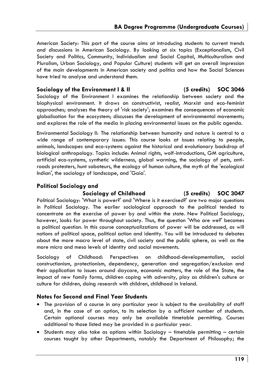American Society: This part of the course aims at introducing students to current trends and discussions in American Sociology. By looking at six topics (Exceptionalism, Civil Society and Politics, Community, Individualism and Social Capital, Multiculturalism and Pluralism, Urban Sociology, and Popular Culture) students will get an overall impression of the main developments in American society and politics and how the Social Sciences have tried to analyse and understand them.

### **Sociology of the Environment I & II (5 credits) SOC 3046**

Sociology of the Environment I examines the relationship between society and the biophysical environment. It draws on constructivist, realist, Marxist and eco-feminist approaches; analyses the theory of 'risk society'; examines the consequences of economic globalisation for the ecosystem; discusses the development of environmental movements; and explores the role of the media in placing environmental issues on the public agenda.

Environmental Sociology II: The relationship between humanity and nature is central to a wide range of contemporary issues. This course looks at issues relating to people, animals, landscapes and eco-systems against the historical and evolutionary backdrop of biological anthropology. Topics include: Animal rights, wolf-introductions, GM agriculture, artificial eco-systems, synthetic wilderness, global warming, the sociology of pets, antiroads protesters, hunt saboteurs, the ecology of human culture, the myth of the 'ecological Indian', the sociology of landscape, and 'Gaia'.

### **Political Sociology and**

### **Sociology of Childhood (5 credits) SOC 3047**

Political Sociology: 'What is power?' and 'Where is it exercised?' are two major questions in Political Sociology. The earlier sociological approach to the political tended to concentrate on the exercise of power by and within the state. New Political Sociology, however, looks for power throughout society. Thus, the question 'Who are we?' becomes a political question. In this course conceptualizations of power will be addressed, as will notions of political space, political action and identity. You will be introduced to debates about the more macro level of state, civil society and the public sphere, as well as the more micro and meso levels of identity and social movements.

Sociology of Childhood: Perspectives on childhood-developmentalism, social constructionism, protectionism, dependency, generation and segregation/exclusion and their application to issues around daycare, economic matters, the role of the State, the impact of new family forms, children coping with adversity, play as children's culture or culture for children, doing research with children, childhood in Ireland.

### **Notes for Second and Final Year Students**

- The provision of a course in any particular year is subject to the availability of staff and, in the case of an option, to its selection by a sufficient number of students. Certain optional courses may only be available timetable permitting. Courses additional to those listed may be provided in a particular year.
- Students may also take as options within Sociology timetable permitting certain courses taught by other Departments, notably the Department of Philosophy; the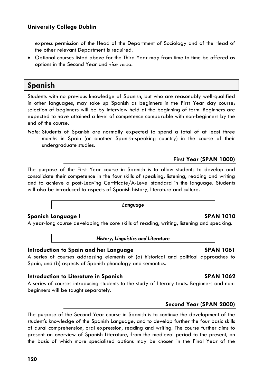express permission of the Head of the Department of Sociology and of the Head of the other relevant Department is required.

• Optional courses listed above for the Third Year may from time to time be offered as options in the Second Year and *vice versa.*

# **Spanish**

Students with no previous knowledge of Spanish, but who are reasonably well-qualified in other languages, may take up Spanish as beginners in the First Year day course; selection of beginners will be by interview held at the beginning of term. Beginners are expected to have attained a level of competence comparable with non-beginners by the end of the course.

*Note:* Students of Spanish are normally expected to spend a total of at least three months in Spain (or another Spanish-speaking country) in the course of their undergraduate studies.

### **First Year (SPAN 1000)**

The purpose of the First Year course in Spanish is to allow students to develop and consolidate their competence in the four skills of speaking, listening, reading and writing and to achieve a post-Leaving Certificate/A-Level standard in the language. Students will also be introduced to aspects of Spanish history, literature and culture.

### *Language*

### **Spanish Language I SPAN 1010**

A year-long course developing the core skills of reading, writing, listening and speaking.

*History, Linguistics and Literature* 

### **Introduction to Spain and her Language SPAN 1061**

A series of courses addressing elements of (a) historical and political approaches to Spain, and (b) aspects of Spanish phonology and semantics.

### **Introduction to Literature in Spanish SPAN 1062**

A series of courses introducing students to the study of literary texts. Beginners and nonbeginners will be taught separately.

### **Second Year (SPAN 2000)**

The purpose of the Second Year course in Spanish is to continue the development of the student's knowledge of the Spanish Language, and to develop further the four basic skills of aural comprehension, oral expression, reading and writing. The course further aims to present an overview of Spanish Literature, from the medieval period to the present, on the basis of which more specialised options may be chosen in the Final Year of the

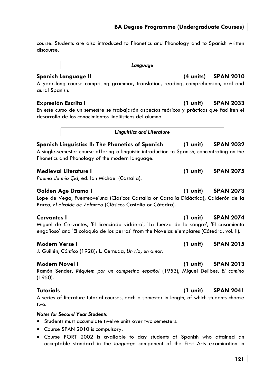# **BA Degree Programme (Undergraduate Courses)**

course. Students are also introduced to Phonetics and Phonology and to Spanish written discourse.

*Language* 

A year-long course comprising grammar, translation, reading, comprehension, oral and aural Spanish.

En este curso de un semestre se trabajarán aspectos teóricos y prácticos que faciliten el desarrollo de los conocimientos lingüísticos del alumno.

*Linguistics and Literature* 

**Spanish Linguistics II: The Phonetics of Spanish (1 unit) SPAN 2032**  A single-semester course offering a linguistic introduction to Spanish, concentrating on the Phonetics and Phonology of the modern language.

### **Medieval Literature I (1 unit) SPAN 2075**

*Poema de mío Çid*, ed. Ian Michael (Castalia).

### **Golden Age Drama I (1 unit) SPAN 2073**

Lope de Vega, Fuenteovejuna (Clásicos Castalia or Castalia Didáctica); Calderón de la Barca, *El alcalde de Zalamea* (Clásicos Castalia or Cátedra).

Miguel de Cervantes, 'El licenciado vidriera', 'La fuerza de la sangre', 'El casamiento engañoso' and 'El coloquio de los perros' from the Novelas ejemplares (Cátedra, vol. II).

### **Modern Verse I (1 unit) SPAN 2015**

J. Guillén, *Cántico* (1928); L. Cernuda, *Un río, un amor*.

### **Modern Novel I (1 unit) SPAN 2013**

Ramón Sender, *Réquiem por un campesino español* (1953), Miguel Delibes, *El camino* (1950).

### **Tutorials (1 unit) SPAN 2041**

A series of literature tutorial courses, each a semester in length, of which students choose two.

### *Notes for Second Year Students*

- Students must accumulate twelve units over two semesters.
- Course SPAN 2010 is compulsory.
- Course PORT 2002 is available to day students of Spanish who attained an acceptable standard in the *language* component of the First Arts examination in

## **Spanish Language II (4 units) SPAN 2010**

### **Expresión Escrita I (1 unit) SPAN 2033**

### **Cervantes I (1 unit) SPAN 2074**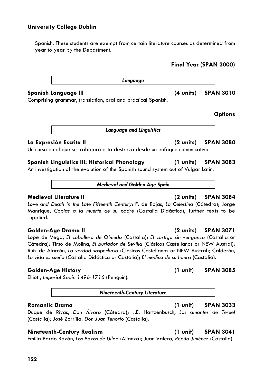Spanish. These students are exempt from certain literature courses as determined from year to year by the Department.

| Language                                                     |                     |                  |
|--------------------------------------------------------------|---------------------|------------------|
| Spanish Language III                                         | $(4 \text{ units})$ | <b>SPAN 3010</b> |
| Comprising grammar, translation, oral and practical Spanish. |                     |                  |
|                                                              |                     | <b>Options</b>   |
| <b>Language and Linguistics</b>                              |                     |                  |
| La Expresión Escrita II                                      | (2 units)           | <b>SPAN 3080</b> |

Un curso en el que se trabajará esta destreza desde un enfoque comunicativo.

# **Spanish Linguistics III: Historical Phonology (1 units) SPAN 3083**

An investigation of the evolution of the Spanish sound system out of Vulgar Latin.

*Medieval and Golden Age Spain* 

# **Medieval Literature II (2 units) SPAN 3084**

*Love and Death in the Late Fifteenth Century*: F. de Rojas, *La Celestina* (Cátedra); Jorge Manrique, *Coplas a la muerte de su padre* (Castalia Didáctica); further texts to be supplied.

Lope de Vega, *El caballero de Olmedo* (Castalia); *El castigo sin venganza* (Castalia or Cátedra); Tirso de Molina, *El burlador de Sevilla* (Clásicos Castellanos or NEW Austral); Ruiz de Alarcón, *La verdad sospechosa* (Clásicos Castellanos or NEW Austral); Calderón, *La vida es sueño* (Castalia Didáctica or Castalia); *El médico de su honra* (Castalia).

Elliott, *Imperial Spain 1496-1716* (Penguin).

*Nineteenth-Century Literature* 

# **Romantic Drama (1 unit) SPAN 3033**

Duque de Rivas, *Don Álvaro* (Cátedra); J.E. Hartzenbusch, *Los amantes de Teruel*  (Castalia); José Zorrilla*, Don Juan Tenorio* (Castalia).

# **Nineteenth-Century Realism (1 unit) SPAN 3041**

Emilia Pardo Bazán, *Los Pazos de Ulloa* (Alianza); Juan Valera, *Pepita Jiménez* (Castalia).

**Final Year (SPAN 3000)** 

# **Golden-Age Drama II (2 units) SPAN 3071**

## **Golden-Age History (1 unit) SPAN 3085**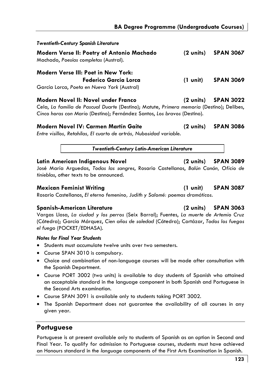| Twentieth-Century Spanish Literature                                                                                                                                                                                                                                           |                     |                  |
|--------------------------------------------------------------------------------------------------------------------------------------------------------------------------------------------------------------------------------------------------------------------------------|---------------------|------------------|
| Modern Verse II: Poetry of Antonio Machado<br>Machado, Poesías completas (Austral).                                                                                                                                                                                            | $(2 \text{ units})$ | <b>SPAN 3067</b> |
| Modern Verse III: Poet in New York:<br>Federico García Lorca<br>García Lorca, Poeta en Nueva York (Austral)                                                                                                                                                                    | $(1 \text{ unit})$  | <b>SPAN 3069</b> |
| Modern Novel II: Novel under Franco<br>$\mathcal{L}$ . If $\mathcal{P}$ it is a constant in the constant of the constant in the constant in the constant in the constant in the constant in the constant in the constant in the constant in the constant in the constant in th | (2 units)           | <b>SPAN 3022</b> |

Cela, *La familia de Pascual Duarte* (Destino); Matute, *Primera memoria* (Destino); Delibes, *Cinco horas con Mario* (Destino); Fernández Santos, *Los bravos* (Destino).

**Modern Novel IV: Carmen Martín Gaite (2 units) SPAN 3086** 

*Entre visillos, Retahílas, El cuarto de artrás, Nubosidad variable*.

*Twentieth-Century Latin-American Literature* 

### **Latin American Indigenous Novel (2 units) SPAN 3089**

José María Arguedas, *Todas las sangres*, Rosario Castellanos, *Balún Canán, Oficio de tinieblas*, other texts to be announced.

### **Mexican Feminist Writing (1 unit) SPAN 3087**

Rosario Castellanos, *El eterno femenino, Judith y Salomé: poemas dramáticos*.

### **Spanish-American Literature (2 units) SPAN 3063**

Vargas Llosa, *La ciudad y los perros* (Seix Barral); Fuentes, *La muerte de Artemio Cruz* (Cátedra); García Márquez, *Cien años de soledad* (Cátedra); Cortázar, *Todos los fuegos el fuego* (POCKET/EDHASA).

### *Notes for Final Year Students*

- Students must accumulate twelve units over two semesters.
- Course SPAN 3010 is compulsory.
- Choice and combination of non-language courses will be made after consultation with the Spanish Department.
- Course PORT 3002 (two units) is available to day students of Spanish who attained an acceptable standard in the language component in both Spanish and Portuguese in the Second Arts examination.
- Course SPAN 3091 is available only to students taking PORT 3002.
- The Spanish Department does not guarantee the availability of all courses in any given year.

# **Portuguese**

Portuguese is at present available only to students of Spanish as an option in Second and Final Year. To qualify for admission to Portuguese courses, students must have achieved an Honours standard in the *language* components of the First Arts Examination in Spanish.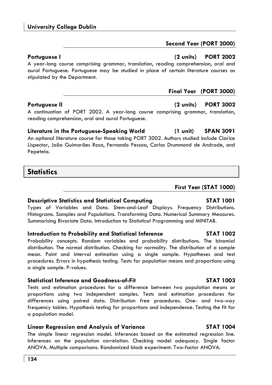A year-long course comprising grammar, translation, reading comprehension, oral and aural Portuguese. Portuguese may be studied in place of certain literature courses as stipulated by the Department.

### **Portuguese II (2 units) PORT 3002**

A continuation of PORT 2002. A year-long course comprising grammar, translation, reading comprehension, oral and aural Portuguese.

**Literature in the Portuguese-Speaking World (1 unit) SPAN 3091**  An optional literature course for those taking PORT 3002. Authors studied include Clarice Lispector, João Guimarães Rosa, Fernando Pessoa, Carlos Drummond de Andrade, and Pepetela.

# **Statistics**

# **Descriptive Statistics and Statistical Computing STAT 1001**

Types of Variables and Data. Stem-and-Leaf Displays. Frequency Distributions. Histograms. Samples and Populations. Transforming Data. Numerical Summary Measures. Summarising Bivariate Data. Introduction to Statistical Programming and MINITAB.

# **Introduction to Probability and Statistical Inference STAT 1002**

Probability concepts. Random variables and probability distributions. The binomial distribution. The normal distribution. Checking for normality. The distribution of a sample mean. Point and interval estimation using a single sample. Hypotheses and test procedures. Errors in hypothesis testing. Tests for population means and proportions using a single sample. P-values.

# **Statistical Inference and Goodness-of-Fit STAT 1003**

Tests and estimation procedures for a difference between two population means or proportions using two independent samples. Tests and estimation procedures for differences using paired data. Distribution free procedures. One- and two-way frequency tables. Hypothesis testing for proportions and independence. Testing the fit for a population model.

# **Linear Regression and Analysis of Variance STAT 1004**

The simple linear regression model. Inferences based on the estimated regression line. Inferences on the population correlation. Checking model adequacy. Single factor ANOVA. Multiple comparisons. Randomized block experiment. Two-factor ANOVA.

## **First Year (STAT 1000)**

**Final Year (PORT 3000)** 

### **Portuguese I (2 units) PORT 2002**

**Second Year (PORT 2000)**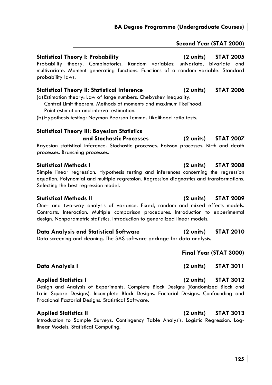### **Second Year (STAT 2000)**

### **Statistical Theory I: Probability (2 units) STAT 2005**

Probability theory. Combinatorics. Random variables: univariate, bivariate and multivariate. Moment generating functions. Functions of a random variable. Standard probability laws.

### **Statistical Theory II: Statistical Inference (2 units) STAT 2006**

(a) Estimation theory: Law of large numbers. Chebyshev Inequality. Central Limit theorem. Methods of moments and maximum likelihood.

Point estimation and interval estimation.

(b) Hypothesis testing: Neyman Pearson Lemma. Likelihood ratio tests.

### **Statistical Theory III: Bayesian Statistics and Stochastic Processes (2 units) STAT 2007**

Bayesian statistical inference. Stochastic processes. Poisson processes. Birth and death processes. Branching processes.

Simple linear regression. Hypothesis testing and inferences concerning the regression equation. Polynomial and multiple regression. Regression diagnostics and transformations. Selecting the best regression model.

### **Statistical Methods II (2 units) STAT 2009**

One- and two-way analysis of variance. Fixed, random and mixed effects models. Contrasts. Interaction. Multiple comparison procedures. Introduction to experimental design. Nonparametric statistics. Introduction to generalized linear models.

### **Data Analysis and Statistical Software (2 units) STAT 2010**

Data screening and cleaning. The SAS software package for data analysis.

# **Final Year (STAT 3000)**

### **Data Analysis I (2 units) STAT 3011**

### **Applied Statistics I (2 units) STAT 3012**

Design and Analysis of Experiments. Complete Block Designs (Randomized Block and Latin Square Designs). Incomplete Block Designs. Factorial Designs. Confounding and Fractional Factorial Designs. Statistical Software.

### **Applied Statistics II (2 units) STAT 3013**

Introduction to Sample Surveys. Contingency Table Analysis. Logistic Regression. Loglinear Models. Statistical Computing.

# **Statistical Methods I (2 units) STAT 2008**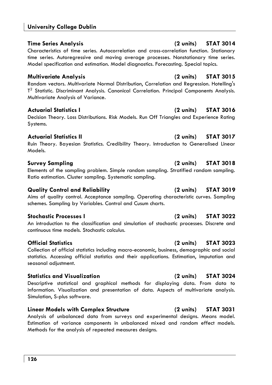### **Time Series Analysis (2 units) STAT 3014**  Characteristics of time series. Autocorrelation and cross-correlation function. Stationary time series. Autoregressive and moving average processes. Nonstationary time series. Model specification and estimation. Model diagnostics. Forecasting. Special topics.

Random vectors. Multivariate Normal Distribution, Correlation and Regression. Hotelling's T<sup>2</sup> Statistic. Discriminant Analysis. Canonical Correlation. Principal Components Analysis. Multivariate Analysis of Variance.

## **Actuarial Statistics I (2 units) STAT 3016**

Decision Theory. Loss Distributions. Risk Models. Run Off Triangles and Experience Rating Systems.

## **Actuarial Statistics II (2 units) STAT 3017**

Ruin Theory. Bayesian Statistics. Credibility Theory. Introduction to Generalised Linear Models.

Elements of the sampling problem. Simple random sampling. Stratified random sampling. Ratio estimation. Cluster sampling. Systematic sampling.

# **Quality Control and Reliability (2 units) STAT 3019**

Aims of quality control. Acceptance sampling. Operating characteristic curves. Sampling schemes. Sampling by Variables. Control and Cusum charts.

# **Stochastic Processes I (2 units) STAT 3022**

An introduction to the classification and simulation of stochastic processes. Discrete and continuous time models. Stochastic calculus.

Collection of official statistics including macro-economic, business, demographic and social statistics. Accessing official statistics and their applications. Estimation, imputation and seasonal adjustment.

# **Statistics and Visualization (2 units) STAT 3024**

Descriptive statistical and graphical methods for displaying data. From data to information. Visualization and presentation of data. Aspects of multivariate analysis. Simulation, S-plus software.

### **Linear Models with Complex Structure (2 units) STAT 3031**

Analysis of unbalanced data from surveys and experimental designs. Means model. Estimation of variance components in unbalanced mixed and random effect models. Methods for the analysis of repeated measures designs.

# **Multivariate Analysis (2 units) STAT 3015**

# **Survey Sampling (2 units) STAT 3018**

### **Official Statistics (2 units) STAT 3023**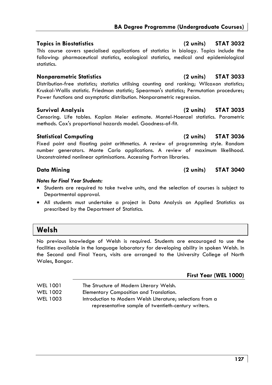### **Topics in Biostatistics (2 units) STAT 3032**

This course covers specialised applications of statistics in biology. Topics include the following: pharmaceutical statistics, ecological statistics, medical and epidemiological statistics.

### **Nonparametric Statistics (2 units) STAT 3033**

Distribution-free statistics; statistics utilising counting and ranking; Wilcoxon statistics; Kruskal-Wallis statistic. Friedman statistic; Spearman's statistics; Permutation procedures; Power functions and asymptotic distribution. Nonparametric regression.

### **Survival Analysis (2 units) STAT 3035**

Censoring. Life tables. Kaplan Meier estimate. Mantel-Haenzel statistics. Parametric methods. Cox's proportional hazards model. Goodness-of-fit.

Fixed point and floating point arithmetics. A review of programming style. Random number generators. Monte Carlo applications. A review of maximum likelihood. Unconstrainted nonlinear optimisations. Accessing Fortran libraries.

### *Notes for Final Year Students:*

- Students are required to take twelve units, and the selection of courses is subject to Departmental approval.
- All students must undertake a project in Data Analysis on Applied Statistics as prescribed by the Department of Statistics.

# **Welsh**

No previous knowledge of Welsh is required. Students are encouraged to use the facilities available in the language laboratory for developing ability in spoken Welsh. In the Second and Final Years, visits are arranged to the University College of North Wales, Bangor.

**First Year (WEL 1000)** 

| <b>WEL 1001</b> | The Structure of Modern Literary Welsh.                    |
|-----------------|------------------------------------------------------------|
| WEL 1002        | Elementary Composition and Translation.                    |
| WEL 1003        | Introduction to Modern Welsh Literature; selections from a |
|                 | representative sample of twentieth-century writers.        |

### **Statistical Computing (2 units) STAT 3036**

### **Data Mining (2 units) STAT 3040**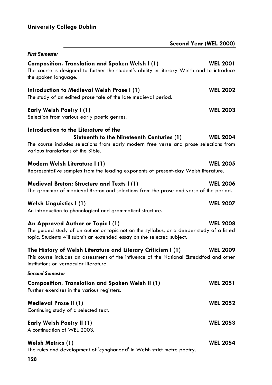| Second Year (WEL 2000)                                                                                                                                                                                                               |  |
|--------------------------------------------------------------------------------------------------------------------------------------------------------------------------------------------------------------------------------------|--|
| <b>First Semester</b>                                                                                                                                                                                                                |  |
| Composition, Translation and Spoken Welsh I (1)<br><b>WEL 2001</b><br>The course is designed to further the student's ability in literary Welsh and to introduce<br>the spoken language.                                             |  |
| <b>WEL 2002</b><br>Introduction to Medieval Welsh Prose I (1)<br>The study of an edited prose tale of the late medieval period.                                                                                                      |  |
| <b>WEL 2003</b><br>Early Welsh Poetry I (1)<br>Selection from various early poetic genres.                                                                                                                                           |  |
| Introduction to the Literature of the<br>Sixteenth to the Nineteenth Centuries (1)<br><b>WEL 2004</b><br>The course includes selections from early modern free verse and prose selections from<br>various translations of the Bible. |  |
| <b>WEL 2005</b><br>Modern Welsh Literature I (1)<br>Representative samples from the leading exponents of present-day Welsh literature.                                                                                               |  |
| <b>WEL 2006</b><br>Medieval Breton: Structure and Texts I (1)<br>The grammar of medieval Breton and selections from the prose and verse of the period.                                                                               |  |
| <b>WEL 2007</b><br>Welsh Linguistics I (1)<br>An introduction to phonological and grammatical structure.                                                                                                                             |  |
| <b>WEL 2008</b><br>An Approved Author or Topic I (1)<br>The guided study of an author or topic not on the syllabus, or a deeper study of a listed<br>topic. Students will submit an extended essay on the selected subject.          |  |
| The History of Welsh Literature and Literary Criticism I (1)<br><b>WEL 2009</b><br>This course includes an assessment of the influence of the National Eisteddfod and other<br>institutions on vernacular literature.                |  |
| <b>Second Semester</b>                                                                                                                                                                                                               |  |
| <b>WEL 2051</b><br><b>Composition, Translation and Spoken Welsh II (1)</b><br>Further exercises in the various registers.                                                                                                            |  |
| <b>WEL 2052</b><br>Medieval Prose II (1)<br>Continuing study of a selected text.                                                                                                                                                     |  |
| <b>WEL 2053</b><br><b>Early Welsh Poetry II (1)</b><br>A continuation of WEL 2003.                                                                                                                                                   |  |
| <b>WEL 2054</b><br><b>Welsh Metrics (1)</b><br>The rules and development of 'cynghanedd' in Welsh strict metre poetry.                                                                                                               |  |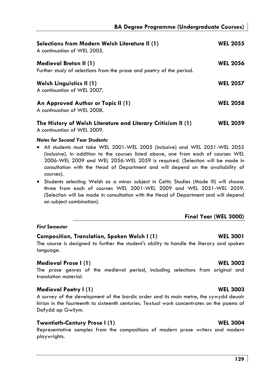| Selections from Modern Welsh Literature II (1)<br>A continuation of WEL 2005.                         | <b>WEL 2055</b> |
|-------------------------------------------------------------------------------------------------------|-----------------|
| <b>Medieval Breton II (1)</b><br>Further study of selections from the prose and poetry of the period. | <b>WEL 2056</b> |
| <b>Welsh Linguistics II (1)</b><br>A continuation of WEL 2007.                                        | <b>WEL 2057</b> |
| An Approved Author or Topic II (1)<br>A continuation of WEL 2008.                                     | <b>WEL 2058</b> |
| The History of Welsh Literature and Literary Criticism II (1)                                         | <b>WEL 2059</b> |

A continuation of WEL 2009.

# *Notes for Second Year Students:*

- All students must take WEL 2001-WEL 2005 (inclusive) and WEL 2051-WEL 2055 (inclusive). In addition to the courses listed above, one from each of courses WEL 2006-WEL 2009 and WEL 2056-WEL 2059 is required. (Selection will be made in consultation with the Head of Department and will depend on the availability of courses).
- Students selecting Welsh as a minor subject in Celtic Studies (Mode III) will choose three from each of courses WEL 2001-WEL 2009 and WEL 2051-WEL 2059. (Selection will be made in consultation with the Head of Department and will depend on subject combination).

### **Final Year (WEL 3000)**

### *First Semester*

### **Composition, Translation, Spoken Welsh I (1) WEL 3001**

The course is designed to further the student's ability to handle the literary and spoken language.

### **Medieval Prose I (1) WEL 3002**

The prose genres of the medieval period, including selections from original and translation material.

### **Medieval Poetry I (1) WEL 3003**

A survey of the development of the bardic order and its main metre, the cywydd deuair hirion in the fourteenth to sixteenth centuries. Textual work concentrates on the poems of Dafydd ap Gwilym.

### **Twentieth-Century Prose I (1)** NEL 3004

Representative samples from the compositions of modern prose writers and modern playwrights.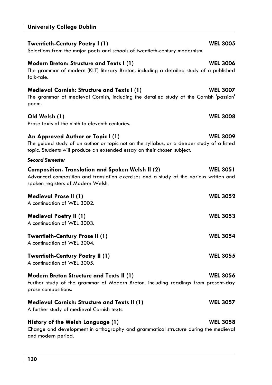## **Twentieth-Century Poetry I (1)** MEL 3005

Selections from the major poets and schools of twentieth-century modernism.

### **Modern Breton: Structure and Texts I (1)** Modern WEL 3006

The grammar of modern (KLT) literary Breton, including a detailed study of a published folk-tale.

### **Medieval Cornish: Structure and Texts I (1) WEL 3007**

The grammar of medieval Cornish, including the detailed study of the Cornish 'passion' poem.

### **Old Welsh (1) WEL 3008**

Prose texts of the ninth to eleventh centuries.

# **An Approved Author or Topic I (1) WEL 3009**

The guided study of an author or topic not on the syllabus, or a deeper study of a listed topic. Students will produce an extended essay on their chosen subject.

### *Second Semester*

| <b>Composition, Translation and Spoken Welsh II (2)</b><br>Advanced composition and translation exercises and a study of the various written and<br>spoken registers of Modern Welsh. | <b>WEL 3051</b> |
|---------------------------------------------------------------------------------------------------------------------------------------------------------------------------------------|-----------------|
| <b>Medieval Prose II (1)</b><br>A continuation of WEL 3002.                                                                                                                           | <b>WEL 3052</b> |
| <b>Medieval Poetry II (1)</b><br>A continuation of WEL 3003.                                                                                                                          | <b>WEL 3053</b> |
| <b>Twentieth-Century Prose II (1)</b><br>A continuation of WEL 3004.                                                                                                                  | <b>WEL 3054</b> |
| <b>Twentieth-Century Poetry II (1)</b><br>A continuation of WEL 3005.                                                                                                                 | <b>WEL 3055</b> |
| <b>Modern Breton Structure and Texts II (1)</b><br>Further study of the grammar of Modern Breton, including readings from present-day<br>prose compositions.                          | <b>WEL 3056</b> |
| <b>Medieval Cornish: Structure and Texts II (1)</b><br>A further study of medieval Cornish texts.                                                                                     | <b>WEL 3057</b> |
| History of the Welsh Language (1)<br>Change and development in orthography and grammatical structure during the medieval<br>and modern period.                                        | <b>WEL 3058</b> |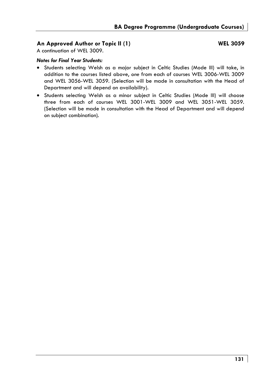### **An Approved Author or Topic II (1) WEL 3059**

A continuation of WEL 3009.

### *Notes for Final Year Students:*

- Students selecting Welsh as a major subject in Celtic Studies (Mode III) will take, in addition to the courses listed above, *one* from each of courses WEL 3006-WEL 3009 and WEL 3056-WEL 3059. (Selection will be made in consultation with the Head of Department and will depend on availability).
- Students selecting Welsh as a minor subject in Celtic Studies (Mode III) will choose three from each of courses WEL 3001-WEL 3009 and WEL 3051-WEL 3059. (Selection will be made in consultation with the Head of Department and will depend on subject combination).